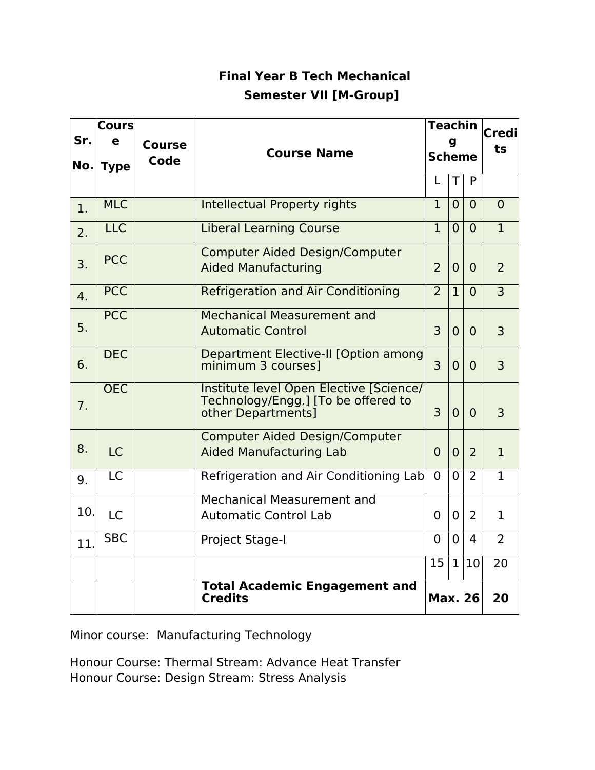# **Final Year B Tech Mechanical Semester VII [M-Group]**

| <b>Cours</b> |                         |               |                                                                                                      |                | <b>Teachin</b> | <b>Credi</b> |                |
|--------------|-------------------------|---------------|------------------------------------------------------------------------------------------------------|----------------|----------------|--------------|----------------|
| Sr.          | e                       | <b>Course</b> | <b>Course Name</b>                                                                                   |                | g              | ts           |                |
| No.          | <b>Type</b>             | Code          |                                                                                                      |                | <b>Scheme</b>  |              |                |
|              |                         |               |                                                                                                      | L              | $\top$         | P            |                |
| 1.           | <b>MLC</b>              |               | <b>Intellectual Property rights</b>                                                                  | $\mathbf{1}$   | $\overline{0}$ | $\Omega$     | $\Omega$       |
| 2.           | <b>LLC</b>              |               | <b>Liberal Learning Course</b>                                                                       | $\mathbf{1}$   | $\overline{0}$ | $\Omega$     | $\mathbf{1}$   |
| 3.           | <b>PCC</b>              |               | <b>Computer Aided Design/Computer</b><br><b>Aided Manufacturing</b>                                  | $\overline{2}$ | $\overline{0}$ | $\Omega$     | 2              |
| 4.           | <b>PCC</b>              |               | <b>Refrigeration and Air Conditioning</b>                                                            | $\overline{2}$ | $\mathbf{1}$   | $\Omega$     | $\overline{3}$ |
| 5.           | <b>PCC</b>              |               | <b>Mechanical Measurement and</b><br><b>Automatic Control</b>                                        | 3              | $\overline{0}$ | $\Omega$     | $\overline{3}$ |
| 6.           | <b>DEC</b>              |               | Department Elective-II [Option among<br>minimum 3 courses]                                           | $\overline{3}$ | $\overline{0}$ | $\Omega$     | 3              |
| 7.           | <b>OEC</b>              |               | Institute level Open Elective [Science/<br>Technology/Engg.] [To be offered to<br>other Departments] | $\overline{3}$ | $\overline{0}$ | $\Omega$     | $\overline{3}$ |
| 8.           | <b>LC</b>               |               | <b>Computer Aided Design/Computer</b><br><b>Aided Manufacturing Lab</b>                              | 0              | $\overline{0}$ | 2            | $\mathbf{1}$   |
| 9.           | <b>LC</b>               |               | Refrigeration and Air Conditioning Lab                                                               | $\Omega$       | $\overline{0}$ | 2            | $\mathbf{1}$   |
| 10.          | <b>LC</b>               |               | Mechanical Measurement and<br><b>Automatic Control Lab</b>                                           | $\Omega$       | $\Omega$       | 2            | $\mathbf{1}$   |
| 11.          | $\overline{\text{SBC}}$ |               | Project Stage-I                                                                                      | $\Omega$       | 0              | 4            | $\overline{2}$ |
|              |                         |               |                                                                                                      | 15             | $\mathbf{1}$   | 10           | 20             |
|              |                         |               | <b>Total Academic Engagement and</b><br><b>Credits</b><br><b>Max. 26</b>                             |                |                | 20           |                |

Minor course: Manufacturing Technology

Honour Course: Thermal Stream: Advance Heat Transfer Honour Course: Design Stream: Stress Analysis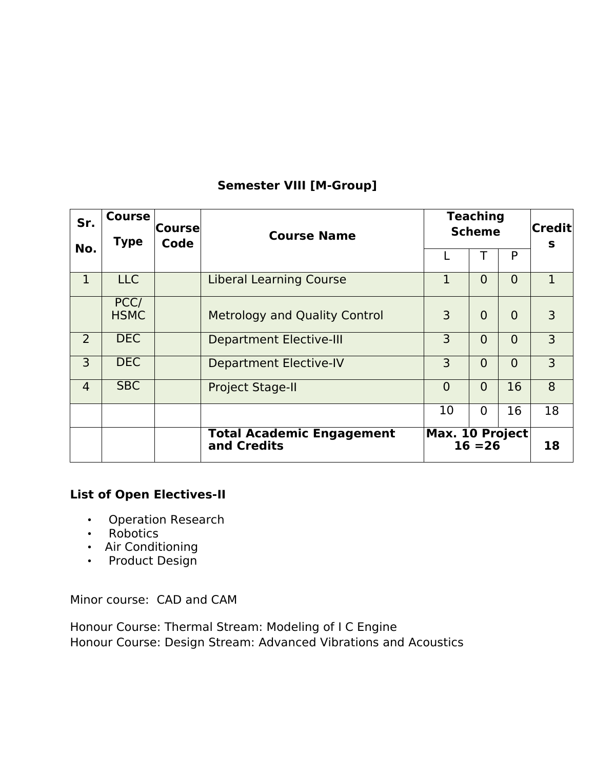# **Semester VIII [M-Group]**

| Sr.            | <b>Course</b><br><b>Type</b> | Coursel<br>Code | <b>Course Name</b>                              | <b>Teaching</b><br><b>Scheme</b> |                |                | $ {\sf Credit} $<br>S |
|----------------|------------------------------|-----------------|-------------------------------------------------|----------------------------------|----------------|----------------|-----------------------|
| No.            |                              |                 |                                                 |                                  |                | P              |                       |
| $\mathbf{1}$   | <b>LLC</b>                   |                 | <b>Liberal Learning Course</b>                  | $\mathbf{1}$                     | $\overline{0}$ | $\Omega$       | $\mathbf{1}$          |
|                | PCC/<br><b>HSMC</b>          |                 | <b>Metrology and Quality Control</b>            | 3                                | $\overline{0}$ | $\overline{0}$ | 3                     |
| $\overline{2}$ | <b>DEC</b>                   |                 | <b>Department Elective-III</b>                  | 3                                | $\overline{0}$ | $\overline{0}$ | 3                     |
| 3              | <b>DEC</b>                   |                 | <b>Department Elective-IV</b>                   | 3                                | $\overline{0}$ | $\overline{0}$ | 3                     |
| $\overline{4}$ | <b>SBC</b>                   |                 | <b>Project Stage-II</b>                         | $\Omega$                         | $\overline{0}$ | 16             | 8                     |
|                |                              |                 |                                                 | 10                               | $\Omega$       | 16             | 18                    |
|                |                              |                 | <b>Total Academic Engagement</b><br>and Credits | <b>Max. 10 Project</b>           | $16 = 26$      |                | 18                    |

# **List of Open Electives-II**

- Operation Research
- Robotics
- Air Conditioning
- Product Design

Minor course: CAD and CAM

Honour Course: Thermal Stream: Modeling of I C Engine Honour Course: Design Stream: Advanced Vibrations and Acoustics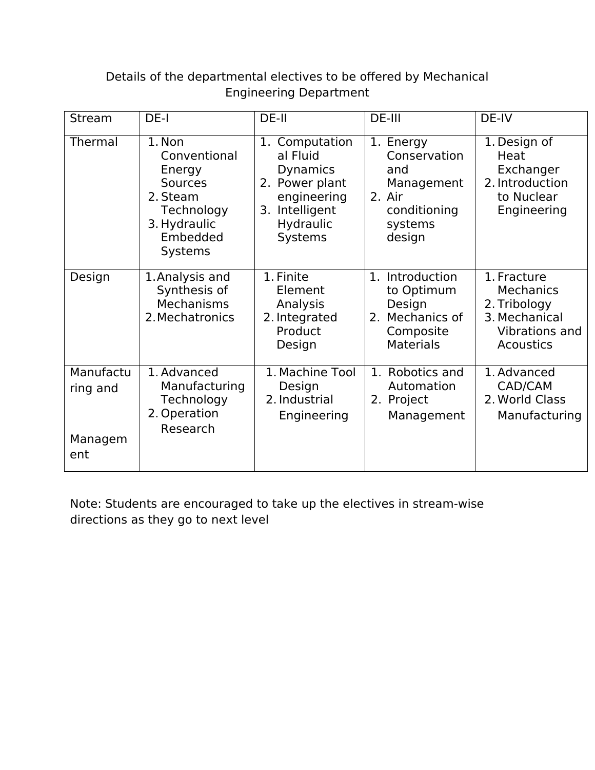# Details of the departmental electives to be ofered by Mechanical Engineering Department

| Stream                                  | DE-I                                                                                                                       | DE-II                                                                                                                          | DE-III                                                                                        | DE-IV                                                                                                  |
|-----------------------------------------|----------------------------------------------------------------------------------------------------------------------------|--------------------------------------------------------------------------------------------------------------------------------|-----------------------------------------------------------------------------------------------|--------------------------------------------------------------------------------------------------------|
| Thermal                                 | 1. Non<br>Conventional<br>Energy<br><b>Sources</b><br>2. Steam<br>Technology<br>3. Hydraulic<br>Embedded<br><b>Systems</b> | Computation<br>1.<br>al Fluid<br><b>Dynamics</b><br>2. Power plant<br>engineering<br>Intelligent<br>3.<br>Hydraulic<br>Systems | 1. Energy<br>Conservation<br>and<br>Management<br>2. Air<br>conditioning<br>systems<br>design | 1. Design of<br>Heat<br>Exchanger<br>2. Introduction<br>to Nuclear<br>Engineering                      |
| Design                                  | 1. Analysis and<br>Synthesis of<br>Mechanisms<br>2. Mechatronics                                                           | 1. Finite<br>Element<br>Analysis<br>2. Integrated<br>Product<br>Design                                                         | 1. Introduction<br>to Optimum<br>Design<br>2. Mechanics of<br>Composite<br><b>Materials</b>   | 1. Fracture<br><b>Mechanics</b><br>2. Tribology<br>3. Mechanical<br>Vibrations and<br><b>Acoustics</b> |
| Manufactu<br>ring and<br>Managem<br>ent | 1. Advanced<br>Manufacturing<br>Technology<br>2. Operation<br>Research                                                     | 1. Machine Tool<br>Design<br>2. Industrial<br>Engineering                                                                      | 1. Robotics and<br>Automation<br>2. Project<br>Management                                     | 1. Advanced<br>CAD/CAM<br>2. World Class<br>Manufacturing                                              |

Note: Students are encouraged to take up the electives in stream-wise directions as they go to next level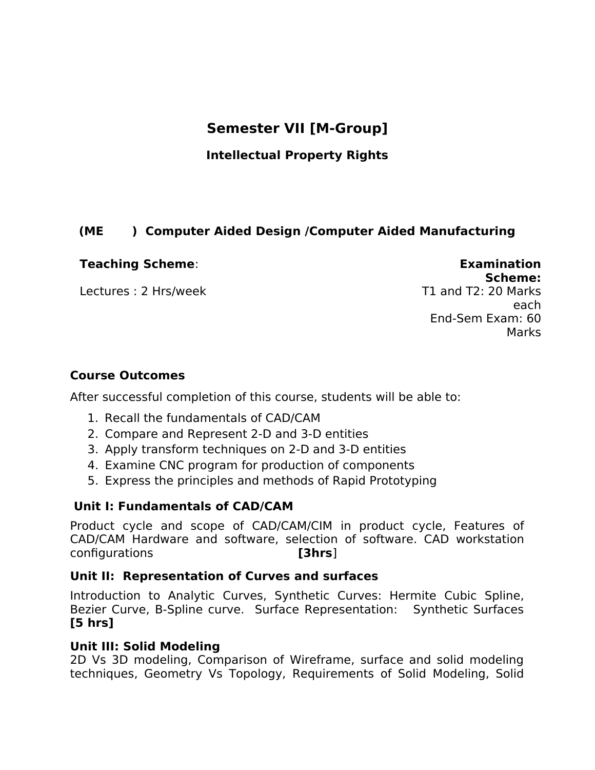# **Semester VII [M-Group]**

## **Intellectual Property Rights**

## **(ME ) Computer Aided Design /Computer Aided Manufacturing**

#### **Teaching Scheme**: **Examination**

Lectures : 2 Hrs/week

**Scheme:**<br>T1 and T2: 20 Marks each End-Sem Exam: 60 Marks

#### **Course Outcomes**

After successful completion of this course, students will be able to:

- 1. Recall the fundamentals of CAD/CAM
- 2. Compare and Represent 2-D and 3-D entities
- 3. Apply transform techniques on 2-D and 3-D entities
- 4. Examine CNC program for production of components
- 5. Express the principles and methods of Rapid Prototyping

#### **Unit I: Fundamentals of CAD/CAM**

Product cycle and scope of CAD/CAM/CIM in product cycle, Features of CAD/CAM Hardware and software, selection of software. CAD workstation configurations **[3hrs**]

#### **Unit II: Representation of Curves and surfaces**

Introduction to Analytic Curves, Synthetic Curves: Hermite Cubic Spline, Bezier Curve, B-Spline curve. Surface Representation: Synthetic Surfaces **[5 hrs]**

#### **Unit III: Solid Modeling**

2D Vs 3D modeling, Comparison of Wireframe, surface and solid modeling techniques, Geometry Vs Topology, Requirements of Solid Modeling, Solid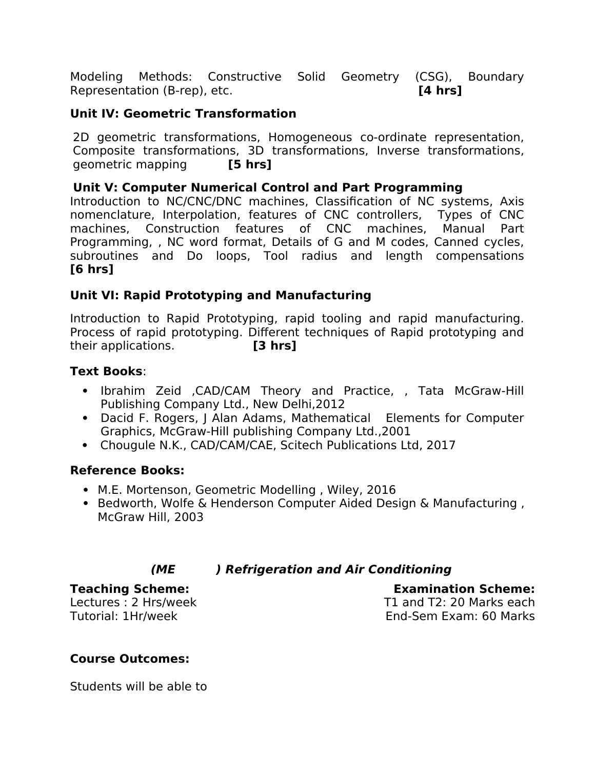Modeling Methods: Constructive Solid Geometry (CSG), Boundary Representation (B-rep), etc. **[4 hrs]**

## **Unit IV: Geometric Transformation**

2D geometric transformations, Homogeneous co-ordinate representation, Composite transformations, 3D transformations, Inverse transformations, geometric mapping **[5 hrs]**

#### **Unit V: Computer Numerical Control and Part Programming**

Introduction to NC/CNC/DNC machines, Classification of NC systems, Axis nomenclature, Interpolation, features of CNC controllers, Types of CNC machines, Construction features of CNC machines, Manual Part Programming, , NC word format, Details of G and M codes, Canned cycles, subroutines and Do loops, Tool radius and length compensations **[6 hrs]**

#### **Unit VI: Rapid Prototyping and Manufacturing**

Introduction to Rapid Prototyping, rapid tooling and rapid manufacturing. Process of rapid prototyping. Diferent techniques of Rapid prototyping and their applications. **[3 hrs]**

#### **Text Books**:

- Ibrahim Zeid ,CAD/CAM Theory and Practice, , Tata McGraw-Hill Publishing Company Ltd., New Delhi,2012
- Dacid F. Rogers, I Alan Adams, Mathematical Elements for Computer Graphics, McGraw-Hill publishing Company Ltd.,2001
- Chougule N.K., CAD/CAM/CAE, Scitech Publications Ltd, 2017

## **Reference Books:**

- M.E. Mortenson, Geometric Modelling , Wiley, 2016
- Bedworth, Wolfe & Henderson Computer Aided Design & Manufacturing, McGraw Hill, 2003

# **(ME ) Refrigeration and Air Conditioning**

#### **Teaching Scheme: Examination Scheme:**

Lectures : 2 Hrs/week Tutorial: 1Hr/week

T1 and T2: 20 Marks each End-Sem Exam: 60 Marks

## **Course Outcomes:**

Students will be able to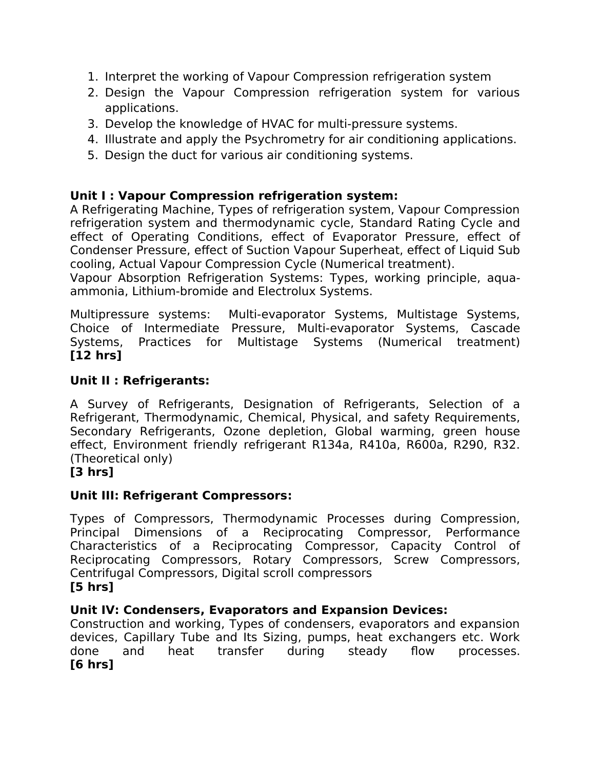- 1. Interpret the working of Vapour Compression refrigeration system
- 2. Design the Vapour Compression refrigeration system for various applications.
- 3. Develop the knowledge of HVAC for multi-pressure systems.
- 4. Illustrate and apply the Psychrometry for air conditioning applications.
- 5. Design the duct for various air conditioning systems.

# **Unit I : Vapour Compression refrigeration system:**

A Refrigerating Machine, Types of refrigeration system, Vapour Compression refrigeration system and thermodynamic cycle, Standard Rating Cycle and effect of Operating Conditions, effect of Evaporator Pressure, effect of Condenser Pressure, efect of Suction Vapour Superheat, efect of Liquid Sub cooling, Actual Vapour Compression Cycle (Numerical treatment).

Vapour Absorption Refrigeration Systems: Types, working principle, aquaammonia, Lithium-bromide and Electrolux Systems.

Multipressure systems: Multi-evaporator Systems, Multistage Systems, Choice of Intermediate Pressure, Multi-evaporator Systems, Cascade Systems, Practices for Multistage Systems (Numerical treatment) **[12 hrs]**

# **Unit II : Refrigerants:**

A Survey of Refrigerants, Designation of Refrigerants, Selection of a Refrigerant, Thermodynamic, Chemical, Physical, and safety Requirements, Secondary Refrigerants, Ozone depletion, Global warming, green house efect, Environment friendly refrigerant R134a, R410a, R600a, R290, R32. (Theoretical only)

# **[3 hrs]**

# **Unit III: Refrigerant Compressors:**

Types of Compressors, Thermodynamic Processes during Compression, Principal Dimensions of a Reciprocating Compressor, Performance Characteristics of a Reciprocating Compressor, Capacity Control of Reciprocating Compressors, Rotary Compressors, Screw Compressors, Centrifugal Compressors, Digital scroll compressors

## **[5 hrs]**

# **Unit IV: Condensers, Evaporators and Expansion Devices:**

Construction and working, Types of condensers, evaporators and expansion devices, Capillary Tube and Its Sizing, pumps, heat exchangers etc. Work done and heat transfer during steady flow processes. **[6 hrs]**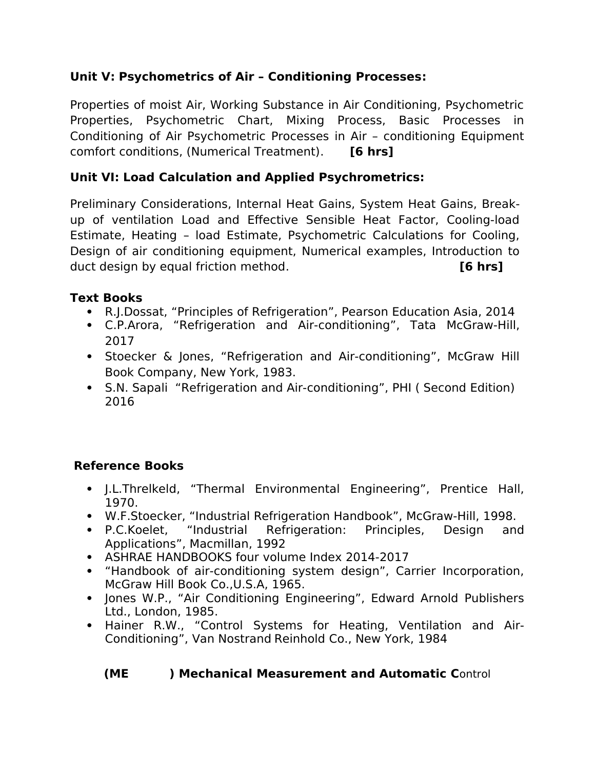# **Unit V: Psychometrics of Air – Conditioning Processes:**

Properties of moist Air, Working Substance in Air Conditioning, Psychometric Properties, Psychometric Chart, Mixing Process, Basic Processes in Conditioning of Air Psychometric Processes in Air – conditioning Equipment comfort conditions, (Numerical Treatment). **[6 hrs]**

# **Unit VI: Load Calculation and Applied Psychrometrics:**

Preliminary Considerations, Internal Heat Gains, System Heat Gains, Breakup of ventilation Load and Efective Sensible Heat Factor, Cooling-load Estimate, Heating – load Estimate, Psychometric Calculations for Cooling, Design of air conditioning equipment, Numerical examples, Introduction to duct design by equal friction method. **[6 hrs]**

# **Text Books**

- R.J.Dossat, "Principles of Refrigeration", Pearson Education Asia, 2014
- C.P.Arora, "Refrigeration and Air-conditioning", Tata McGraw-Hill, 2017
- Stoecker & Jones, "Refrigeration and Air-conditioning", McGraw Hill Book Company, New York, 1983.
- S.N. Sapali "Refrigeration and Air-conditioning", PHI ( Second Edition) 2016

# **Reference Books**

- J.L.Threlkeld, "Thermal Environmental Engineering", Prentice Hall, 1970.
- W.F.Stoecker, "Industrial Refrigeration Handbook", McGraw-Hill, 1998.
- P.C.Koelet, "Industrial Refrigeration: Principles, Design and Applications", Macmillan, 1992
- ASHRAE HANDBOOKS four volume Index 2014-2017
- "Handbook of air-conditioning system design", Carrier Incorporation, McGraw Hill Book Co.,U.S.A, 1965.
- Jones W.P., "Air Conditioning Engineering", Edward Arnold Publishers Ltd., London, 1985.
- Hainer R.W., "Control Systems for Heating, Ventilation and Air-Conditioning", Van Nostrand Reinhold Co., New York, 1984

# **(ME ) Mechanical Measurement and Automatic C**ontrol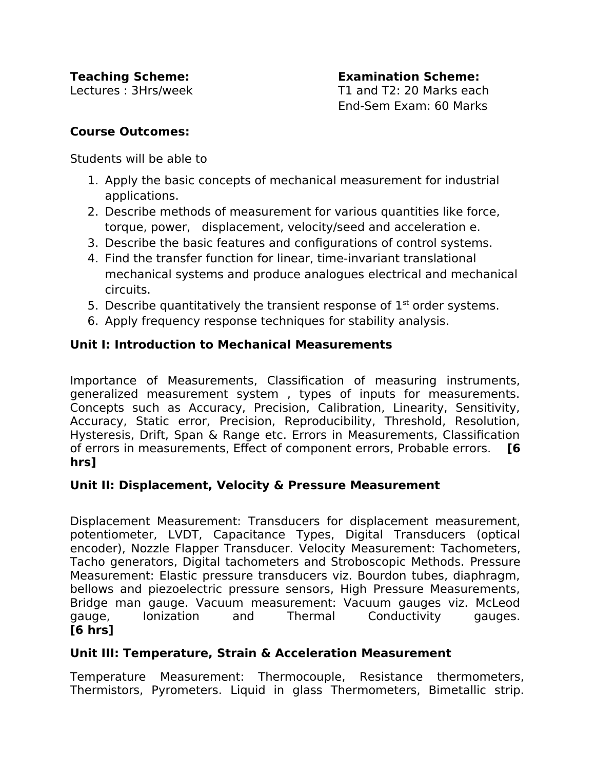Lectures : 3Hrs/week T1 and T2: 20 Marks each End-Sem Exam: 60 Marks

#### **Course Outcomes:**

Students will be able to

- 1. Apply the basic concepts of mechanical measurement for industrial applications.
- 2. Describe methods of measurement for various quantities like force, torque, power, displacement, velocity/seed and acceleration e.
- 3. Describe the basic features and configurations of control systems.
- 4. Find the transfer function for linear, time-invariant translational mechanical systems and produce analogues electrical and mechanical circuits.
- 5. Describe quantitatively the transient response of  $1<sup>st</sup>$  order systems.
- 6. Apply frequency response techniques for stability analysis.

## **Unit I: Introduction to Mechanical Measurements**

Importance of Measurements, Classification of measuring instruments, generalized measurement system , types of inputs for measurements. Concepts such as Accuracy, Precision, Calibration, Linearity, Sensitivity, Accuracy, Static error, Precision, Reproducibility, Threshold, Resolution, Hysteresis, Drift, Span & Range etc. Errors in Measurements, Classification of errors in measurements, Efect of component errors, Probable errors. **[6 hrs]**

# **Unit II: Displacement, Velocity & Pressure Measurement**

Displacement Measurement: Transducers for displacement measurement, potentiometer, LVDT, Capacitance Types, Digital Transducers (optical encoder), Nozzle Flapper Transducer. Velocity Measurement: Tachometers, Tacho generators, Digital tachometers and Stroboscopic Methods. Pressure Measurement: Elastic pressure transducers viz. Bourdon tubes, diaphragm, bellows and piezoelectric pressure sensors, High Pressure Measurements, Bridge man gauge. Vacuum measurement: Vacuum gauges viz. McLeod gauge, Ionization and Thermal Conductivity gauges. **[6 hrs]**

## **Unit III: Temperature, Strain & Acceleration Measurement**

Temperature Measurement: Thermocouple, Resistance thermometers, Thermistors, Pyrometers. Liquid in glass Thermometers, Bimetallic strip.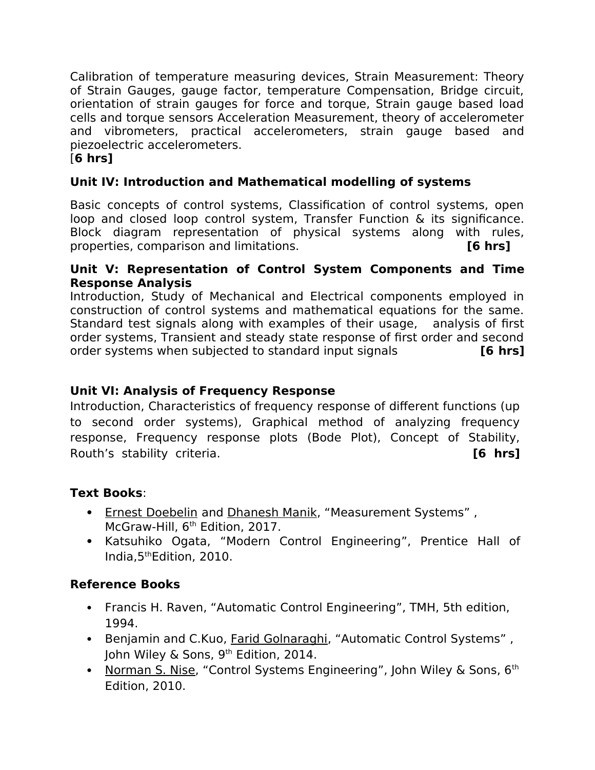Calibration of temperature measuring devices, Strain Measurement: Theory of Strain Gauges, gauge factor, temperature Compensation, Bridge circuit, orientation of strain gauges for force and torque, Strain gauge based load cells and torque sensors Acceleration Measurement, theory of accelerometer and vibrometers, practical accelerometers, strain gauge based and piezoelectric accelerometers.

## [**6 hrs]**

## **Unit IV: Introduction and Mathematical modelling of systems**

Basic concepts of control systems, Classification of control systems, open loop and closed loop control system, Transfer Function & its significance. Block diagram representation of physical systems along with rules, properties, comparison and limitations. **[6 hrs]**

#### **Unit V: Representation of Control System Components and Time Response Analysis**

Introduction, Study of Mechanical and Electrical components employed in construction of control systems and mathematical equations for the same. Standard test signals along with examples of their usage, analysis of first order systems, Transient and steady state response of first order and second order systems when subjected to standard input signals **[6 hrs]**

## **Unit VI: Analysis of Frequency Response**

Introduction, Characteristics of frequency response of diferent functions (up to second order systems), Graphical method of analyzing frequency response, Frequency response plots (Bode Plot), Concept of Stability, Routh's stability criteria. **[6 hrs]**

## **Text Books**:

- • [Ernest Doebelin](https://www.amazon.in/s/ref=dp_byline_sr_book_1?ie=UTF8&field-author=Ernest+Doebelin&search-alias=stripbooks) and [Dhanesh Manik,](https://www.amazon.in/s/ref=dp_byline_sr_book_2?ie=UTF8&field-author=Dhanesh+Manik&search-alias=stripbooks) "Measurement Systems", McGraw-Hill, 6<sup>th</sup> Edition, 2017.
- Katsuhiko Ogata, "Modern Control Engineering", Prentice Hall of India,5thEdition, 2010.

# **Reference Books**

- Francis H. Raven, "Automatic Control Engineering", TMH, 5th edition, 1994.
- Benjamin and C.Kuo, [Farid Golnaraghi,](https://www.amazon.in/s/ref=dp_byline_sr_book_1?ie=UTF8&field-author=Benjamin+C.+Kuo+Farid+Golnaraghi&search-alias=stripbooks) "Automatic Control Systems", John Wiley & Sons, 9<sup>th</sup> Edition, 2014.
- • [Norman S. Nise,](https://www.amazon.com/Norman-S.-Nise/e/B001H6N2G0/ref=dp_byline_cont_book_1) "Control Systems Engineering", John Wiley & Sons,  $6<sup>th</sup>$ Edition, 2010.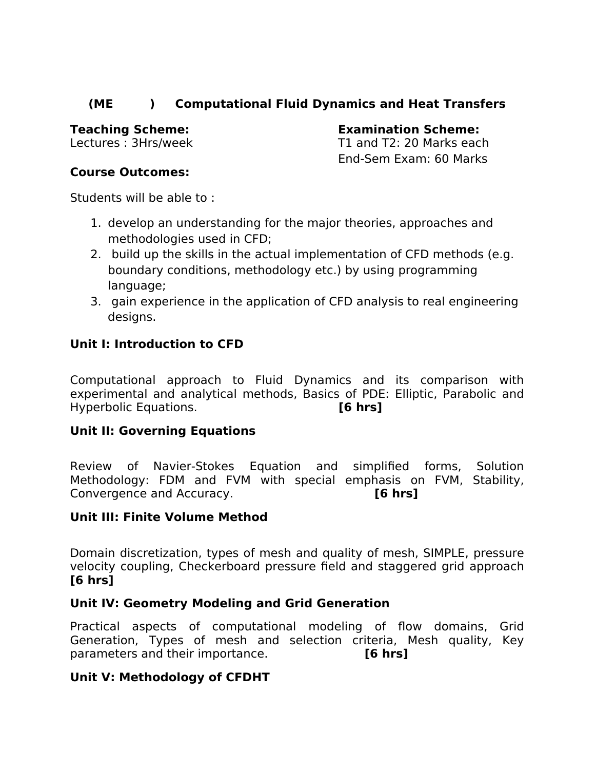## **(ME ) Computational Fluid Dynamics and Heat Transfers**

**Teaching Scheme: Examination Scheme:** 

Lectures : 3Hrs/week T1 and T2: 20 Marks each End-Sem Exam: 60 Marks

#### **Course Outcomes:**

Students will be able to :

- 1. develop an understanding for the major theories, approaches and methodologies used in CFD;
- 2. build up the skills in the actual implementation of CFD methods (e.g. boundary conditions, methodology etc.) by using programming language;
- 3. gain experience in the application of CFD analysis to real engineering designs.

# **Unit I: Introduction to CFD**

Computational approach to Fluid Dynamics and its comparison with experimental and analytical methods, Basics of PDE: Elliptic, Parabolic and Hyperbolic Equations. **[6 hrs]**

## **Unit II: Governing Equations**

Review of Navier-Stokes Equation and simplified forms, Solution Methodology: FDM and FVM with special emphasis on FVM, Stability, Convergence and Accuracy. **[6 hrs]**

## **Unit III: Finite Volume Method**

Domain discretization, types of mesh and quality of mesh, SIMPLE, pressure velocity coupling, Checkerboard pressure field and staggered grid approach **[6 hrs]**

## **Unit IV: Geometry Modeling and Grid Generation**

Practical aspects of computational modeling of flow domains, Grid Generation, Types of mesh and selection criteria, Mesh quality, Key parameters and their importance. **[6 hrs]**

## **Unit V: Methodology of CFDHT**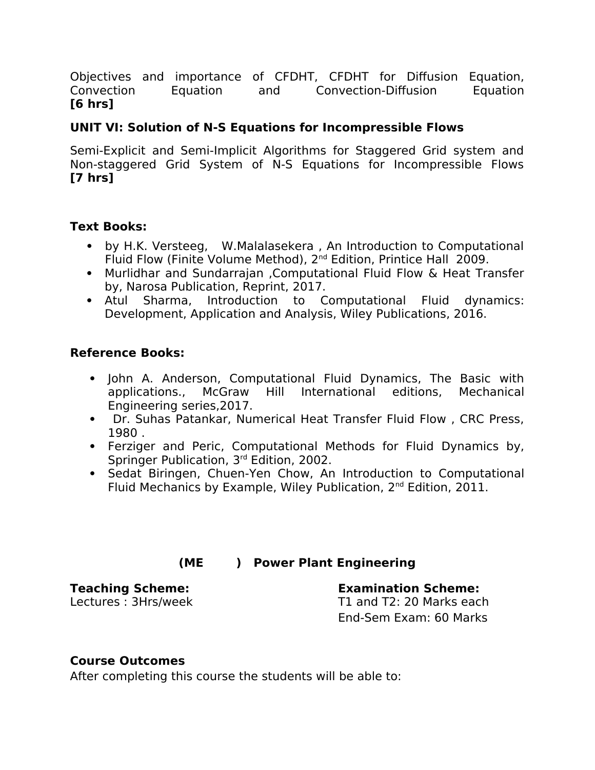Objectives and importance of CFDHT, CFDHT for Difusion Equation, Convection Equation and Convection-Difusion Equation **[6 hrs]**

## **UNIT VI: Solution of N-S Equations for Incompressible Flows**

Semi-Explicit and Semi-Implicit Algorithms for Staggered Grid system and Non-staggered Grid System of N-S Equations for Incompressible Flows **[7 hrs]**

#### **Text Books:**

- by H.K. Versteeg, W.Malalasekera , An Introduction to Computational Fluid Flow (Finite Volume Method), 2<sup>nd</sup> Edition, Printice Hall 2009.
- Murlidhar and Sundarrajan ,Computational Fluid Flow & Heat Transfer by, Narosa Publication, Reprint, 2017.
- Atul Sharma, Introduction to Computational Fluid dynamics: Development, Application and Analysis, Wiley Publications, 2016.

#### **Reference Books:**

- John A. Anderson, Computational Fluid Dynamics, The Basic with applications., McGraw Hill International editions, Mechanical Engineering series,2017.
- Dr. Suhas Patankar, Numerical Heat Transfer Fluid Flow , CRC Press, 1980 .
- Ferziger and Peric, Computational Methods for Fluid Dynamics by, Springer Publication, 3rd Edition, 2002.
- Sedat Biringen, Chuen-Yen Chow, An Introduction to Computational Fluid Mechanics by Example, Wiley Publication, 2<sup>nd</sup> Edition, 2011.

## **(ME ) Power Plant Engineering**

# **Teaching Scheme: Examination Scheme:**

Lectures : 3Hrs/week T1 and T2: 20 Marks each End-Sem Exam: 60 Marks

#### **Course Outcomes**

After completing this course the students will be able to: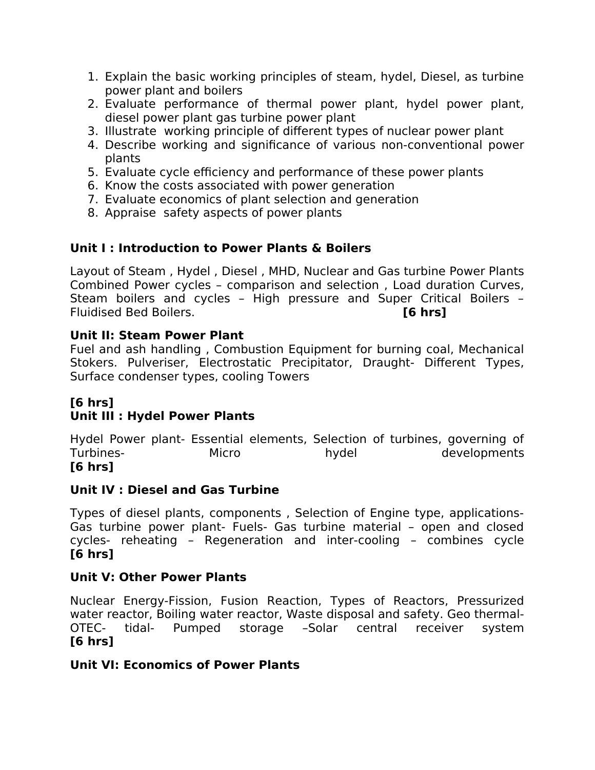- 1. Explain the basic working principles of steam, hydel, Diesel, as turbine power plant and boilers
- 2. Evaluate performance of thermal power plant, hydel power plant, diesel power plant gas turbine power plant
- 3. Illustrate working principle of diferent types of nuclear power plant
- 4. Describe working and significance of various non-conventional power plants
- 5. Evaluate cycle efficiency and performance of these power plants
- 6. Know the costs associated with power generation
- 7. Evaluate economics of plant selection and generation
- 8. Appraise safety aspects of power plants

# **Unit I : Introduction to Power Plants & Boilers**

Layout of Steam , Hydel , Diesel , MHD, Nuclear and Gas turbine Power Plants Combined Power cycles – comparison and selection , Load duration Curves, Steam boilers and cycles – High pressure and Super Critical Boilers – Fluidised Bed Boilers. **[6 hrs]**

## **Unit II: Steam Power Plant**

Fuel and ash handling , Combustion Equipment for burning coal, Mechanical Stokers. Pulveriser, Electrostatic Precipitator, Draught- Diferent Types, Surface condenser types, cooling Towers

# **[6 hrs]**

# **Unit III : Hydel Power Plants**

Hydel Power plant- Essential elements, Selection of turbines, governing of Turbines- Micro hydel developments **[6 hrs]**

## **Unit IV : Diesel and Gas Turbine**

Types of diesel plants, components , Selection of Engine type, applications-Gas turbine power plant- Fuels- Gas turbine material – open and closed cycles- reheating – Regeneration and inter-cooling – combines cycle **[6 hrs]**

## **Unit V: Other Power Plants**

Nuclear Energy-Fission, Fusion Reaction, Types of Reactors, Pressurized water reactor, Boiling water reactor, Waste disposal and safety. Geo thermal-OTEC- tidal- Pumped storage –Solar central receiver system **[6 hrs]**

## **Unit VI: Economics of Power Plants**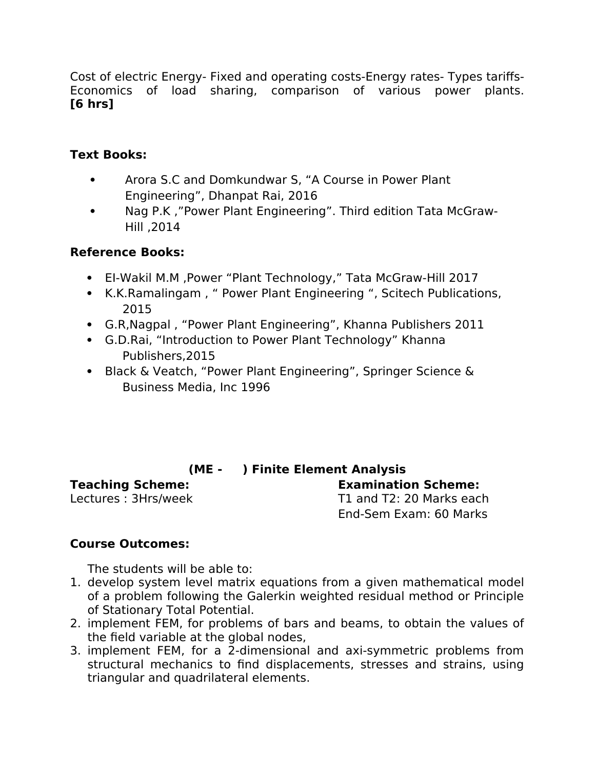Cost of electric Energy- Fixed and operating costs-Energy rates- Types tarifs-Economics of load sharing, comparison of various power plants. **[6 hrs]**

## **Text Books:**

- Arora S.C and Domkundwar S, "A Course in Power Plant Engineering", Dhanpat Rai, 2016
- Nag P.K ,"Power Plant Engineering". Third edition Tata McGraw-Hill ,2014

## **Reference Books:**

- EI-Wakil M.M ,Power "Plant Technology," Tata McGraw-Hill 2017
- K.K.Ramalingam , " Power Plant Engineering ", Scitech Publications, 2015
- G.R,Nagpal , "Power Plant Engineering", Khanna Publishers 2011
- G.D.Rai, "Introduction to Power Plant Technology" Khanna Publishers,2015
- Black & Veatch, "Power Plant Engineering", Springer Science & Business Media, Inc 1996

## **(ME - ) Finite Element Analysis**

**Teaching Scheme: Examination Scheme:**  T1 and  $T2: 20$  Marks each End-Sem Exam: 60 Marks

## **Course Outcomes:**

The students will be able to:

- 1. develop system level matrix equations from a given mathematical model of a problem following the Galerkin weighted residual method or Principle of Stationary Total Potential.
- 2. implement FEM, for problems of bars and beams, to obtain the values of the field variable at the global nodes,
- 3. implement FEM, for a 2-dimensional and axi-symmetric problems from structural mechanics to find displacements, stresses and strains, using triangular and quadrilateral elements.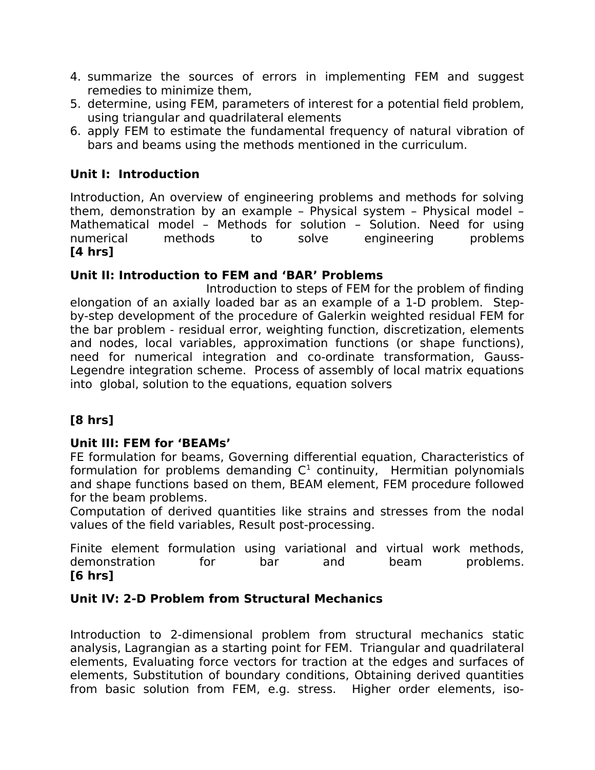- 4. summarize the sources of errors in implementing FEM and suggest remedies to minimize them,
- 5. determine, using FEM, parameters of interest for a potential field problem, using triangular and quadrilateral elements
- 6. apply FEM to estimate the fundamental frequency of natural vibration of bars and beams using the methods mentioned in the curriculum.

## **Unit I: Introduction**

Introduction, An overview of engineering problems and methods for solving them, demonstration by an example – Physical system – Physical model – Mathematical model – Methods for solution – Solution. Need for using numerical methods to solve engineering problems **[4 hrs]**

#### **Unit II: Introduction to FEM and 'BAR' Problems**

Introduction to steps of FEM for the problem of finding elongation of an axially loaded bar as an example of a 1-D problem. Stepby-step development of the procedure of Galerkin weighted residual FEM for the bar problem - residual error, weighting function, discretization, elements and nodes, local variables, approximation functions (or shape functions), need for numerical integration and co-ordinate transformation, Gauss-Legendre integration scheme. Process of assembly of local matrix equations into global, solution to the equations, equation solvers

# **[8 hrs]**

## **Unit III: FEM for 'BEAMs'**

FE formulation for beams, Governing diferential equation, Characteristics of formulation for problems demanding  $C<sup>1</sup>$  continuity, Hermitian polynomials and shape functions based on them, BEAM element, FEM procedure followed for the beam problems.

Computation of derived quantities like strains and stresses from the nodal values of the field variables, Result post-processing.

Finite element formulation using variational and virtual work methods, demonstration for bar and beam problems. **[6 hrs]**

#### **Unit IV: 2-D Problem from Structural Mechanics**

Introduction to 2-dimensional problem from structural mechanics static analysis, Lagrangian as a starting point for FEM. Triangular and quadrilateral elements, Evaluating force vectors for traction at the edges and surfaces of elements, Substitution of boundary conditions, Obtaining derived quantities from basic solution from FEM, e.g. stress. Higher order elements, iso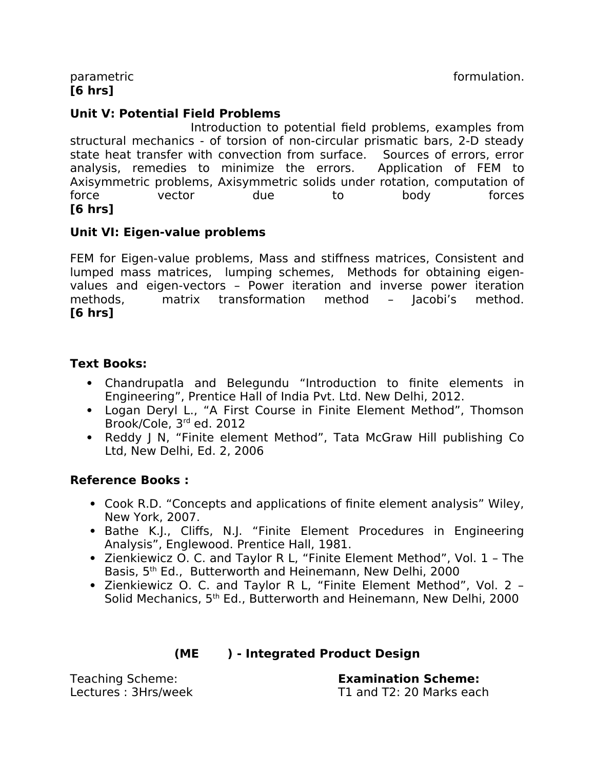parametric parametric control of the control of the control of the control of the control of the control of the control of the control of the control of the control of the control of the control of the control of the contr

**[6 hrs]**

## **Unit V: Potential Field Problems**

Introduction to potential field problems, examples from structural mechanics - of torsion of non-circular prismatic bars, 2-D steady state heat transfer with convection from surface. Sources of errors, error analysis, remedies to minimize the errors. Application of FEM to Axisymmetric problems, Axisymmetric solids under rotation, computation of force vector due to body forces **[6 hrs]**

#### **Unit VI: Eigen-value problems**

FEM for Eigen-value problems, Mass and stifness matrices, Consistent and lumped mass matrices, lumping schemes, Methods for obtaining eigenvalues and eigen-vectors – Power iteration and inverse power iteration methods, matrix transformation method – Jacobi's method. **[6 hrs]**

#### **Text Books:**

- Chandrupatla and Belegundu "Introduction to finite elements in Engineering", Prentice Hall of India Pvt. Ltd. New Delhi, 2012.
- Logan Deryl L., "A First Course in Finite Element Method", Thomson Brook/Cole, 3rd ed. 2012
- Reddy J N, "Finite element Method", Tata McGraw Hill publishing Co Ltd, New Delhi, Ed. 2, 2006

## **Reference Books :**

- Cook R.D. "Concepts and applications of finite element analysis" Wiley, New York, 2007.
- Bathe K.J., Cliffs, N.J. "Finite Element Procedures in Engineering Analysis", Englewood. Prentice Hall, 1981.
- Zienkiewicz O. C. and Taylor R L, "Finite Element Method", Vol. 1 The Basis, 5<sup>th</sup> Ed., Butterworth and Heinemann, New Delhi, 2000
- Zienkiewicz O. C. and Taylor R L, "Finite Element Method", Vol. 2 Solid Mechanics, 5<sup>th</sup> Ed., Butterworth and Heinemann, New Delhi, 2000

| (ME |  | ) - Integrated Product Design |
|-----|--|-------------------------------|
|-----|--|-------------------------------|

Teaching Scheme: **Examination Scheme:**  Lectures : 3Hrs/week T1 and T2: 20 Marks each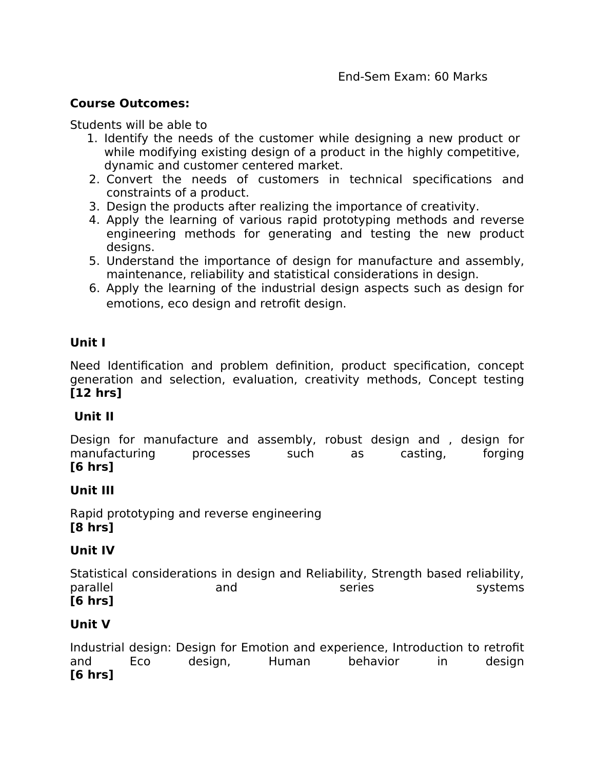#### **Course Outcomes:**

Students will be able to

- 1. Identify the needs of the customer while designing a new product or while modifying existing design of a product in the highly competitive, dynamic and customer centered market.
- 2. Convert the needs of customers in technical specifications and constraints of a product.
- 3. Design the products after realizing the importance of creativity.
- 4. Apply the learning of various rapid prototyping methods and reverse engineering methods for generating and testing the new product designs.
- 5. Understand the importance of design for manufacture and assembly, maintenance, reliability and statistical considerations in design.
- 6. Apply the learning of the industrial design aspects such as design for emotions, eco design and retrofit design.

## **Unit I**

Need Identification and problem definition, product specification, concept generation and selection, evaluation, creativity methods, Concept testing **[12 hrs]**

## **Unit II**

Design for manufacture and assembly, robust design and , design for manufacturing processes such as casting, forging **[6 hrs]**

## **Unit III**

Rapid prototyping and reverse engineering **[8 hrs]**

## **Unit IV**

Statistical considerations in design and Reliability, Strength based reliability, parallel and and series systems **[6 hrs]**

## **Unit V**

Industrial design: Design for Emotion and experience, Introduction to retrofit and Eco design, Human behavior in design **[6 hrs]**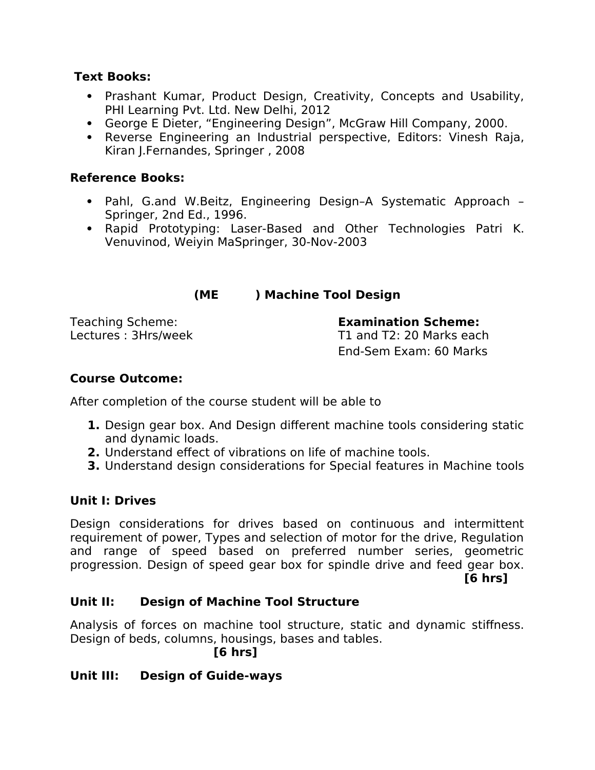#### **Text Books:**

- Prashant Kumar, Product Design, Creativity, Concepts and Usability, PHI Learning Pvt. Ltd. New Delhi, 2012
- George E Dieter, "Engineering Design", McGraw Hill Company, 2000.
- Reverse Engineering an Industrial perspective, Editors: Vinesh Raja, Kiran J.Fernandes, Springer , 2008

#### **Reference Books:**

- Pahl, G.and W.Beitz, Engineering Design–A Systematic Approach Springer, 2nd Ed., 1996.
- Rapid Prototyping: Laser-Based and Other Technologies Patri K. Venuvinod, Weiyin MaSpringer, 30-Nov-2003

#### **(ME ) Machine Tool Design**

Teaching Scheme: **Examination Scheme:** 

Lectures : 3Hrs/week T1 and T2: 20 Marks each End-Sem Exam: 60 Marks

## **Course Outcome:**

After completion of the course student will be able to

- **1.** Design gear box. And Design diferent machine tools considering static and dynamic loads.
- **2.** Understand efect of vibrations on life of machine tools.
- **3.** Understand design considerations for Special features in Machine tools

## **Unit I: Drives**

Design considerations for drives based on continuous and intermittent requirement of power, Types and selection of motor for the drive, Regulation and range of speed based on preferred number series, geometric progression. Design of speed gear box for spindle drive and feed gear box.

**[6 hrs]**

## **Unit II: Design of Machine Tool Structure**

Analysis of forces on machine tool structure, static and dynamic stifness. Design of beds, columns, housings, bases and tables.

**[6 hrs]** 

## **Unit III: Design of Guide-ways**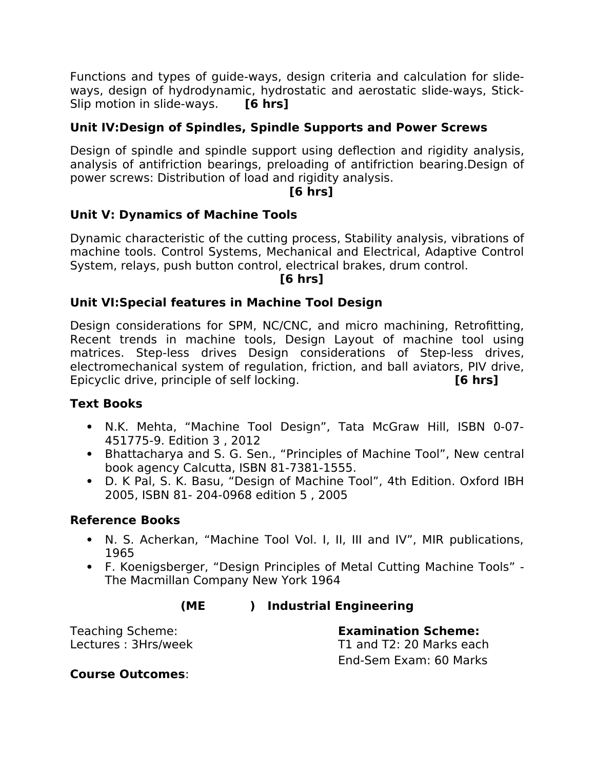Functions and types of guide-ways, design criteria and calculation for slideways, design of hydrodynamic, hydrostatic and aerostatic slide-ways, Stick-Slip motion in slide-ways. **[6 hrs]** 

# **Unit IV:Design of Spindles, Spindle Supports and Power Screws**

Design of spindle and spindle support using defection and rigidity analysis, analysis of antifriction bearings, preloading of antifriction bearing.Design of power screws: Distribution of load and rigidity analysis.

#### **[6 hrs]**

## **Unit V: Dynamics of Machine Tools**

Dynamic characteristic of the cutting process, Stability analysis, vibrations of machine tools. Control Systems, Mechanical and Electrical, Adaptive Control System, relays, push button control, electrical brakes, drum control.

#### **[6 hrs]**

#### **Unit VI:Special features in Machine Tool Design**

Design considerations for SPM, NC/CNC, and micro machining, Retrofitting, Recent trends in machine tools, Design Layout of machine tool using matrices. Step-less drives Design considerations of Step-less drives, electromechanical system of regulation, friction, and ball aviators, PIV drive, Epicyclic drive, principle of self locking. **[6 hrs]**

#### **Text Books**

- N.K. Mehta, "Machine Tool Design", Tata McGraw Hill, ISBN 0-07- 451775-9. Edition 3 , 2012
- Bhattacharya and S. G. Sen., "Principles of Machine Tool", New central book agency Calcutta, ISBN 81-7381-1555.
- D. K Pal, S. K. Basu, "Design of Machine Tool", 4th Edition. Oxford IBH 2005, ISBN 81- 204-0968 edition 5 , 2005

#### **Reference Books**

- N. S. Acherkan, "Machine Tool Vol. I, II, III and IV", MIR publications, 1965
- F. Koenigsberger, "Design Principles of Metal Cutting Machine Tools" The Macmillan Company New York 1964

# **(ME ) Industrial Engineering**

Teaching Scheme: **Examination Scheme:** 

Lectures : 3Hrs/week T1 and T2: 20 Marks each End-Sem Exam: 60 Marks

#### **Course Outcomes**: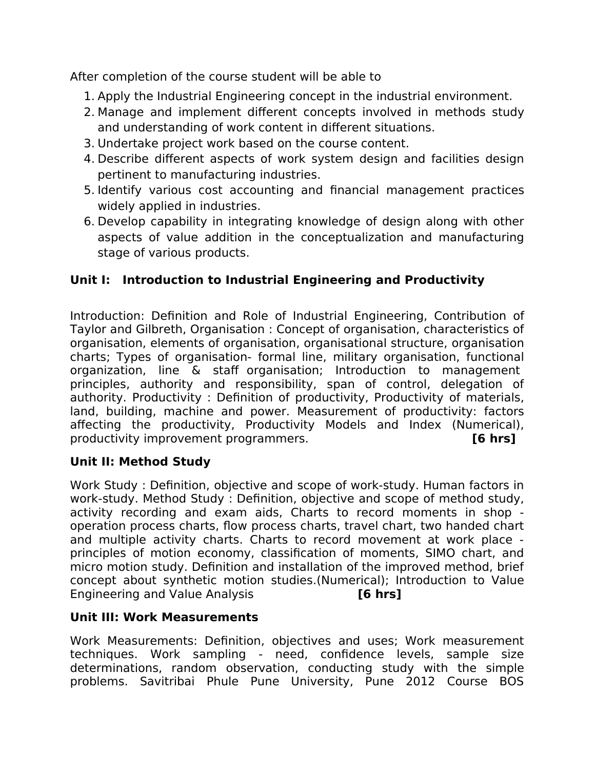After completion of the course student will be able to

- 1. Apply the Industrial Engineering concept in the industrial environment.
- 2. Manage and implement diferent concepts involved in methods study and understanding of work content in diferent situations.
- 3. Undertake project work based on the course content.
- 4. Describe diferent aspects of work system design and facilities design pertinent to manufacturing industries.
- 5. Identify various cost accounting and financial management practices widely applied in industries.
- 6. Develop capability in integrating knowledge of design along with other aspects of value addition in the conceptualization and manufacturing stage of various products.

# **Unit I: Introduction to Industrial Engineering and Productivity**

Introduction: Definition and Role of Industrial Engineering, Contribution of Taylor and Gilbreth, Organisation : Concept of organisation, characteristics of organisation, elements of organisation, organisational structure, organisation charts; Types of organisation- formal line, military organisation, functional organization, line & staff organisation; Introduction to management principles, authority and responsibility, span of control, delegation of authority. Productivity : Definition of productivity, Productivity of materials, land, building, machine and power. Measurement of productivity: factors afecting the productivity, Productivity Models and Index (Numerical), productivity improvement programmers. **[6 hrs]**

#### **Unit II: Method Study**

Work Study : Definition, objective and scope of work-study. Human factors in work-study. Method Study : Definition, objective and scope of method study, activity recording and exam aids, Charts to record moments in shop operation process charts, fow process charts, travel chart, two handed chart and multiple activity charts. Charts to record movement at work place principles of motion economy, classification of moments, SIMO chart, and micro motion study. Definition and installation of the improved method, brief concept about synthetic motion studies.(Numerical); Introduction to Value Engineering and Value Analysis **[6 hrs]**

#### **Unit III: Work Measurements**

Work Measurements: Definition, objectives and uses; Work measurement techniques. Work sampling - need, confidence levels, sample size determinations, random observation, conducting study with the simple problems. Savitribai Phule Pune University, Pune 2012 Course BOS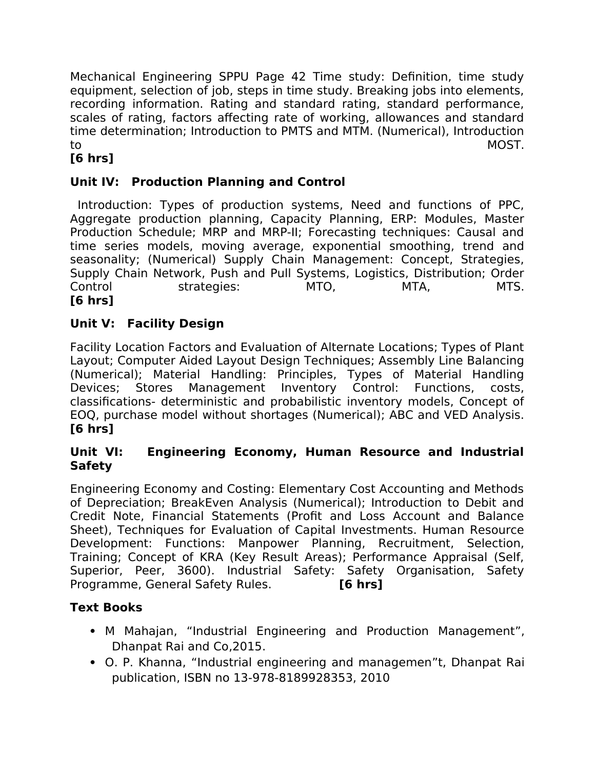Mechanical Engineering SPPU Page 42 Time study: Definition, time study equipment, selection of job, steps in time study. Breaking jobs into elements, recording information. Rating and standard rating, standard performance, scales of rating, factors affecting rate of working, allowances and standard time determination; Introduction to PMTS and MTM. (Numerical), Introduction to MOST.

# **[6 hrs]**

# **Unit IV: Production Planning and Control**

Introduction: Types of production systems, Need and functions of PPC, Aggregate production planning, Capacity Planning, ERP: Modules, Master Production Schedule; MRP and MRP-II; Forecasting techniques: Causal and time series models, moving average, exponential smoothing, trend and seasonality; (Numerical) Supply Chain Management: Concept, Strategies, Supply Chain Network, Push and Pull Systems, Logistics, Distribution; Order Control strategies: MTO, MTA, MTS. **[6 hrs]**

## **Unit V: Facility Design**

Facility Location Factors and Evaluation of Alternate Locations; Types of Plant Layout; Computer Aided Layout Design Techniques; Assembly Line Balancing (Numerical); Material Handling: Principles, Types of Material Handling Devices; Stores Management Inventory Control: Functions, costs, classifications- deterministic and probabilistic inventory models, Concept of EOQ, purchase model without shortages (Numerical); ABC and VED Analysis. **[6 hrs]** 

#### **Unit VI: Engineering Economy, Human Resource and Industrial Safety**

Engineering Economy and Costing: Elementary Cost Accounting and Methods of Depreciation; BreakEven Analysis (Numerical); Introduction to Debit and Credit Note, Financial Statements (Profit and Loss Account and Balance Sheet), Techniques for Evaluation of Capital Investments. Human Resource Development: Functions: Manpower Planning, Recruitment, Selection, Training; Concept of KRA (Key Result Areas); Performance Appraisal (Self, Superior, Peer, 3600). Industrial Safety: Safety Organisation, Safety Programme, General Safety Rules. **[6 hrs]**

## **Text Books**

- M Mahajan, "Industrial Engineering and Production Management", Dhanpat Rai and Co,2015.
- O. P. Khanna, "Industrial engineering and managemen"t, Dhanpat Rai publication, ISBN no 13-978-8189928353, 2010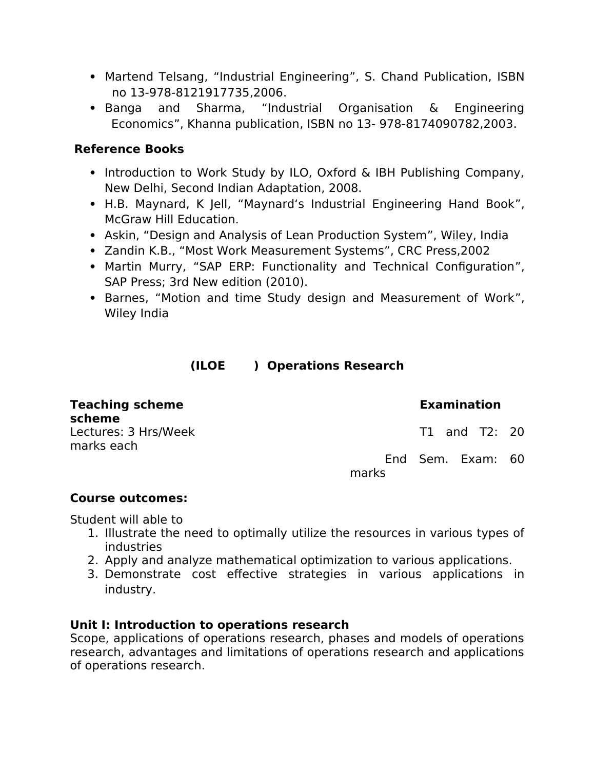- Martend Telsang, "Industrial Engineering", S. Chand Publication, ISBN no 13-978-8121917735,2006.
- Banga and Sharma, "Industrial Organisation & Engineering Economics", Khanna publication, ISBN no 13- 978-8174090782,2003.

## **Reference Books**

- Introduction to Work Study by ILO, Oxford & IBH Publishing Company, New Delhi, Second Indian Adaptation, 2008.
- H.B. Maynard, K Jell, "Maynard's Industrial Engineering Hand Book", McGraw Hill Education.
- Askin, "Design and Analysis of Lean Production System", Wiley, India
- Zandin K.B., "Most Work Measurement Systems", CRC Press,2002
- Martin Murry, "SAP ERP: Functionality and Technical Configuration", SAP Press; 3rd New edition (2010).
- Barnes, "Motion and time Study design and Measurement of Work", Wiley India

# **(ILOE ) Operations Research**

| <b>Teaching scheme</b><br>scheme   | <b>Examination</b>         |  |
|------------------------------------|----------------------------|--|
| Lectures: 3 Hrs/Week<br>marks each | T1 and T2: 20              |  |
|                                    | End Sem. Exam: 60<br>marks |  |

#### **Course outcomes:**

Student will able to

- 1. Illustrate the need to optimally utilize the resources in various types of industries
- 2. Apply and analyze mathematical optimization to various applications.
- 3. Demonstrate cost efective strategies in various applications in industry.

#### **Unit I: Introduction to operations research**

Scope, applications of operations research, phases and models of operations research, advantages and limitations of operations research and applications of operations research.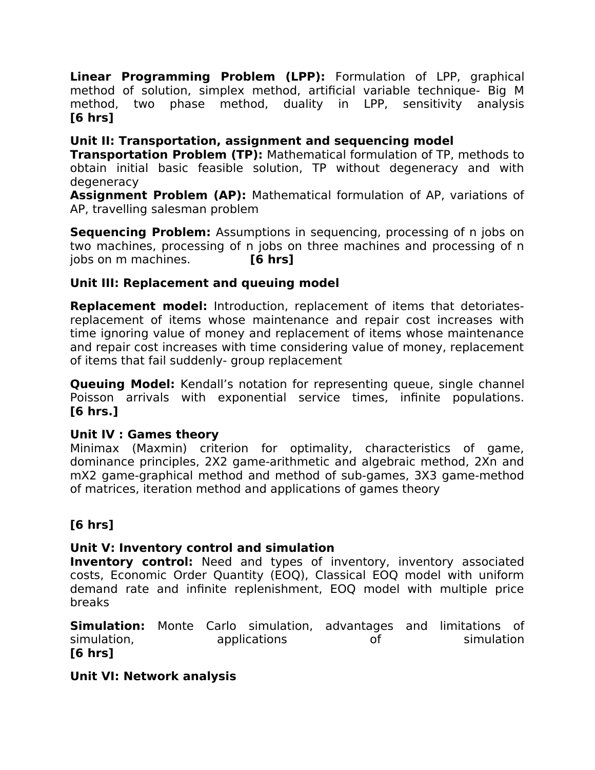**Linear Programming Problem (LPP):** Formulation of LPP, graphical method of solution, simplex method, artificial variable technique- Big M method, two phase method, duality in LPP, sensitivity analysis **[6 hrs]**

# **Unit II: Transportation, assignment and sequencing model**

**Transportation Problem (TP):** Mathematical formulation of TP, methods to obtain initial basic feasible solution, TP without degeneracy and with degeneracy

**Assignment Problem (AP):** Mathematical formulation of AP, variations of AP, travelling salesman problem

**Sequencing Problem:** Assumptions in sequencing, processing of n jobs on two machines, processing of n jobs on three machines and processing of n jobs on m machines. **[6 hrs]**

## **Unit III: Replacement and queuing model**

**Replacement model:** Introduction, replacement of items that detoriatesreplacement of items whose maintenance and repair cost increases with time ignoring value of money and replacement of items whose maintenance and repair cost increases with time considering value of money, replacement of items that fail suddenly- group replacement

**Queuing Model:** Kendall's notation for representing queue, single channel Poisson arrivals with exponential service times, infinite populations. **[6 hrs.]**

#### **Unit IV : Games theory**

Minimax (Maxmin) criterion for optimality, characteristics of game, dominance principles, 2X2 game-arithmetic and algebraic method, 2Xn and mX2 game-graphical method and method of sub-games, 3X3 game-method of matrices, iteration method and applications of games theory

# **[6 hrs]**

## **Unit V: Inventory control and simulation**

**Inventory control:** Need and types of inventory, inventory associated costs, Economic Order Quantity (EOQ), Classical EOQ model with uniform demand rate and infinite replenishment, EOQ model with multiple price breaks

**Simulation:** Monte Carlo simulation, advantages and limitations of simulation, applications of simulation applications of simulation **[6 hrs]**

## **Unit VI: Network analysis**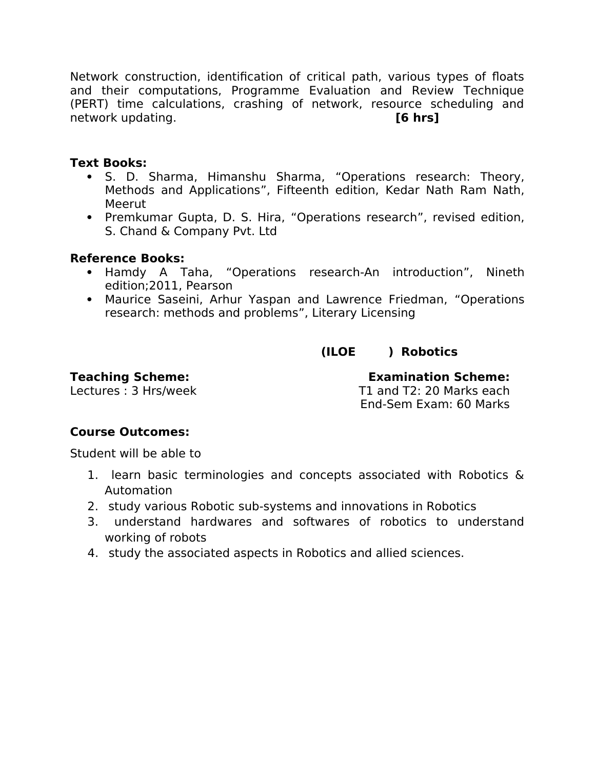Network construction, identification of critical path, various types of foats and their computations, Programme Evaluation and Review Technique (PERT) time calculations, crashing of network, resource scheduling and network updating. **[6 hrs]**

#### **Text Books:**

- S. D. Sharma, Himanshu Sharma, "Operations research: Theory, Methods and Applications", Fifteenth edition, Kedar Nath Ram Nath, Meerut
- Premkumar Gupta, D. S. Hira, "Operations research", revised edition, S. Chand & Company Pvt. Ltd

#### **Reference Books:**

- Hamdy A Taha, "Operations research-An introduction", Nineth edition;2011, Pearson
- Maurice Saseini, Arhur Yaspan and Lawrence Friedman, "Operations research: methods and problems", Literary Licensing

## **(ILOE ) Robotics**

**Teaching Scheme: Examination Scheme:**  T1 and T2: 20 Marks each End-Sem Exam: 60 Marks

#### **Course Outcomes:**

Student will be able to

- 1. learn basic terminologies and concepts associated with Robotics & Automation
- 2. study various Robotic sub-systems and innovations in Robotics
- 3. understand hardwares and softwares of robotics to understand working of robots
- 4. study the associated aspects in Robotics and allied sciences.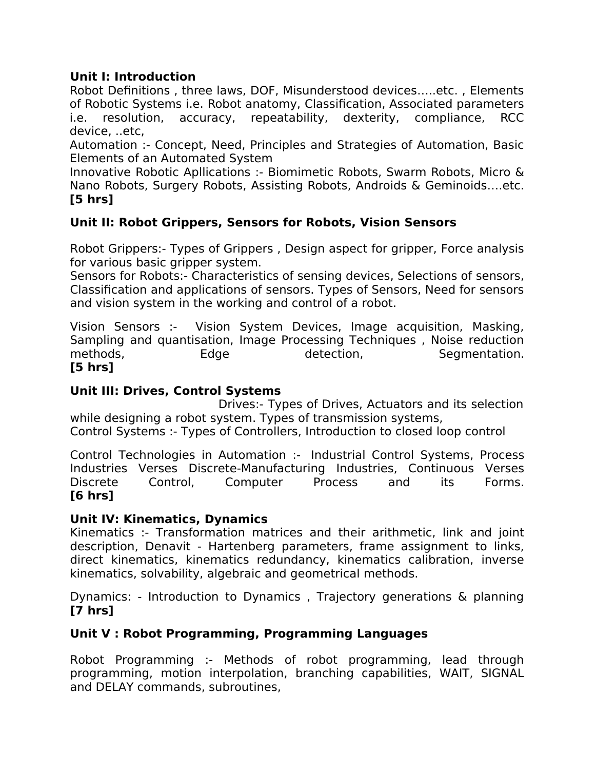#### **Unit I: Introduction**

Robot Definitions , three laws, DOF, Misunderstood devices…..etc. , Elements of Robotic Systems i.e. Robot anatomy, Classification, Associated parameters i.e. resolution, accuracy, repeatability, dexterity, compliance, RCC device, ..etc,

Automation :- Concept, Need, Principles and Strategies of Automation, Basic Elements of an Automated System

Innovative Robotic Apllications :- Biomimetic Robots, Swarm Robots, Micro & Nano Robots, Surgery Robots, Assisting Robots, Androids & Geminoids….etc. **[5 hrs]**

## **Unit II: Robot Grippers, Sensors for Robots, Vision Sensors**

Robot Grippers:- Types of Grippers , Design aspect for gripper, Force analysis for various basic gripper system.

Sensors for Robots:- Characteristics of sensing devices, Selections of sensors, Classification and applications of sensors. Types of Sensors, Need for sensors and vision system in the working and control of a robot.

Vision Sensors :- Vision System Devices, Image acquisition, Masking, Sampling and quantisation, Image Processing Techniques , Noise reduction methods, Edge detection, Segmentation. **[5 hrs]**

#### **Unit III: Drives, Control Systems**

 Drives:- Types of Drives, Actuators and its selection while designing a robot system. Types of transmission systems, Control Systems :- Types of Controllers, Introduction to closed loop control

Control Technologies in Automation :- Industrial Control Systems, Process Industries Verses Discrete-Manufacturing Industries, Continuous Verses Discrete Control, Computer Process and its Forms. **[6 hrs]**

#### **Unit IV: Kinematics, Dynamics**

Kinematics :- Transformation matrices and their arithmetic, link and joint description, Denavit - Hartenberg parameters, frame assignment to links, direct kinematics, kinematics redundancy, kinematics calibration, inverse kinematics, solvability, algebraic and geometrical methods.

Dynamics: - Introduction to Dynamics , Trajectory generations & planning **[7 hrs]**

## **Unit V : Robot Programming, Programming Languages**

Robot Programming :- Methods of robot programming, lead through programming, motion interpolation, branching capabilities, WAIT, SIGNAL and DELAY commands, subroutines,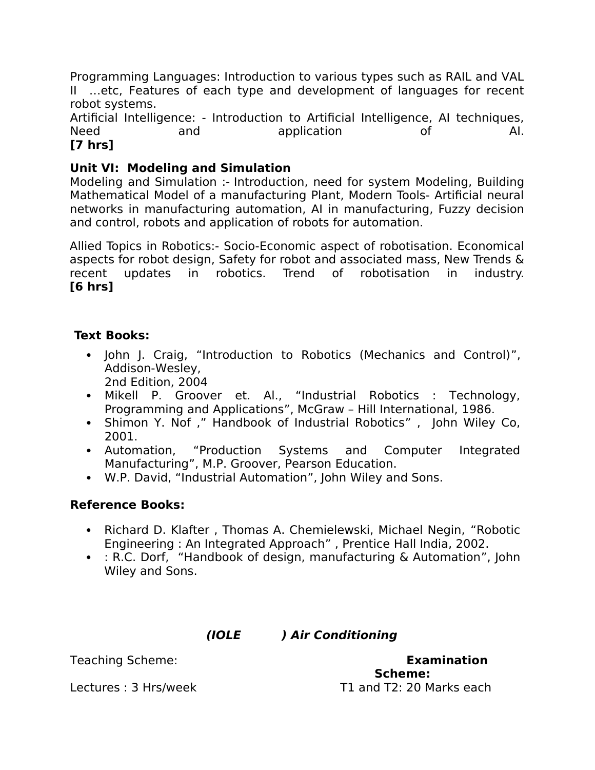Programming Languages: Introduction to various types such as RAIL and VAL II …etc, Features of each type and development of languages for recent robot systems.

Artificial Intelligence: - Introduction to Artificial Intelligence, AI techniques, Need and application of AI. **[7 hrs]**

# **Unit VI: Modeling and Simulation**

Modeling and Simulation :- Introduction, need for system Modeling, Building Mathematical Model of a manufacturing Plant, Modern Tools- Artificial neural networks in manufacturing automation, AI in manufacturing, Fuzzy decision and control, robots and application of robots for automation.

Allied Topics in Robotics:- Socio-Economic aspect of robotisation. Economical aspects for robot design, Safety for robot and associated mass, New Trends & recent updates in robotics. Trend of robotisation in industry. **[6 hrs]**

#### **Text Books:**

- John J. Craig, "Introduction to Robotics (Mechanics and Control)", Addison-Wesley,
- 2nd Edition, 2004
- Mikell P. Groover et. Al., "Industrial Robotics : Technology, Programming and Applications", McGraw – Hill International, 1986.
- Shimon Y. Nof ," Handbook of Industrial Robotics" , John Wiley Co, 2001.
- Automation, "Production Systems and Computer Integrated Manufacturing", M.P. Groover, Pearson Education.
- W.P. David, "Industrial Automation", John Wiley and Sons.

## **Reference Books:**

- Richard D. Klafter, Thomas A. Chemielewski, Michael Negin, "Robotic Engineering : An Integrated Approach" , Prentice Hall India, 2002.
- : R.C. Dorf, "Handbook of design, manufacturing & Automation", John Wiley and Sons.

#### **(IOLE ) Air Conditioning**

Teaching Scheme: **Examination Scheme:**  Lectures : 3 Hrs/week T1 and T2: 20 Marks each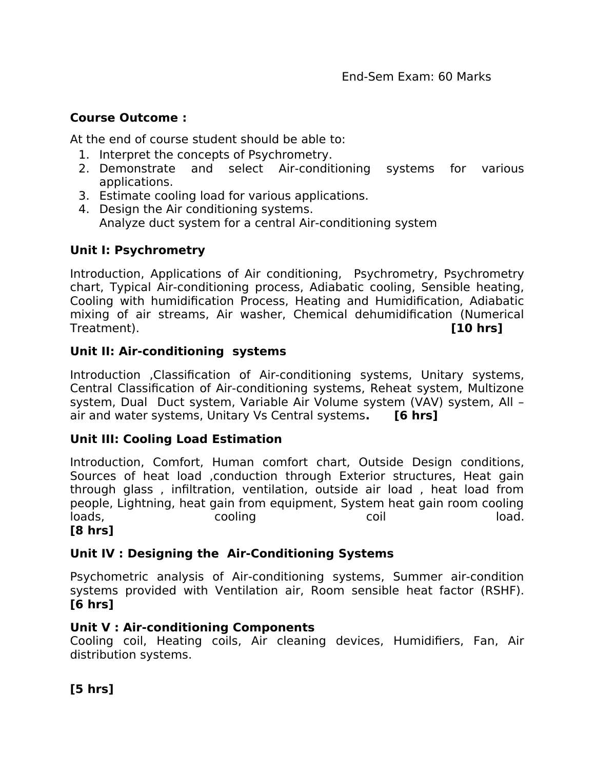#### **Course Outcome :**

At the end of course student should be able to:

- 1. Interpret the concepts of Psychrometry.
- 2. Demonstrate and select Air-conditioning systems for various applications.
- 3. Estimate cooling load for various applications.
- 4. Design the Air conditioning systems. Analyze duct system for a central Air-conditioning system

## **Unit I: Psychrometry**

Introduction, Applications of Air conditioning, Psychrometry, Psychrometry chart, Typical Air-conditioning process, Adiabatic cooling, Sensible heating, Cooling with humidification Process, Heating and Humidification, Adiabatic mixing of air streams, Air washer, Chemical dehumidification (Numerical Treatment). **[10 hrs]**

#### **Unit II: Air-conditioning systems**

Introduction ,Classification of Air-conditioning systems, Unitary systems, Central Classification of Air-conditioning systems, Reheat system, Multizone system, Dual Duct system, Variable Air Volume system (VAV) system, All – air and water systems, Unitary Vs Central systems**. [6 hrs]**

## **Unit III: Cooling Load Estimation**

Introduction, Comfort, Human comfort chart, Outside Design conditions, Sources of heat load ,conduction through Exterior structures, Heat gain through glass , infiltration, ventilation, outside air load , heat load from people, Lightning, heat gain from equipment, System heat gain room cooling loads, cooling coil load.

#### **[8 hrs]**

## **Unit IV : Designing the Air-Conditioning Systems**

Psychometric analysis of Air-conditioning systems, Summer air-condition systems provided with Ventilation air, Room sensible heat factor (RSHF). **[6 hrs]**

#### **Unit V : Air-conditioning Components**

Cooling coil, Heating coils, Air cleaning devices, Humidifiers, Fan, Air distribution systems.

## **[5 hrs]**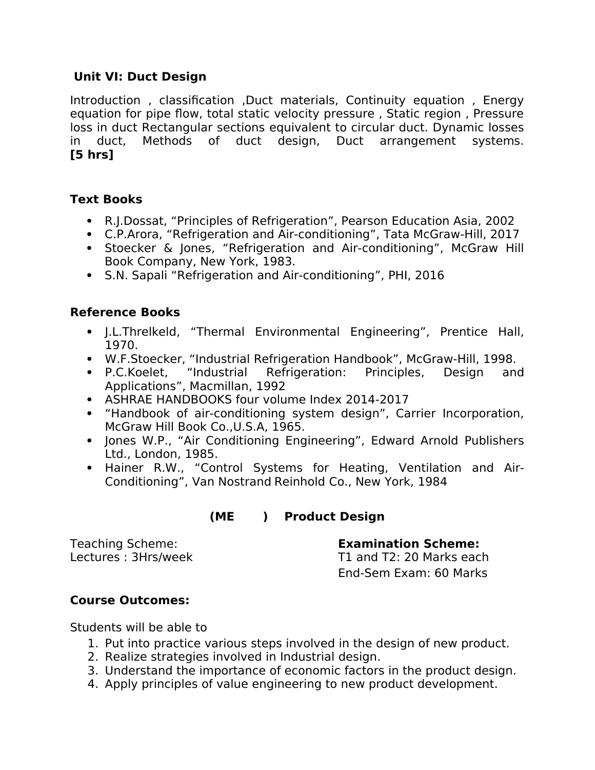#### **Unit VI: Duct Design**

Introduction, classification, Duct materials, Continuity equation, Energy equation for pipe flow, total static velocity pressure, Static region, Pressure loss in duct Rectangular sections equivalent to circular duct. Dynamic losses in duct, Methods of duct design, Duct arrangement systems. **[5 hrs]**

## **Text Books**

- R.J.Dossat, "Principles of Refrigeration", Pearson Education Asia, 2002
- C.P.Arora, "Refrigeration and Air-conditioning", Tata McGraw-Hill, 2017
- Stoecker & Jones, "Refrigeration and Air-conditioning", McGraw Hill Book Company, New York, 1983.
- S.N. Sapali "Refrigeration and Air-conditioning", PHI, 2016

## **Reference Books**

- J.L.Threlkeld, "Thermal Environmental Engineering", Prentice Hall, 1970.
- W.F.Stoecker, "Industrial Refrigeration Handbook", McGraw-Hill, 1998.
- P.C.Koelet, "Industrial Refrigeration: Principles, Design and Applications", Macmillan, 1992
- ASHRAE HANDBOOKS four volume Index 2014-2017
- "Handbook of air-conditioning system design", Carrier Incorporation, McGraw Hill Book Co.,U.S.A, 1965.
- Jones W.P., "Air Conditioning Engineering", Edward Arnold Publishers Ltd., London, 1985.
- Hainer R.W., "Control Systems for Heating, Ventilation and Air-Conditioning", Van Nostrand Reinhold Co., New York, 1984

# **(ME ) Product Design**

Lectures: 3Hrs/week T1 and T2: 20 Marks each

Teaching Scheme: **Examination Scheme:** 

End-Sem Exam: 60 Marks

## **Course Outcomes:**

Students will be able to

- 1. Put into practice various steps involved in the design of new product.
- 2. Realize strategies involved in Industrial design.
- 3. Understand the importance of economic factors in the product design.
- 4. Apply principles of value engineering to new product development.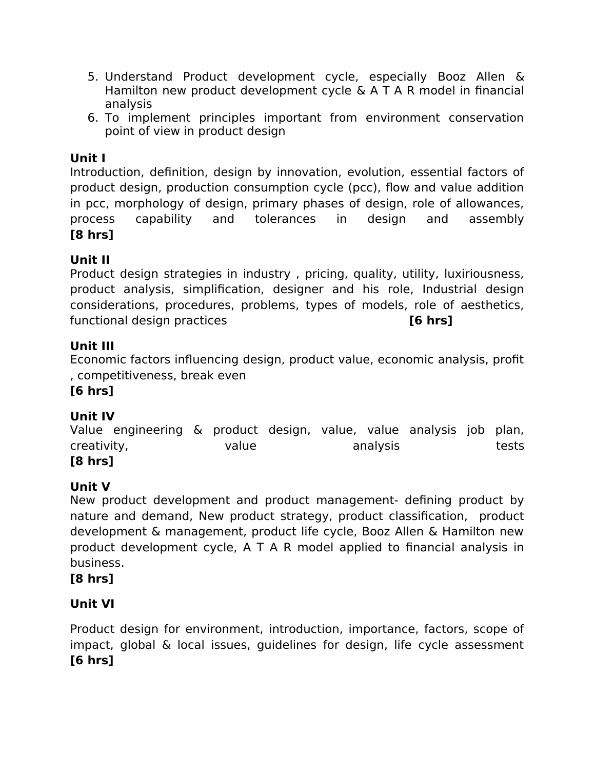- 5. Understand Product development cycle, especially Booz Allen & Hamilton new product development cycle & A T A R model in financial analysis
- 6. To implement principles important from environment conservation point of view in product design

# **Unit I**

Introduction, definition, design by innovation, evolution, essential factors of product design, production consumption cycle (pcc), fow and value addition in pcc, morphology of design, primary phases of design, role of allowances, process capability and tolerances in design and assembly **[8 hrs]**

# **Unit II**

Product design strategies in industry , pricing, quality, utility, luxiriousness, product analysis, simplification, designer and his role, Industrial design considerations, procedures, problems, types of models, role of aesthetics, functional design practices **[6 hrs]**

## **Unit III**

Economic factors infuencing design, product value, economic analysis, profit , competitiveness, break even

# **[6 hrs]**

# **Unit IV**

Value engineering & product design, value, value analysis job plan, creativity, and value analysis tests tests **[8 hrs]**

# **Unit V**

New product development and product management- defining product by nature and demand, New product strategy, product classification, product development & management, product life cycle, Booz Allen & Hamilton new product development cycle, A T A R model applied to financial analysis in business.

## **[8 hrs]**

# **Unit VI**

Product design for environment, introduction, importance, factors, scope of impact, global & local issues, guidelines for design, life cycle assessment **[6 hrs]**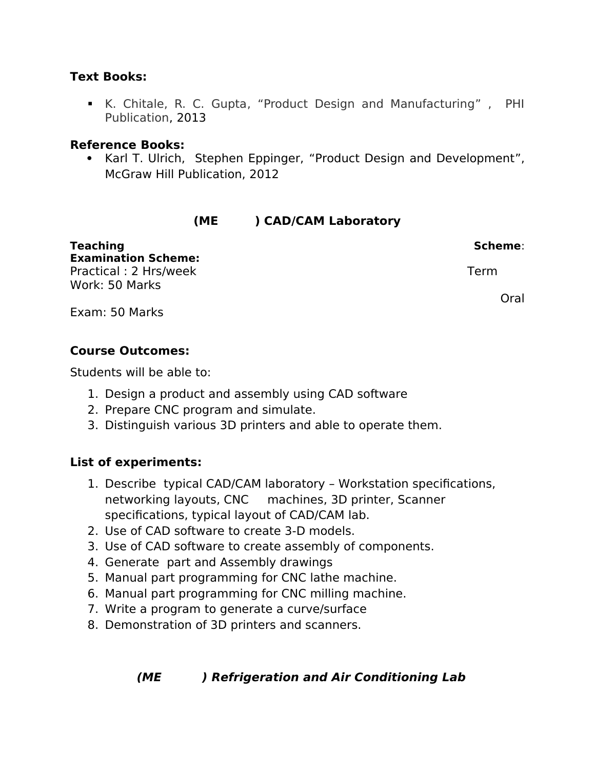#### **Text Books:**

 K. Chitale, R. C. Gupta, "Product Design and Manufacturing" , PHI Publication, 2013

#### **Reference Books:**

• Karl T. Ulrich, Stephen Eppinger, "Product Design and Development", McGraw Hill Publication, 2012

# **(ME ) CAD/CAM Laboratory**

| <b>Teaching</b>            | Scheme: |  |  |
|----------------------------|---------|--|--|
| <b>Examination Scheme:</b> |         |  |  |
| Practical: 2 Hrs/week      | Term    |  |  |
| Work: 50 Marks             |         |  |  |
|                            | Oral    |  |  |
| Exam: 50 Marks             |         |  |  |

#### **Course Outcomes:**

Students will be able to:

- 1. Design a product and assembly using CAD software
- 2. Prepare CNC program and simulate.
- 3. Distinguish various 3D printers and able to operate them.

## **List of experiments:**

- 1. Describe typical CAD/CAM laboratory Workstation specifications, networking layouts, CNC machines, 3D printer, Scanner specifications, typical layout of CAD/CAM lab.
- 2. Use of CAD software to create 3-D models.
- 3. Use of CAD software to create assembly of components.
- 4. Generate part and Assembly drawings
- 5. Manual part programming for CNC lathe machine.
- 6. Manual part programming for CNC milling machine.
- 7. Write a program to generate a curve/surface
- 8. Demonstration of 3D printers and scanners.

# **(ME ) Refrigeration and Air Conditioning Lab**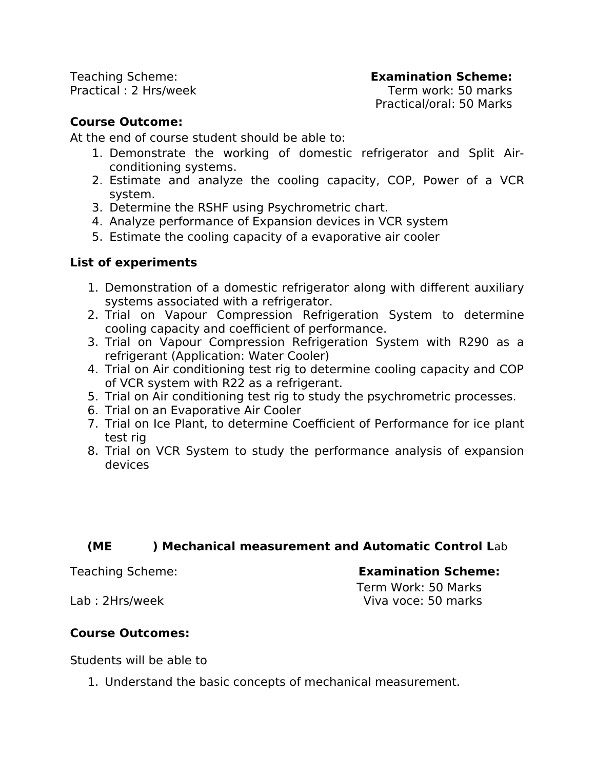Teaching Scheme: **Examination Scheme:**  Practical : 2 Hrs/week Term work: 50 marks

Practical/oral: 50 Marks

## **Course Outcome:**

At the end of course student should be able to:

- 1. Demonstrate the working of domestic refrigerator and Split Airconditioning systems.
- 2. Estimate and analyze the cooling capacity, COP, Power of a VCR system.
- 3. Determine the RSHF using Psychrometric chart.
- 4. Analyze performance of Expansion devices in VCR system
- 5. Estimate the cooling capacity of a evaporative air cooler

## **List of experiments**

- 1. Demonstration of a domestic refrigerator along with diferent auxiliary systems associated with a refrigerator.
- 2. Trial on Vapour Compression Refrigeration System to determine cooling capacity and coefficient of performance.
- 3. Trial on Vapour Compression Refrigeration System with R290 as a refrigerant (Application: Water Cooler)
- 4. Trial on Air conditioning test rig to determine cooling capacity and COP of VCR system with R22 as a refrigerant.
- 5. Trial on Air conditioning test rig to study the psychrometric processes.
- 6. Trial on an Evaporative Air Cooler
- 7. Trial on Ice Plant, to determine Coefficient of Performance for ice plant test rig
- 8. Trial on VCR System to study the performance analysis of expansion devices

## **(ME ) Mechanical measurement and Automatic Control L**ab

#### Teaching Scheme: **Examination Scheme:**

## Term Work: 50 Marks Lab : 2Hrs/week Viva voce: 50 marks

## **Course Outcomes:**

Students will be able to

1. Understand the basic concepts of mechanical measurement.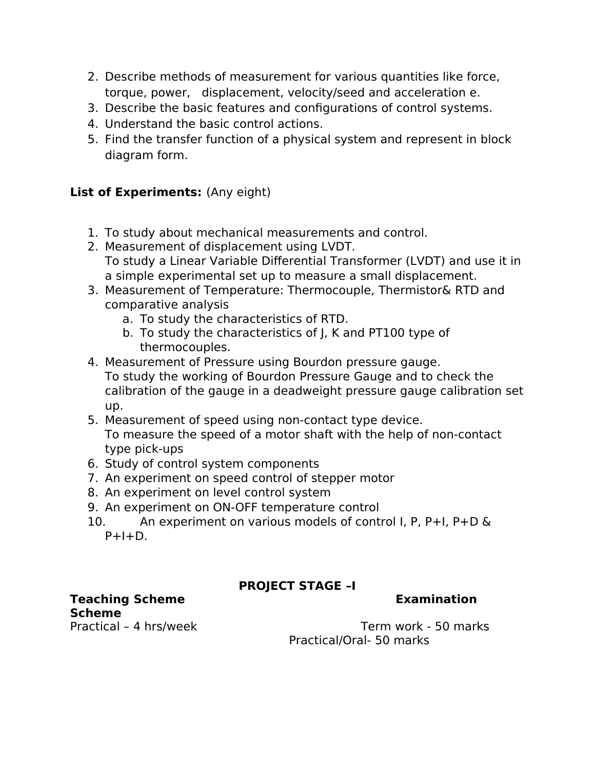- 2. Describe methods of measurement for various quantities like force, torque, power, displacement, velocity/seed and acceleration e.
- 3. Describe the basic features and configurations of control systems.
- 4. Understand the basic control actions.
- 5. Find the transfer function of a physical system and represent in block diagram form.

## **List of Experiments:** (Any eight)

- 1. To study about mechanical measurements and control.
- 2. Measurement of displacement using LVDT. To study a Linear Variable Diferential Transformer (LVDT) and use it in a simple experimental set up to measure a small displacement.
- 3. Measurement of Temperature: Thermocouple, Thermistor& RTD and comparative analysis
	- a. To study the characteristics of RTD.
	- b. To study the characteristics of J, K and PT100 type of thermocouples.
- 4. Measurement of Pressure using Bourdon pressure gauge. To study the working of Bourdon Pressure Gauge and to check the calibration of the gauge in a deadweight pressure gauge calibration set up.
- 5. Measurement of speed using non-contact type device. To measure the speed of a motor shaft with the help of non-contact type pick-ups
- 6. Study of control system components
- 7. An experiment on speed control of stepper motor
- 8. An experiment on level control system
- 9. An experiment on ON-OFF temperature control
- 10. An experiment on various models of control I, P, P+I, P+D &  $P+I+D$ .

# **PROJECT STAGE –I**

**Teaching Scheme Examination Examination Scheme**

Practical – 4 hrs/week Term work - 50 marks Practical/Oral- 50 marks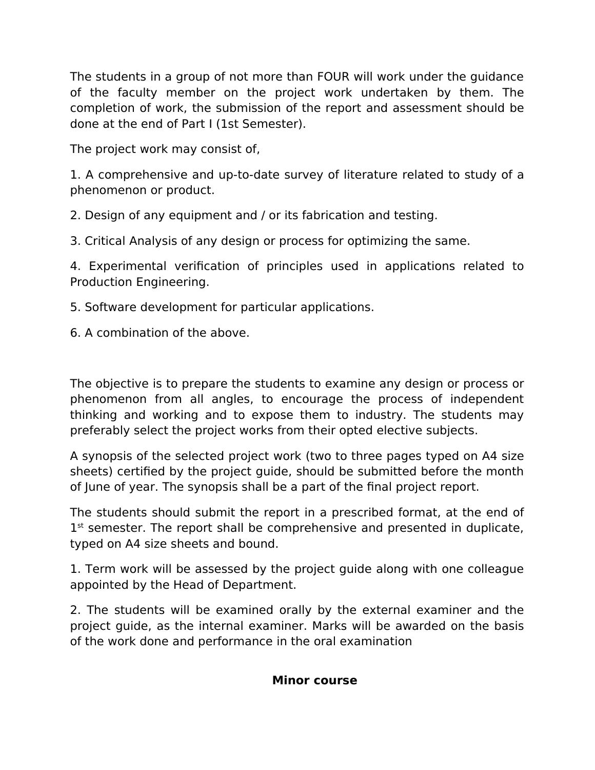The students in a group of not more than FOUR will work under the guidance of the faculty member on the project work undertaken by them. The completion of work, the submission of the report and assessment should be done at the end of Part I (1st Semester).

The project work may consist of,

1. A comprehensive and up-to-date survey of literature related to study of a phenomenon or product.

2. Design of any equipment and / or its fabrication and testing.

3. Critical Analysis of any design or process for optimizing the same.

4. Experimental verification of principles used in applications related to Production Engineering.

5. Software development for particular applications.

6. A combination of the above.

The objective is to prepare the students to examine any design or process or phenomenon from all angles, to encourage the process of independent thinking and working and to expose them to industry. The students may preferably select the project works from their opted elective subjects.

A synopsis of the selected project work (two to three pages typed on A4 size sheets) certified by the project guide, should be submitted before the month of June of year. The synopsis shall be a part of the final project report.

The students should submit the report in a prescribed format, at the end of 1<sup>st</sup> semester. The report shall be comprehensive and presented in duplicate, typed on A4 size sheets and bound.

1. Term work will be assessed by the project guide along with one colleague appointed by the Head of Department.

2. The students will be examined orally by the external examiner and the project guide, as the internal examiner. Marks will be awarded on the basis of the work done and performance in the oral examination

#### **Minor course**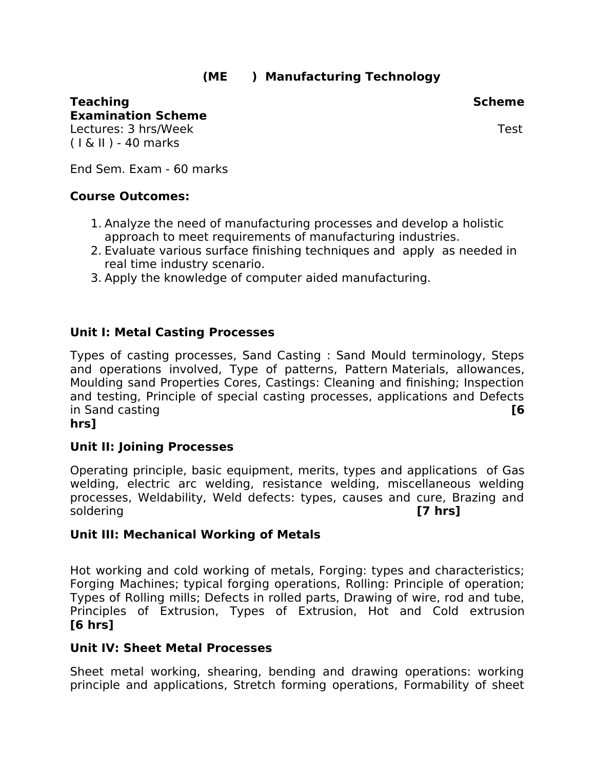# **(ME ) Manufacturing Technology**

#### **Teaching Scheme** Scheme Scheme Scheme Scheme Scheme Scheme Scheme Scheme Scheme Scheme **Examination Scheme**

Lectures: 3 hrs/Week Test and the state of the state of the state of the state of the state of the state of th ( I & II ) - 40 marks

End Sem. Exam - 60 marks

#### **Course Outcomes:**

- 1. Analyze the need of manufacturing processes and develop a holistic approach to meet requirements of manufacturing industries.
- 2. Evaluate various surface finishing techniques and apply as needed in real time industry scenario.
- 3. Apply the knowledge of computer aided manufacturing.

#### **Unit I: Metal Casting Processes**

Types of casting processes, Sand Casting : Sand Mould terminology, Steps and operations involved, Type of patterns, Pattern Materials, allowances, Moulding sand Properties Cores, Castings: Cleaning and finishing; Inspection and testing, Principle of special casting processes, applications and Defects in Sand casting **[6**

#### **hrs]**

#### **Unit II: Joining Processes**

Operating principle, basic equipment, merits, types and applications of Gas welding, electric arc welding, resistance welding, miscellaneous welding processes, Weldability, Weld defects: types, causes and cure, Brazing and soldering **[7 hrs]**

#### **Unit III: Mechanical Working of Metals**

Hot working and cold working of metals, Forging: types and characteristics; Forging Machines; typical forging operations, Rolling: Principle of operation; Types of Rolling mills; Defects in rolled parts, Drawing of wire, rod and tube, Principles of Extrusion, Types of Extrusion, Hot and Cold extrusion **[6 hrs]**

#### **Unit IV: Sheet Metal Processes**

Sheet metal working, shearing, bending and drawing operations: working principle and applications, Stretch forming operations, Formability of sheet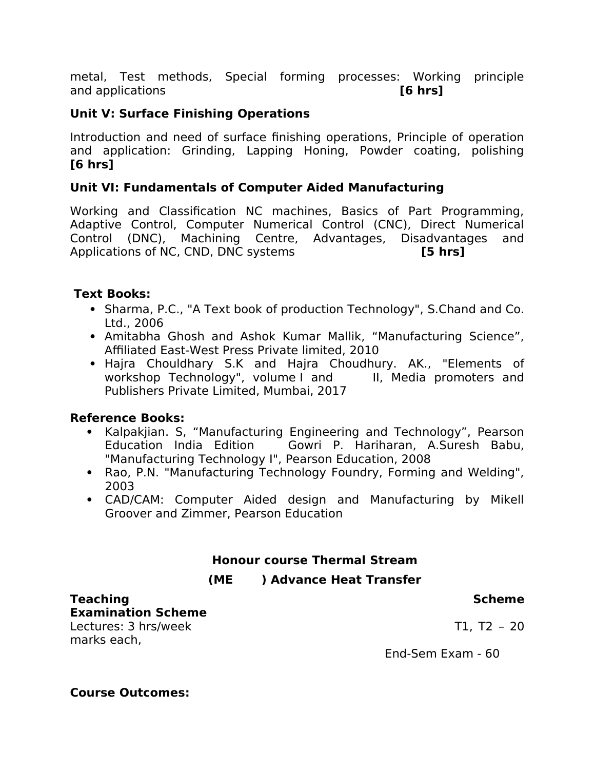metal, Test methods, Special forming processes: Working principle and applications **[6 hrs]**

## **Unit V: Surface Finishing Operations**

Introduction and need of surface finishing operations, Principle of operation and application: Grinding, Lapping Honing, Powder coating, polishing **[6 hrs]**

#### **Unit VI: Fundamentals of Computer Aided Manufacturing**

Working and Classification NC machines, Basics of Part Programming, Adaptive Control, Computer Numerical Control (CNC), Direct Numerical Control (DNC), Machining Centre, Advantages, Disadvantages and Applications of NC, CND, DNC systems **[5 hrs]**

#### **Text Books:**

- Sharma, P.C., "A Text book of production Technology", S.Chand and Co. Ltd., 2006
- Amitabha Ghosh and Ashok Kumar Mallik, "Manufacturing Science", Affiliated East-West Press Private limited, 2010
- Hajra Chouldhary S.K and Hajra Choudhury. AK., "Elements of workshop Technology", volume I and III, Media promoters and Publishers Private Limited, Mumbai, 2017

#### **Reference Books:**

- Kalpakjian. S, "Manufacturing Engineering and Technology", Pearson Education India Edition Gowri P. Hariharan, A.Suresh Babu, "Manufacturing Technology I", Pearson Education, 2008
- Rao, P.N. "Manufacturing Technology Foundry, Forming and Welding", 2003
- CAD/CAM: Computer Aided design and Manufacturing by Mikell Groover and Zimmer, Pearson Education

## **Honour course Thermal Stream**

## **(ME ) Advance Heat Transfer**

#### **Teaching Scheme** Scheme Scheme Scheme Scheme Scheme Scheme Scheme Scheme Scheme Scheme Scheme Scheme Scheme Scheme

**Examination Scheme** Lectures: 3 hrs/week T1, T2 - 20 marks each,

End-Sem Exam - 60

#### **Course Outcomes:**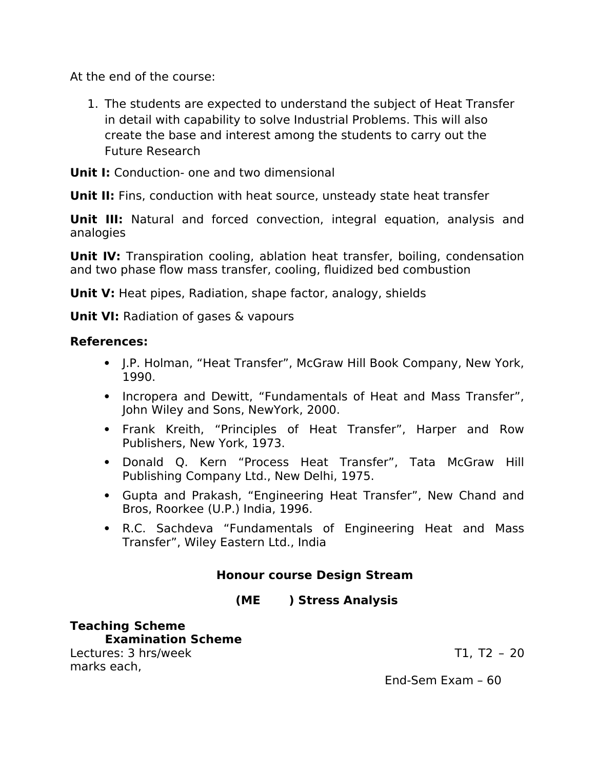At the end of the course:

1. The students are expected to understand the subject of Heat Transfer in detail with capability to solve Industrial Problems. This will also create the base and interest among the students to carry out the Future Research

**Unit I:** Conduction- one and two dimensional

**Unit II:** Fins, conduction with heat source, unsteady state heat transfer

**Unit III:** Natural and forced convection, integral equation, analysis and analogies

**Unit IV:** Transpiration cooling, ablation heat transfer, boiling, condensation and two phase fow mass transfer, cooling, fuidized bed combustion

**Unit V:** Heat pipes, Radiation, shape factor, analogy, shields

**Unit VI:** Radiation of gases & vapours

## **References:**

- J.P. Holman, "Heat Transfer", McGraw Hill Book Company, New York, 1990.
- Incropera and Dewitt, "Fundamentals of Heat and Mass Transfer", John Wiley and Sons, NewYork, 2000.
- Frank Kreith, "Principles of Heat Transfer", Harper and Row Publishers, New York, 1973.
- Donald Q. Kern "Process Heat Transfer", Tata McGraw Hill Publishing Company Ltd., New Delhi, 1975.
- Gupta and Prakash, "Engineering Heat Transfer", New Chand and Bros, Roorkee (U.P.) India, 1996.
- R.C. Sachdeva "Fundamentals of Engineering Heat and Mass Transfer", Wiley Eastern Ltd., India

# **Honour course Design Stream**

## **(ME ) Stress Analysis**

**Teaching Scheme Examination Scheme** Lectures: 3 hrs/week T1, T2 - 20 marks each,

End-Sem Exam – 60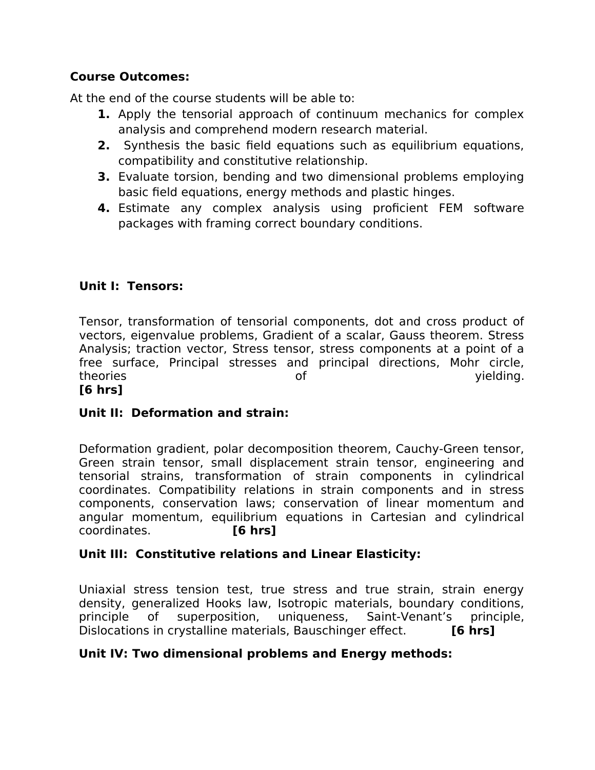## **Course Outcomes:**

At the end of the course students will be able to:

- **1.** Apply the tensorial approach of continuum mechanics for complex analysis and comprehend modern research material.
- **2.** Synthesis the basic field equations such as equilibrium equations, compatibility and constitutive relationship.
- **3.** Evaluate torsion, bending and two dimensional problems employing basic field equations, energy methods and plastic hinges.
- **4.** Estimate any complex analysis using proficient FEM software packages with framing correct boundary conditions.

# **Unit I: Tensors:**

Tensor, transformation of tensorial components, dot and cross product of vectors, eigenvalue problems, Gradient of a scalar, Gauss theorem. Stress Analysis; traction vector, Stress tensor, stress components at a point of a free surface, Principal stresses and principal directions, Mohr circle, theories of yielding. **[6 hrs]**

# **Unit II: Deformation and strain:**

Deformation gradient, polar decomposition theorem, Cauchy-Green tensor, Green strain tensor, small displacement strain tensor, engineering and tensorial strains, transformation of strain components in cylindrical coordinates. Compatibility relations in strain components and in stress components, conservation laws; conservation of linear momentum and angular momentum, equilibrium equations in Cartesian and cylindrical coordinates. **[6 hrs]**

# **Unit III: Constitutive relations and Linear Elasticity:**

Uniaxial stress tension test, true stress and true strain, strain energy density, generalized Hooks law, Isotropic materials, boundary conditions, principle of superposition, uniqueness, Saint-Venant's principle, Dislocations in crystalline materials, Bauschinger effect. **[6 hrs]** 

## **Unit IV: Two dimensional problems and Energy methods:**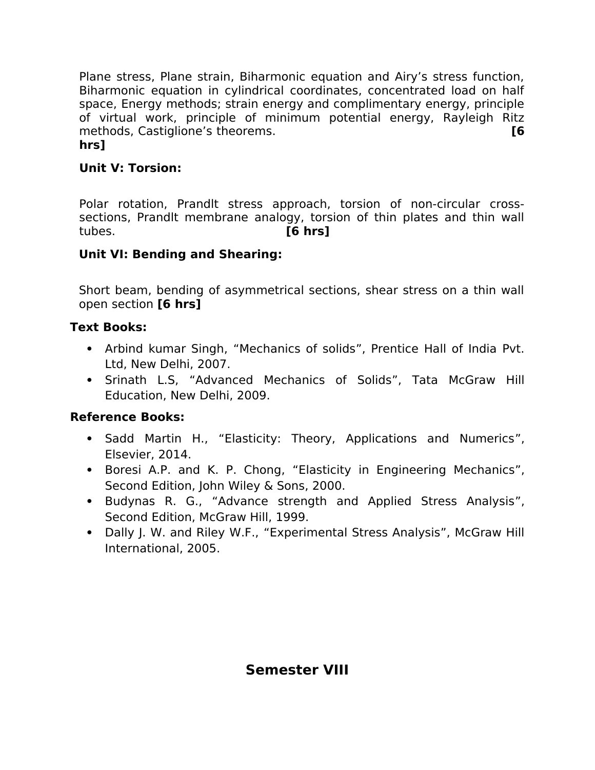Plane stress, Plane strain, Biharmonic equation and Airy's stress function, Biharmonic equation in cylindrical coordinates, concentrated load on half space, Energy methods; strain energy and complimentary energy, principle of virtual work, principle of minimum potential energy, Rayleigh Ritz methods, Castiglione's theorems. **[6 hrs]**

# **Unit V: Torsion:**

Polar rotation, Prandlt stress approach, torsion of non-circular crosssections, Prandlt membrane analogy, torsion of thin plates and thin wall tubes. **[6 hrs]**

#### **Unit VI: Bending and Shearing:**

Short beam, bending of asymmetrical sections, shear stress on a thin wall open section **[6 hrs]**

#### **Text Books:**

- Arbind kumar Singh, "Mechanics of solids", Prentice Hall of India Pvt. Ltd, New Delhi, 2007.
- Srinath L.S, "Advanced Mechanics of Solids", Tata McGraw Hill Education, New Delhi, 2009.

# **Reference Books:**

- Sadd Martin H., "Elasticity: Theory, Applications and Numerics", Elsevier, 2014.
- Boresi A.P. and K. P. Chong, "Elasticity in Engineering Mechanics", Second Edition, John Wiley & Sons, 2000.
- Budynas R. G., "Advance strength and Applied Stress Analysis", Second Edition, McGraw Hill, 1999.
- Dally J. W. and Riley W.F., "Experimental Stress Analysis", McGraw Hill International, 2005.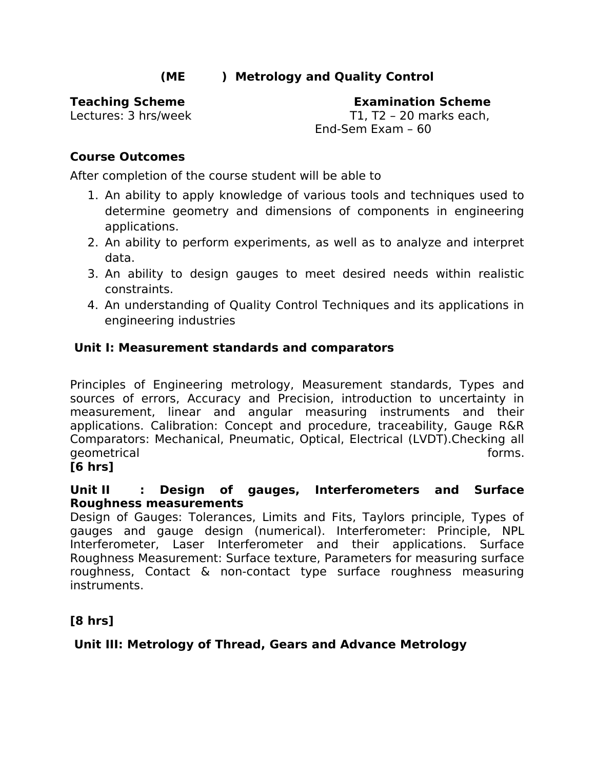# **(ME ) Metrology and Quality Control**

**Teaching Scheme Examination Scheme** Lectures: 3 hrs/week T1, T2 – 20 marks each, End-Sem Exam – 60

## **Course Outcomes**

After completion of the course student will be able to

- 1. An ability to apply knowledge of various tools and techniques used to determine geometry and dimensions of components in engineering applications.
- 2. An ability to perform experiments, as well as to analyze and interpret data.
- 3. An ability to design gauges to meet desired needs within realistic constraints.
- 4. An understanding of Quality Control Techniques and its applications in engineering industries

#### **Unit I: Measurement standards and comparators**

Principles of Engineering metrology, Measurement standards, Types and sources of errors, Accuracy and Precision, introduction to uncertainty in measurement, linear and angular measuring instruments and their applications. Calibration: Concept and procedure, traceability, Gauge R&R Comparators: Mechanical, Pneumatic, Optical, Electrical (LVDT).Checking all geometrical and the set of the set of the set of the set of the set of the set of the set of the set of the set of the set of the set of the set of the set of the set of the set of the set of the set of the set of the set

#### **[6 hrs]**

#### **Unit II : Design of gauges, Interferometers and Surface Roughness measurements**

Design of Gauges: Tolerances, Limits and Fits, Taylors principle, Types of gauges and gauge design (numerical). Interferometer: Principle, NPL Interferometer, Laser Interferometer and their applications. Surface Roughness Measurement: Surface texture, Parameters for measuring surface roughness, Contact & non-contact type surface roughness measuring instruments.

# **[8 hrs]**

#### **Unit III: Metrology of Thread, Gears and Advance Metrology**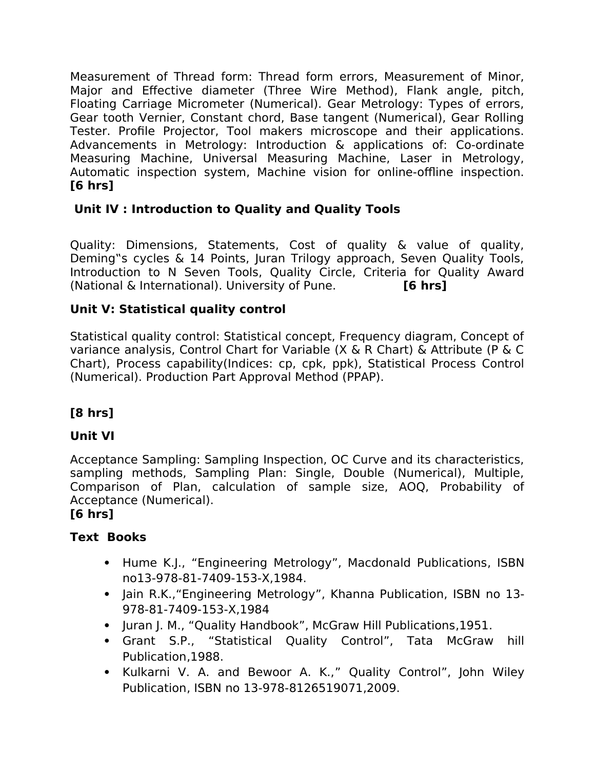Measurement of Thread form: Thread form errors, Measurement of Minor, Major and Efective diameter (Three Wire Method), Flank angle, pitch, Floating Carriage Micrometer (Numerical). Gear Metrology: Types of errors, Gear tooth Vernier, Constant chord, Base tangent (Numerical), Gear Rolling Tester. Profile Projector, Tool makers microscope and their applications. Advancements in Metrology: Introduction & applications of: Co-ordinate Measuring Machine, Universal Measuring Machine, Laser in Metrology, Automatic inspection system, Machine vision for online-offline inspection. **[6 hrs]**

# **Unit IV : Introduction to Quality and Quality Tools**

Quality: Dimensions, Statements, Cost of quality & value of quality, Deming"s cycles & 14 Points, Juran Trilogy approach, Seven Quality Tools, Introduction to N Seven Tools, Quality Circle, Criteria for Quality Award (National & International). University of Pune. **[6 hrs]**

# **Unit V: Statistical quality control**

Statistical quality control: Statistical concept, Frequency diagram, Concept of variance analysis, Control Chart for Variable (X & R Chart) & Attribute (P & C Chart), Process capability(Indices: cp, cpk, ppk), Statistical Process Control (Numerical). Production Part Approval Method (PPAP).

# **[8 hrs]**

# **Unit VI**

Acceptance Sampling: Sampling Inspection, OC Curve and its characteristics, sampling methods, Sampling Plan: Single, Double (Numerical), Multiple, Comparison of Plan, calculation of sample size, AOQ, Probability of Acceptance (Numerical).

# **[6 hrs]**

# **Text Books**

- Hume K.J., "Engineering Metrology", Macdonald Publications, ISBN no13-978-81-7409-153-X,1984.
- Jain R.K., "Engineering Metrology", Khanna Publication, ISBN no 13-978-81-7409-153-X,1984
- Juran J. M., "Quality Handbook", McGraw Hill Publications, 1951.
- Grant S.P., "Statistical Quality Control", Tata McGraw hill Publication,1988.
- Kulkarni V. A. and Bewoor A. K.," Quality Control", John Wiley Publication, ISBN no 13-978-8126519071,2009.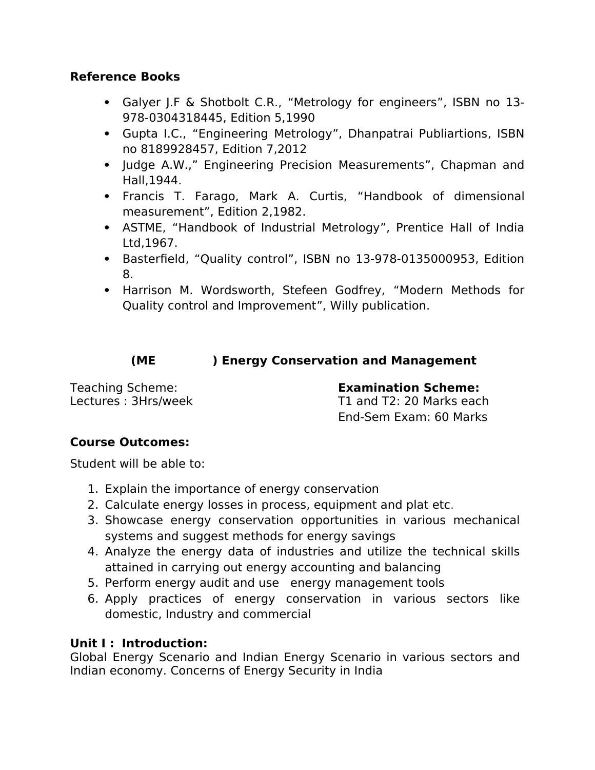## **Reference Books**

- Galyer J.F & Shotbolt C.R., "Metrology for engineers", ISBN no 13- 978-0304318445, Edition 5,1990
- Gupta I.C., "Engineering Metrology", Dhanpatrai Publiartions, ISBN no 8189928457, Edition 7,2012
- Judge A.W.," Engineering Precision Measurements", Chapman and Hall,1944.
- Francis T. Farago, Mark A. Curtis, "Handbook of dimensional measurement", Edition 2,1982.
- ASTME, "Handbook of Industrial Metrology", Prentice Hall of India Ltd,1967.
- Basterfield, "Quality control", ISBN no 13-978-0135000953, Edition 8.
- Harrison M. Wordsworth, Stefeen Godfrey, "Modern Methods for Quality control and Improvement", Willy publication.

# **(ME ) Energy Conservation and Management**

Teaching Scheme: **Examination Scheme:** 

Lectures : 3Hrs/week T1 and T2: 20 Marks each End-Sem Exam: 60 Marks

# **Course Outcomes:**

Student will be able to:

- 1. Explain the importance of energy conservation
- 2. Calculate energy losses in process, equipment and plat etc.
- 3. Showcase energy conservation opportunities in various mechanical systems and suggest methods for energy savings
- 4. Analyze the energy data of industries and utilize the technical skills attained in carrying out energy accounting and balancing
- 5. Perform energy audit and use energy management tools
- 6. Apply practices of energy conservation in various sectors like domestic, Industry and commercial

#### **Unit I : Introduction:**

Global Energy Scenario and Indian Energy Scenario in various sectors and Indian economy. Concerns of Energy Security in India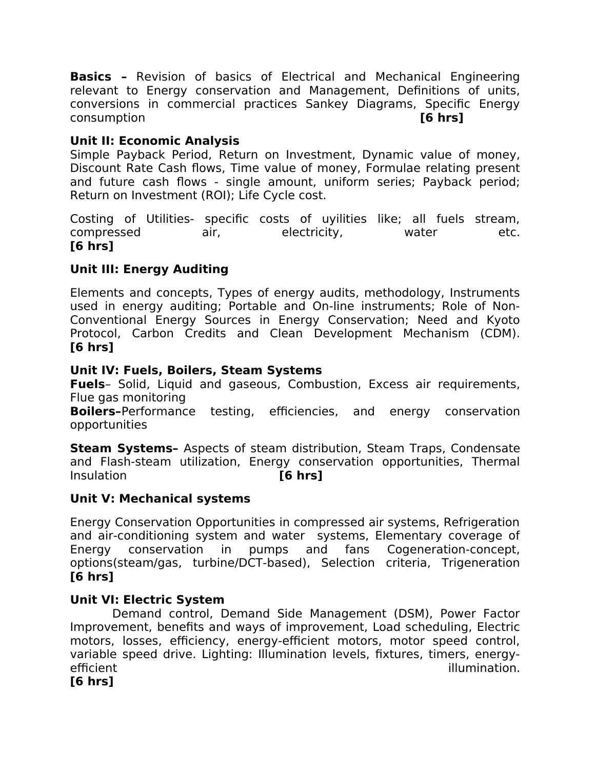**Basics –** Revision of basics of Electrical and Mechanical Engineering relevant to Energy conservation and Management, Definitions of units, conversions in commercial practices Sankey Diagrams, Specific Energy consumption **[6 hrs]**

## **Unit II: Economic Analysis**

Simple Payback Period, Return on Investment, Dynamic value of money, Discount Rate Cash flows, Time value of money, Formulae relating present and future cash flows - single amount, uniform series; Payback period; Return on Investment (ROI); Life Cycle cost.

Costing of Utilities- specific costs of uyilities like; all fuels stream, compressed air, electricity, water etc. **[6 hrs]**

# **Unit III: Energy Auditing**

Elements and concepts, Types of energy audits, methodology, Instruments used in energy auditing; Portable and On-line instruments; Role of Non-Conventional Energy Sources in Energy Conservation; Need and Kyoto Protocol, Carbon Credits and Clean Development Mechanism (CDM). **[6 hrs]**

#### **Unit IV: Fuels, Boilers, Steam Systems**

**Fuels**– Solid, Liquid and gaseous, Combustion, Excess air requirements, Flue gas monitoring

**Boilers-**Performance testing, efficiencies, and energy conservation opportunities

**Steam Systems–** Aspects of steam distribution, Steam Traps, Condensate and Flash-steam utilization, Energy conservation opportunities, Thermal Insulation **[6 hrs]**

#### **Unit V: Mechanical systems**

Energy Conservation Opportunities in compressed air systems, Refrigeration and air-conditioning system and water systems, Elementary coverage of Energy conservation in pumps and fans Cogeneration-concept, options(steam/gas, turbine/DCT-based), Selection criteria, Trigeneration **[6 hrs]**

#### **Unit VI: Electric System**

 Demand control, Demand Side Management (DSM), Power Factor Improvement, benefits and ways of improvement, Load scheduling, Electric motors, losses, efficiency, energy-efficient motors, motor speed control, variable speed drive. Lighting: Illumination levels, fixtures, timers, energyefficient illumination.

**[6 hrs]**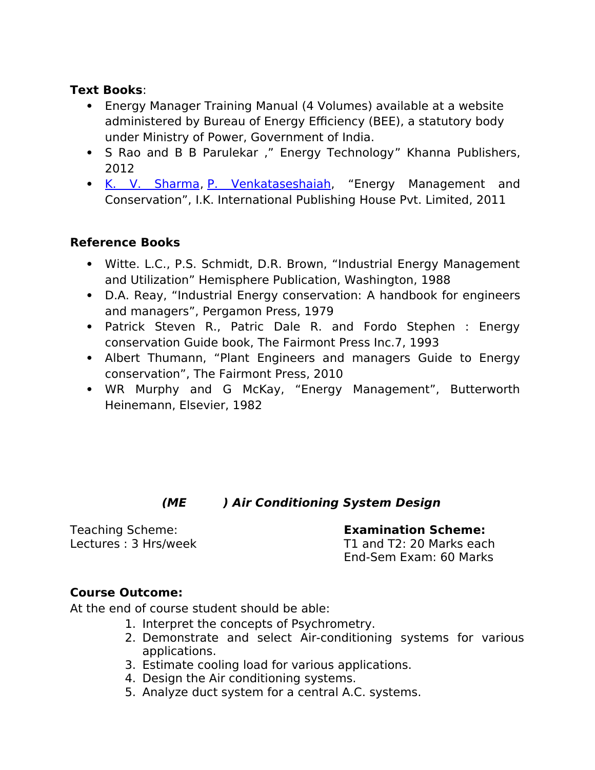### **Text Books**:

- Energy Manager Training Manual (4 Volumes) available at a website administered by Bureau of Energy Efficiency (BEE), a statutory body under Ministry of Power, Government of India.
- S Rao and B B Parulekar," Energy Technology" Khanna Publishers, 2012
- • [K. V. Sharma,](https://www.google.co.in/search?sa=X&q=K.+V.+Sharma&stick=H4sIAAAAAAAAAOPgE-LVT9c3NEwyLzSvsMwzVYJzLVJyKgu0ZLKTrfST8vOz9cuLMktKUvPiy_OLsq0SS0sy8osAEg-iCT4AAAA&ved=0ahUKEwjX1fOckILaAhUGr48KHRTHAj8QmxMIngIoATAQ) [P. Venkataseshaiah,](https://www.google.co.in/search?sa=X&q=P.+Venkataseshaiah&stick=H4sIAAAAAAAAAOPgE-LVT9c3NEwyLzSvsMwzVUJwc0riU7RkspOt9JPy87P1y4syS0pS8-LL84uyrRJLSzLyiwCPKv8sPgAAAA&ved=0ahUKEwjX1fOckILaAhUGr48KHRTHAj8QmxMInwIoAjAQ) "Energy Management and Conservation", I.K. International Publishing House Pvt. Limited, 2011

# **Reference Books**

- Witte. L.C., P.S. Schmidt, D.R. Brown, "Industrial Energy Management and Utilization" Hemisphere Publication, Washington, 1988
- D.A. Reay, "Industrial Energy conservation: A handbook for engineers and managers", Pergamon Press, 1979
- Patrick Steven R., Patric Dale R. and Fordo Stephen : Energy conservation Guide book, The Fairmont Press Inc.7, 1993
- Albert Thumann, "Plant Engineers and managers Guide to Energy conservation", The Fairmont Press, 2010
- WR Murphy and G McKay, "Energy Management", Butterworth Heinemann, Elsevier, 1982

# **(ME ) Air Conditioning System Design**

Teaching Scheme: **Examination Scheme:**  Lectures : 3 Hrs/week T1 and T2: 20 Marks each End-Sem Exam: 60 Marks

#### **Course Outcome:**

At the end of course student should be able:

- 1. Interpret the concepts of Psychrometry.
- 2. Demonstrate and select Air-conditioning systems for various applications.
- 3. Estimate cooling load for various applications.
- 4. Design the Air conditioning systems.
- 5. Analyze duct system for a central A.C. systems.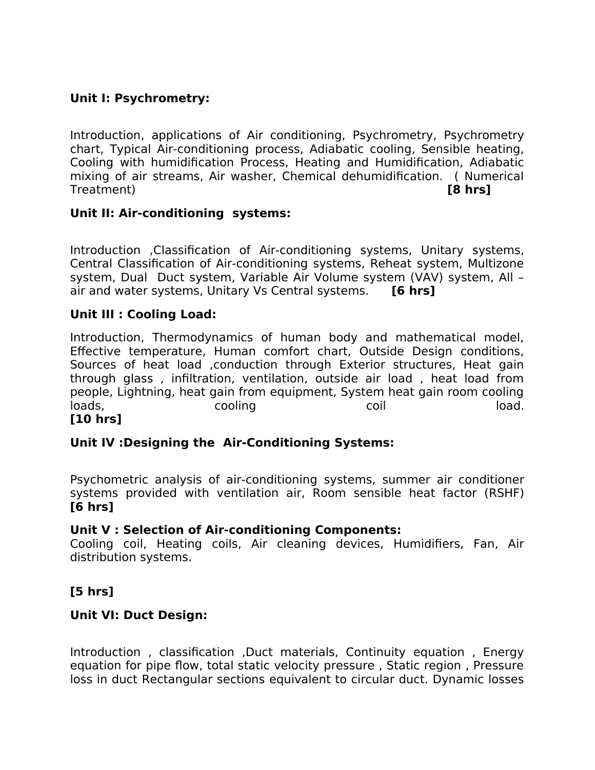# **Unit I: Psychrometry:**

Introduction, applications of Air conditioning, Psychrometry, Psychrometry chart, Typical Air-conditioning process, Adiabatic cooling, Sensible heating, Cooling with humidification Process, Heating and Humidification, Adiabatic mixing of air streams, Air washer, Chemical dehumidification. ( Numerical Treatment) **[8 hrs]**

#### **Unit II: Air-conditioning systems:**

Introduction ,Classification of Air-conditioning systems, Unitary systems, Central Classification of Air-conditioning systems, Reheat system, Multizone system, Dual Duct system, Variable Air Volume system (VAV) system, All – air and water systems, Unitary Vs Central systems. **[6 hrs]**

#### **Unit III : Cooling Load:**

Introduction, Thermodynamics of human body and mathematical model, Efective temperature, Human comfort chart, Outside Design conditions, Sources of heat load ,conduction through Exterior structures, Heat gain through glass , infiltration, ventilation, outside air load , heat load from people, Lightning, heat gain from equipment, System heat gain room cooling loads, cooling coil load. **[10 hrs]**

#### **Unit IV :Designing the Air-Conditioning Systems:**

Psychometric analysis of air-conditioning systems, summer air conditioner systems provided with ventilation air, Room sensible heat factor (RSHF) **[6 hrs]**

#### **Unit V : Selection of Air-conditioning Components:**

Cooling coil, Heating coils, Air cleaning devices, Humidifiers, Fan, Air distribution systems.

#### **[5 hrs]**

#### **Unit VI: Duct Design:**

Introduction, classification, Duct materials, Continuity equation, Energy equation for pipe flow, total static velocity pressure, Static region, Pressure loss in duct Rectangular sections equivalent to circular duct. Dynamic losses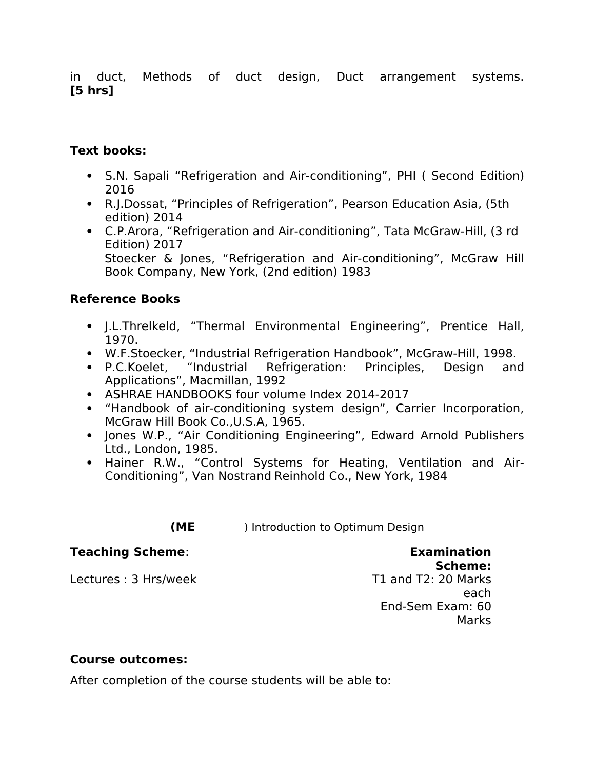in duct, Methods of duct design, Duct arrangement systems. **[5 hrs]** 

# **Text books:**

- S.N. Sapali "Refrigeration and Air-conditioning", PHI ( Second Edition) 2016
- R.J.Dossat, "Principles of Refrigeration", Pearson Education Asia, (5th edition) 2014
- C.P.Arora, "Refrigeration and Air-conditioning", Tata McGraw-Hill, (3 rd Edition) 2017 Stoecker & Jones, "Refrigeration and Air-conditioning", McGraw Hill Book Company, New York, (2nd edition) 1983

# **Reference Books**

- J.L.Threlkeld, "Thermal Environmental Engineering", Prentice Hall, 1970.
- W.F.Stoecker, "Industrial Refrigeration Handbook", McGraw-Hill, 1998.
- P.C.Koelet, "Industrial Refrigeration: Principles, Design and Applications", Macmillan, 1992
- ASHRAE HANDBOOKS four volume Index 2014-2017
- "Handbook of air-conditioning system design", Carrier Incorporation, McGraw Hill Book Co.,U.S.A, 1965.
- Jones W.P., "Air Conditioning Engineering", Edward Arnold Publishers Ltd., London, 1985.
- Hainer R.W., "Control Systems for Heating, Ventilation and Air-Conditioning", Van Nostrand Reinhold Co., New York, 1984

**(ME** ) Introduction to Optimum Design

#### **Teaching Scheme**: **Examination**

Lectures: 3 Hrs/week T1 and T2: 20 Marks

# **Scheme:**

each End-Sem Exam: 60 Marks

# **Course outcomes:**

After completion of the course students will be able to: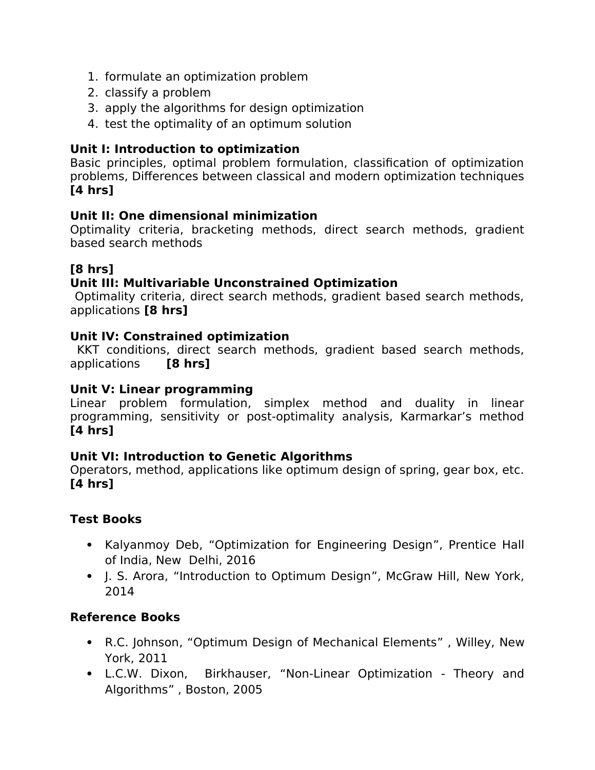- 1. formulate an optimization problem
- 2. classify a problem
- 3. apply the algorithms for design optimization
- 4. test the optimality of an optimum solution

# **Unit I: Introduction to optimization**

Basic principles, optimal problem formulation, classification of optimization problems, Diferences between classical and modern optimization techniques **[4 hrs]**

# **Unit II: One dimensional minimization**

Optimality criteria, bracketing methods, direct search methods, gradient based search methods

# **[8 hrs]**

# **Unit III: Multivariable Unconstrained Optimization**

Optimality criteria, direct search methods, gradient based search methods, applications **[8 hrs]**

#### **Unit IV: Constrained optimization**

KKT conditions, direct search methods, gradient based search methods, applications **[8 hrs]**

## **Unit V: Linear programming**

Linear problem formulation, simplex method and duality in linear programming, sensitivity or post-optimality analysis, Karmarkar's method **[4 hrs]**

# **Unit VI: Introduction to Genetic Algorithms**

Operators, method, applications like optimum design of spring, gear box, etc. **[4 hrs]**

# **Test Books**

- Kalyanmoy Deb, "Optimization for Engineering Design", Prentice Hall of India, New Delhi, 2016
- J. S. Arora, "Introduction to Optimum Design", McGraw Hill, New York, 2014

# **Reference Books**

- R.C. Johnson, "Optimum Design of Mechanical Elements" , Willey, New York, 2011
- L.C.W. Dixon, Birkhauser, "Non-Linear Optimization Theory and Algorithms" , Boston, 2005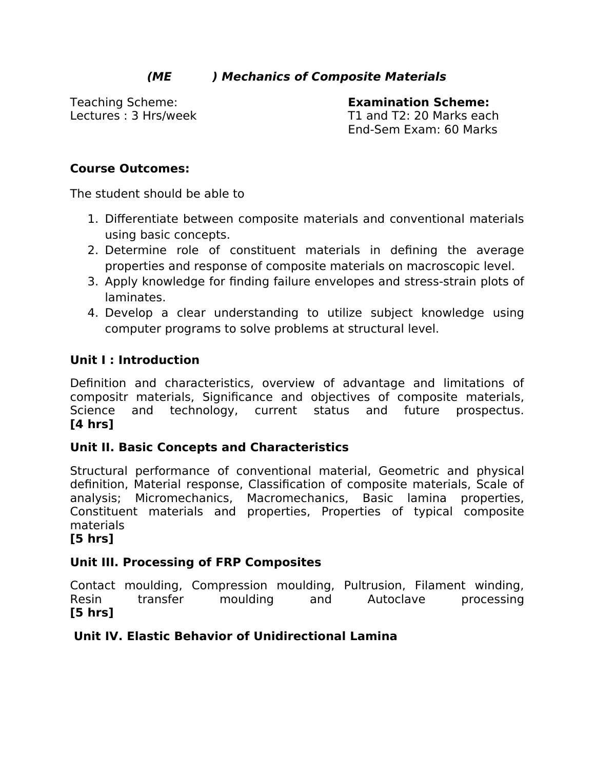# **(ME ) Mechanics of Composite Materials**

Teaching Scheme: **Examination Scheme:**  Lectures : 3 Hrs/week T1 and T2: 20 Marks each End-Sem Exam: 60 Marks

# **Course Outcomes:**

The student should be able to

- 1. Diferentiate between composite materials and conventional materials using basic concepts.
- 2. Determine role of constituent materials in defining the average properties and response of composite materials on macroscopic level.
- 3. Apply knowledge for finding failure envelopes and stress-strain plots of laminates.
- 4. Develop a clear understanding to utilize subject knowledge using computer programs to solve problems at structural level.

# **Unit I : Introduction**

Definition and characteristics, overview of advantage and limitations of compositr materials, Significance and objectives of composite materials, Science and technology, current status and future prospectus. **[4 hrs]**

# **Unit II. Basic Concepts and Characteristics**

Structural performance of conventional material, Geometric and physical definition, Material response, Classification of composite materials, Scale of analysis; Micromechanics, Macromechanics, Basic lamina properties, Constituent materials and properties, Properties of typical composite materials

#### **[5 hrs]**

# **Unit III. Processing of FRP Composites**

Contact moulding, Compression moulding, Pultrusion, Filament winding, Resin transfer moulding and Autoclave processing **[5 hrs]**

# **Unit IV. Elastic Behavior of Unidirectional Lamina**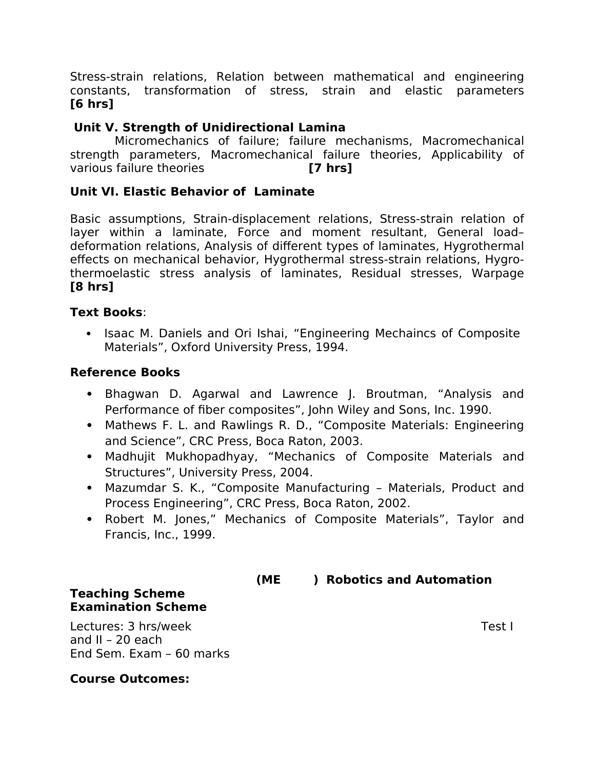Stress-strain relations, Relation between mathematical and engineering constants, transformation of stress, strain and elastic parameters **[6 hrs]**

#### **Unit V. Strength of Unidirectional Lamina**

Micromechanics of failure; failure mechanisms, Macromechanical strength parameters, Macromechanical failure theories, Applicability of various failure theories **[7 hrs]**

#### **Unit VI. Elastic Behavior of Laminate**

Basic assumptions, Strain-displacement relations, Stress-strain relation of layer within a laminate, Force and moment resultant, General load– deformation relations, Analysis of diferent types of laminates, Hygrothermal efects on mechanical behavior, Hygrothermal stress-strain relations, Hygrothermoelastic stress analysis of laminates, Residual stresses, Warpage **[8 hrs]**

#### **Text Books**:

• Isaac M. Daniels and Ori Ishai, "Engineering Mechaincs of Composite Materials", Oxford University Press, 1994.

#### **Reference Books**

- Bhagwan D. Agarwal and Lawrence J. Broutman, "Analysis and Performance of fiber composites", John Wiley and Sons, Inc. 1990.
- Mathews F. L. and Rawlings R. D., "Composite Materials: Engineering and Science", CRC Press, Boca Raton, 2003.
- Madhujit Mukhopadhyay, "Mechanics of Composite Materials and Structures", University Press, 2004.
- Mazumdar S. K., "Composite Manufacturing Materials, Product and Process Engineering", CRC Press, Boca Raton, 2002.
- Robert M. Jones," Mechanics of Composite Materials", Taylor and Francis, Inc., 1999.

 **(ME ) Robotics and Automation** 

# **Teaching Scheme Examination Scheme**

Lectures: 3 hrs/week Test I and II – 20 each End Sem. Exam – 60 marks

#### **Course Outcomes:**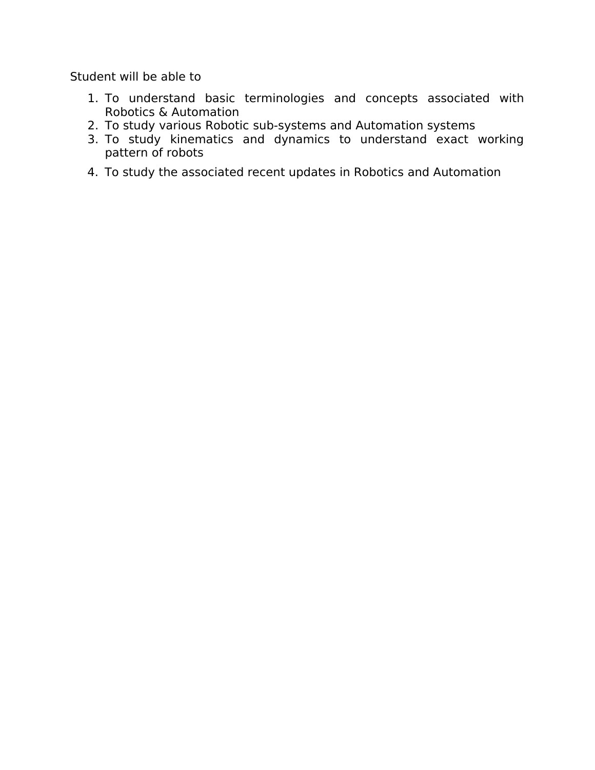Student will be able to

- 1. To understand basic terminologies and concepts associated with Robotics & Automation
- 2. To study various Robotic sub-systems and Automation systems
- 3. To study kinematics and dynamics to understand exact working pattern of robots
- 4. To study the associated recent updates in Robotics and Automation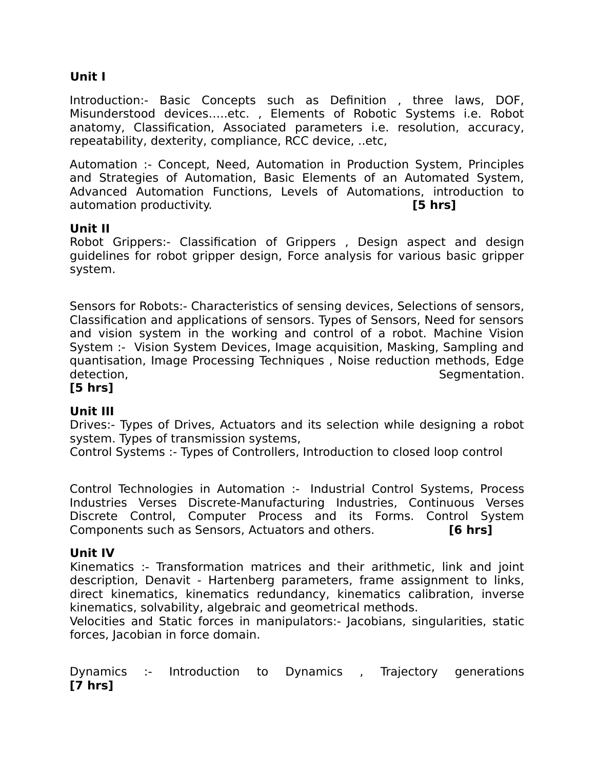# **Unit I**

Introduction:- Basic Concepts such as Definition , three laws, DOF, Misunderstood devices…..etc. , Elements of Robotic Systems i.e. Robot anatomy, Classification, Associated parameters i.e. resolution, accuracy, repeatability, dexterity, compliance, RCC device, ..etc,

Automation :- Concept, Need, Automation in Production System, Principles and Strategies of Automation, Basic Elements of an Automated System, Advanced Automation Functions, Levels of Automations, introduction to automation productivity. **[5 hrs]**

#### **Unit II**

Robot Grippers:- Classification of Grippers , Design aspect and design guidelines for robot gripper design, Force analysis for various basic gripper system.

Sensors for Robots:- Characteristics of sensing devices, Selections of sensors, Classification and applications of sensors. Types of Sensors, Need for sensors and vision system in the working and control of a robot. Machine Vision System :- Vision System Devices, Image acquisition, Masking, Sampling and quantisation, Image Processing Techniques , Noise reduction methods, Edge detection, and the set of the set of the set of the Segmentation.

# **[5 hrs]**

# **Unit III**

Drives:- Types of Drives, Actuators and its selection while designing a robot system. Types of transmission systems,

Control Systems :- Types of Controllers, Introduction to closed loop control

Control Technologies in Automation :- Industrial Control Systems, Process Industries Verses Discrete-Manufacturing Industries, Continuous Verses Discrete Control, Computer Process and its Forms. Control System Components such as Sensors, Actuators and others. **[6 hrs]**

#### **Unit IV**

Kinematics :- Transformation matrices and their arithmetic, link and joint description, Denavit - Hartenberg parameters, frame assignment to links, direct kinematics, kinematics redundancy, kinematics calibration, inverse kinematics, solvability, algebraic and geometrical methods.

Velocities and Static forces in manipulators:- Jacobians, singularities, static forces, Jacobian in force domain.

Dynamics :- Introduction to Dynamics , Trajectory generations **[7 hrs]**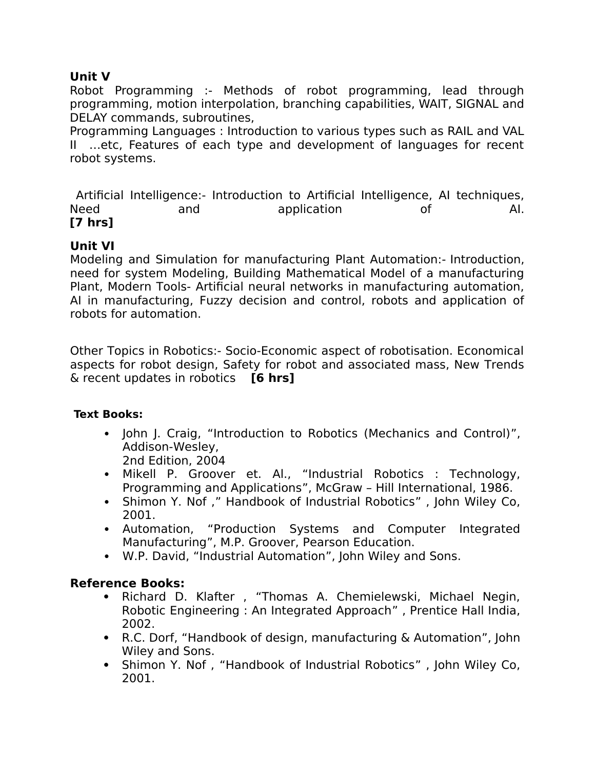# **Unit V**

Robot Programming :- Methods of robot programming, lead through programming, motion interpolation, branching capabilities, WAIT, SIGNAL and DELAY commands, subroutines,

Programming Languages : Introduction to various types such as RAIL and VAL II …etc, Features of each type and development of languages for recent robot systems.

Artificial Intelligence:- Introduction to Artificial Intelligence, AI techniques, Need and application of AI. **[7 hrs]**

#### **Unit VI**

Modeling and Simulation for manufacturing Plant Automation:- Introduction, need for system Modeling, Building Mathematical Model of a manufacturing Plant, Modern Tools- Artificial neural networks in manufacturing automation, AI in manufacturing, Fuzzy decision and control, robots and application of robots for automation.

Other Topics in Robotics:- Socio-Economic aspect of robotisation. Economical aspects for robot design, Safety for robot and associated mass, New Trends & recent updates in robotics **[6 hrs]**

#### **Text Books:**

• John J. Craig, "Introduction to Robotics (Mechanics and Control)", Addison-Wesley,

2nd Edition, 2004

- Mikell P. Groover et. Al., "Industrial Robotics : Technology, Programming and Applications", McGraw – Hill International, 1986.
- Shimon Y. Nof," Handbook of Industrial Robotics", John Wiley Co, 2001.
- Automation, "Production Systems and Computer Integrated Manufacturing", M.P. Groover, Pearson Education.
- W.P. David, "Industrial Automation", John Wiley and Sons.

#### **Reference Books:**

- Richard D. Klafter, "Thomas A. Chemielewski, Michael Negin, Robotic Engineering : An Integrated Approach" , Prentice Hall India, 2002.
- R.C. Dorf, "Handbook of design, manufacturing & Automation", John Wiley and Sons.
- Shimon Y. Nof, "Handbook of Industrial Robotics", John Wiley Co, 2001.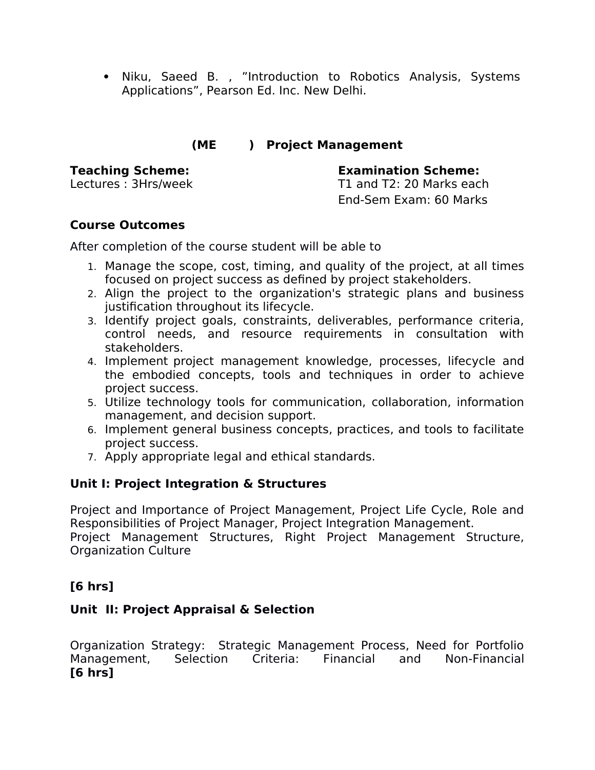• Niku, Saeed B., "Introduction to Robotics Analysis, Systems Applications", Pearson Ed. Inc. New Delhi.

# **(ME ) Project Management**

**Teaching Scheme: Examination Scheme:** 

Lectures : 3Hrs/week T1 and T2: 20 Marks each End-Sem Exam: 60 Marks

# **Course Outcomes**

After completion of the course student will be able to

- 1. Manage the scope, cost, timing, and quality of the project, at all times focused on project success as defined by project stakeholders.
- 2. Align the project to the organization's strategic plans and business justification throughout its lifecycle.
- 3. Identify project goals, constraints, deliverables, performance criteria, control needs, and resource requirements in consultation with stakeholders.
- 4. Implement project management knowledge, processes, lifecycle and the embodied concepts, tools and techniques in order to achieve project success.
- 5. Utilize technology tools for communication, collaboration, information management, and decision support.
- 6. Implement general business concepts, practices, and tools to facilitate project success.
- 7. Apply appropriate legal and ethical standards.

# **Unit I: Project Integration & Structures**

Project and Importance of Project Management, Project Life Cycle, Role and Responsibilities of Project Manager, Project Integration Management. Project Management Structures, Right Project Management Structure, Organization Culture

# **[6 hrs]**

# **Unit II: Project Appraisal & Selection**

Organization Strategy: Strategic Management Process, Need for Portfolio Management, Selection Criteria: Financial and Non-Financial **[6 hrs]**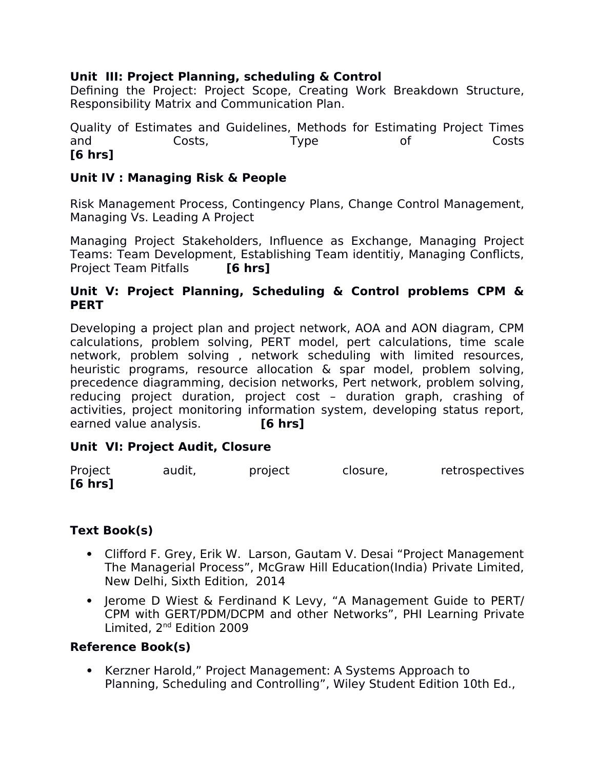# **Unit III: Project Planning, scheduling & Control**

Defining the Project: Project Scope, Creating Work Breakdown Structure, Responsibility Matrix and Communication Plan.

Quality of Estimates and Guidelines, Methods for Estimating Project Times and Costs, Type of Costs **[6 hrs]**

## **Unit IV : Managing Risk & People**

Risk Management Process, Contingency Plans, Change Control Management, Managing Vs. Leading A Project

Managing Project Stakeholders, Infuence as Exchange, Managing Project Teams: Team Development, Establishing Team identitiy, Managing Conficts, Project Team Pitfalls **[6 hrs]**

#### **Unit V: Project Planning, Scheduling & Control problems CPM & PERT**

Developing a project plan and project network, AOA and AON diagram, CPM calculations, problem solving, PERT model, pert calculations, time scale network, problem solving , network scheduling with limited resources, heuristic programs, resource allocation & spar model, problem solving, precedence diagramming, decision networks, Pert network, problem solving, reducing project duration, project cost – duration graph, crashing of activities, project monitoring information system, developing status report, earned value analysis. **[6 hrs]**

# **Unit VI: Project Audit, Closure**

| Project | audit, | project | closure, | retrospectives |
|---------|--------|---------|----------|----------------|
| [6 hrs] |        |         |          |                |

# **Text Book(s)**

- Cliford F. Grey, Erik W. Larson, Gautam V. Desai "Project Management The Managerial Process", McGraw Hill Education(India) Private Limited, New Delhi, Sixth Edition, 2014
- Jerome D Wiest & Ferdinand K Levy, "A Management Guide to PERT/ CPM with GERT/PDM/DCPM and other Networks", PHI Learning Private Limited, 2<sup>nd</sup> Edition 2009

# **Reference Book(s)**

 Kerzner Harold," Project Management: A Systems Approach to Planning, Scheduling and Controlling", Wiley Student Edition 10th Ed.,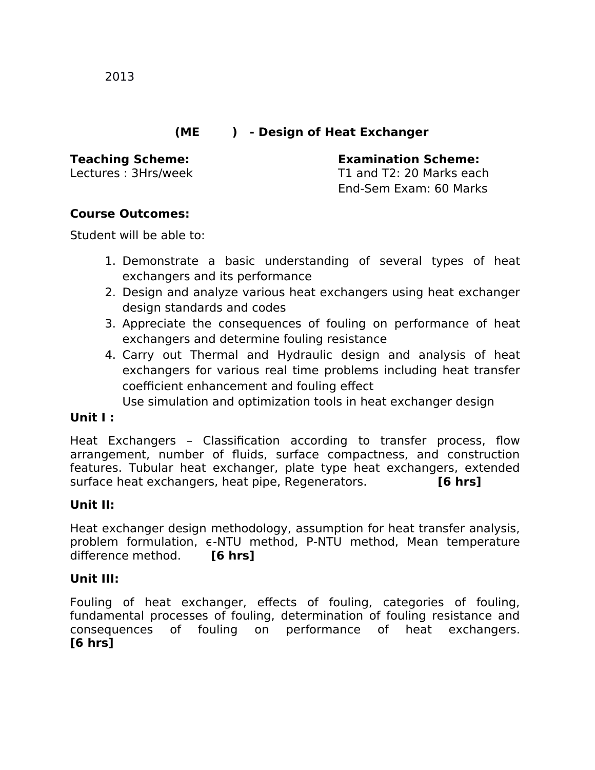# **(ME ) - Design of Heat Exchanger**

**Teaching Scheme: Examination Scheme:**  Lectures : 3Hrs/week T1 and T2: 20 Marks each End-Sem Exam: 60 Marks

#### **Course Outcomes:**

Student will be able to:

- 1. Demonstrate a basic understanding of several types of heat exchangers and its performance
- 2. Design and analyze various heat exchangers using heat exchanger design standards and codes
- 3. Appreciate the consequences of fouling on performance of heat exchangers and determine fouling resistance
- 4. Carry out Thermal and Hydraulic design and analysis of heat exchangers for various real time problems including heat transfer coefficient enhancement and fouling effect

Use simulation and optimization tools in heat exchanger design

#### **Unit I :**

Heat Exchangers - Classification according to transfer process, flow arrangement, number of fuids, surface compactness, and construction features. Tubular heat exchanger, plate type heat exchangers, extended surface heat exchangers, heat pipe, Regenerators. **[6 hrs]**

#### **Unit II:**

Heat exchanger design methodology, assumption for heat transfer analysis, problem formulation, e-NTU method, P-NTU method, Mean temperature diference method. **[6 hrs]**

#### **Unit III:**

Fouling of heat exchanger, effects of fouling, categories of fouling, fundamental processes of fouling, determination of fouling resistance and consequences of fouling on performance of heat exchangers. **[6 hrs]**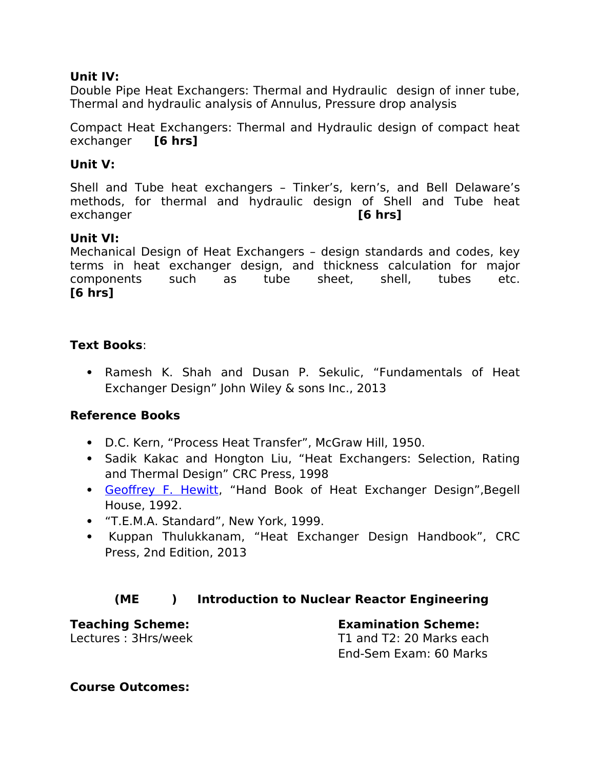#### **Unit IV:**

Double Pipe Heat Exchangers: Thermal and Hydraulic design of inner tube, Thermal and hydraulic analysis of Annulus, Pressure drop analysis

Compact Heat Exchangers: Thermal and Hydraulic design of compact heat exchanger **[6 hrs]**

## **Unit V:**

Shell and Tube heat exchangers – Tinker's, kern's, and Bell Delaware's methods, for thermal and hydraulic design of Shell and Tube heat exchanger **[6 hrs]**

# **Unit VI:**

Mechanical Design of Heat Exchangers – design standards and codes, key terms in heat exchanger design, and thickness calculation for major components such as tube sheet, shell, tubes etc. **[6 hrs]**

#### **Text Books**:

 Ramesh K. Shah and Dusan P. Sekulic, "Fundamentals of Heat Exchanger Design" John Wiley & sons Inc., 2013

# **Reference Books**

- D.C. Kern, "Process Heat Transfer", McGraw Hill, 1950.
- Sadik Kakac and Hongton Liu, "Heat Exchangers: Selection, Rating and Thermal Design" CRC Press, 1998
- Geoffrey F. Hewitt, "Hand Book of Heat Exchanger Design", Begell House, 1992.
- "T.E.M.A. Standard", New York, 1999.
- Kuppan Thulukkanam, "Heat Exchanger Design Handbook", CRC Press, 2nd Edition, 2013

# **(ME ) Introduction to Nuclear Reactor Engineering**

**Teaching Scheme: Examination Scheme:**  Lectures : 3Hrs/week T1 and T2: 20 Marks each End-Sem Exam: 60 Marks

**Course Outcomes:**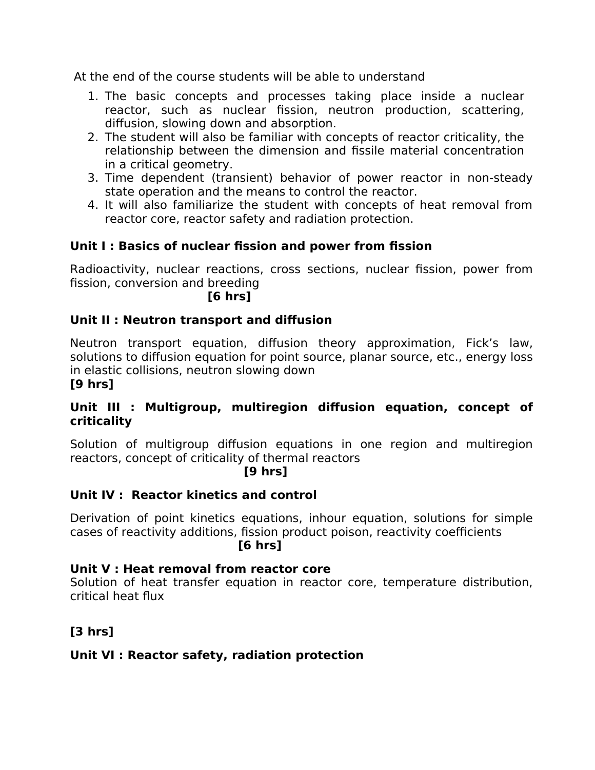At the end of the course students will be able to understand

- 1. The basic concepts and processes taking place inside a nuclear reactor, such as nuclear fission, neutron production, scattering, difusion, slowing down and absorption.
- 2. The student will also be familiar with concepts of reactor criticality, the relationship between the dimension and fissile material concentration in a critical geometry.
- 3. Time dependent (transient) behavior of power reactor in non-steady state operation and the means to control the reactor.
- 4. It will also familiarize the student with concepts of heat removal from reactor core, reactor safety and radiation protection.

# **Unit I : Basics of nuclear fssion and power from fssion**

Radioactivity, nuclear reactions, cross sections, nuclear fission, power from fission, conversion and breeding

**[6 hrs]** 

# **Unit II : Neutron transport and difusion**

Neutron transport equation, difusion theory approximation, Fick's law, solutions to difusion equation for point source, planar source, etc., energy loss in elastic collisions, neutron slowing down

## **[9 hrs]**

# **Unit III : Multigroup, multiregion difusion equation, concept of criticality**

Solution of multigroup difusion equations in one region and multiregion reactors, concept of criticality of thermal reactors

#### **[9 hrs]**

# **Unit IV : Reactor kinetics and control**

Derivation of point kinetics equations, inhour equation, solutions for simple cases of reactivity additions, fission product poison, reactivity coefficients **[6 hrs]**

#### **Unit V : Heat removal from reactor core**

Solution of heat transfer equation in reactor core, temperature distribution, critical heat fux

# **[3 hrs]**

# **Unit VI : Reactor safety, radiation protection**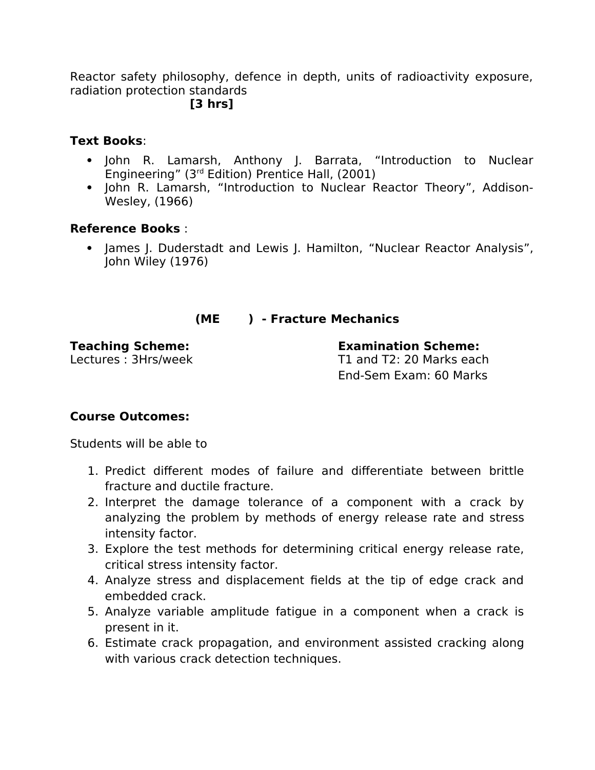Reactor safety philosophy, defence in depth, units of radioactivity exposure, radiation protection standards

#### **[3 hrs]**

#### **Text Books**:

- John R. Lamarsh, Anthony J. Barrata, "Introduction to Nuclear Engineering" (3rd Edition) Prentice Hall, (2001)
- John R. Lamarsh, "Introduction to Nuclear Reactor Theory", Addison-Wesley, (1966)

#### **Reference Books** :

• James J. Duderstadt and Lewis J. Hamilton, "Nuclear Reactor Analysis", John Wiley (1976)

#### **(ME ) - Fracture Mechanics**

**Teaching Scheme: Examination Scheme:**  Lectures : 3Hrs/week T1 and T2: 20 Marks each End-Sem Exam: 60 Marks

# **Course Outcomes:**

Students will be able to

- 1. Predict diferent modes of failure and diferentiate between brittle fracture and ductile fracture.
- 2. Interpret the damage tolerance of a component with a crack by analyzing the problem by methods of energy release rate and stress intensity factor.
- 3. Explore the test methods for determining critical energy release rate, critical stress intensity factor.
- 4. Analyze stress and displacement fields at the tip of edge crack and embedded crack.
- 5. Analyze variable amplitude fatigue in a component when a crack is present in it.
- 6. Estimate crack propagation, and environment assisted cracking along with various crack detection techniques.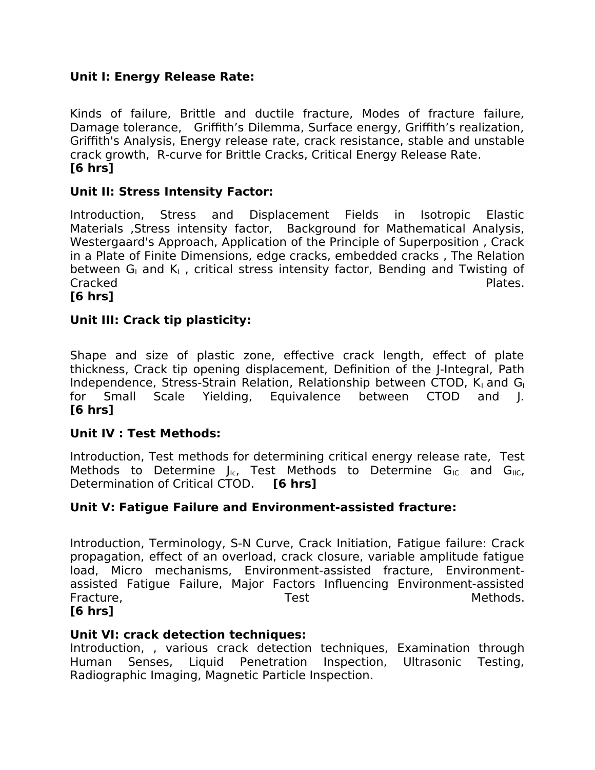## **Unit I: Energy Release Rate:**

Kinds of failure, Brittle and ductile fracture, Modes of fracture failure, Damage tolerance, Griffith's Dilemma, Surface energy, Griffith's realization, Grifth's Analysis, Energy release rate, crack resistance, stable and unstable crack growth, R-curve for Brittle Cracks, Critical Energy Release Rate. **[6 hrs]**

#### **Unit II: Stress Intensity Factor:**

Introduction, Stress and Displacement Fields in Isotropic Elastic Materials ,Stress intensity factor, Background for Mathematical Analysis, Westergaard's Approach, Application of the Principle of Superposition , Crack in a Plate of Finite Dimensions, edge cracks, embedded cracks , The Relation between  $G<sub>1</sub>$  and  $K<sub>1</sub>$ , critical stress intensity factor, Bending and Twisting of Cracked **Plates.** 

**[6 hrs]**

#### **Unit III: Crack tip plasticity:**

Shape and size of plastic zone, effective crack length, effect of plate thickness, Crack tip opening displacement, Definition of the J-Integral, Path Independence, Stress-Strain Relation, Relationship between CTOD,  $K<sub>1</sub>$  and  $G<sub>1</sub>$ for Small Scale Yielding, Equivalence between CTOD and J. **[6 hrs]**

#### **Unit IV : Test Methods:**

Introduction, Test methods for determining critical energy release rate, Test Methods to Determine  $J_{\text{IC}}$ , Test Methods to Determine  $G_{\text{IC}}$  and  $G_{\text{IC}}$ , Determination of Critical CTOD. **[6 hrs]**

#### **Unit V: Fatigue Failure and Environment-assisted fracture:**

Introduction, Terminology, S-N Curve, Crack Initiation, Fatigue failure: Crack propagation, efect of an overload, crack closure, variable amplitude fatigue load, Micro mechanisms, Environment-assisted fracture, Environmentassisted Fatigue Failure, Major Factors Infuencing Environment-assisted Fracture, Test Test Controller Methods.

#### **[6 hrs]**

#### **Unit VI: crack detection techniques:**

Introduction, , various crack detection techniques, Examination through Human Senses, Liquid Penetration Inspection, Ultrasonic Testing, Radiographic Imaging, Magnetic Particle Inspection.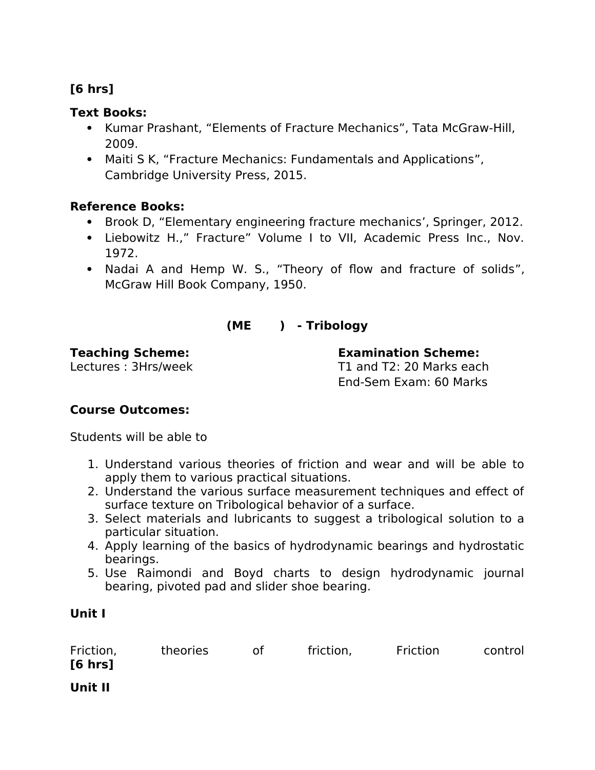# **[6 hrs]**

## **Text Books:**

- Kumar Prashant, "Elements of Fracture Mechanics", Tata McGraw-Hill, 2009.
- Maiti S K, "Fracture Mechanics: Fundamentals and Applications", Cambridge University Press, 2015.

# **Reference Books:**

- Brook D, "Elementary engineering fracture mechanics', Springer, 2012.
- Liebowitz H.," Fracture" Volume I to VII, Academic Press Inc., Nov. 1972.
- Nadai A and Hemp W. S., "Theory of flow and fracture of solids", McGraw Hill Book Company, 1950.

# **(ME ) - Tribology**

**Teaching Scheme: Examination Scheme:**  Lectures : 3Hrs/week T1 and T2: 20 Marks each End-Sem Exam: 60 Marks

# **Course Outcomes:**

Students will be able to

- 1. Understand various theories of friction and wear and will be able to apply them to various practical situations.
- 2. Understand the various surface measurement techniques and efect of surface texture on Tribological behavior of a surface.
- 3. Select materials and lubricants to suggest a tribological solution to a particular situation.
- 4. Apply learning of the basics of hydrodynamic bearings and hydrostatic bearings.
- 5. Use Raimondi and Boyd charts to design hydrodynamic journal bearing, pivoted pad and slider shoe bearing.

# **Unit I**

| Friction,<br>$[6 \text{ hrs}]$ | theories | 0t | friction, | Friction | control |
|--------------------------------|----------|----|-----------|----------|---------|
| Unit II                        |          |    |           |          |         |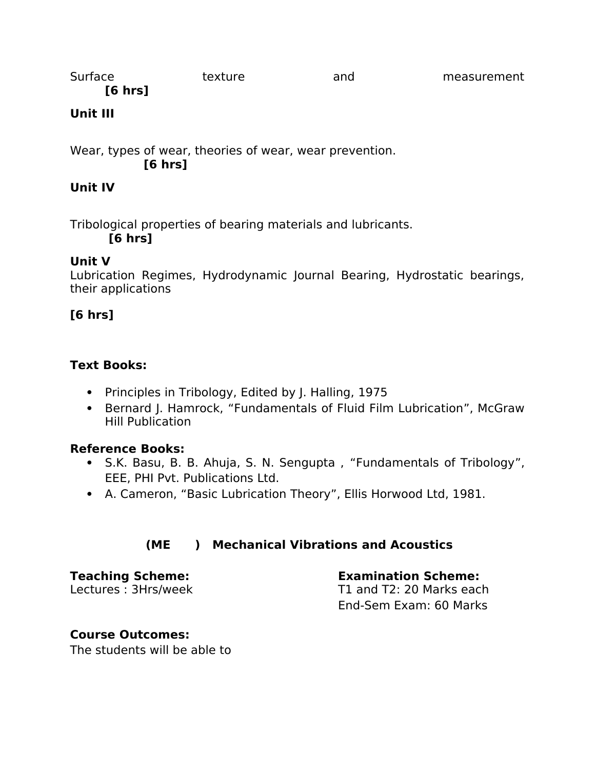| Surface | texture | and | measurement |
|---------|---------|-----|-------------|
| [6 hrs] |         |     |             |

# **Unit III**

Wear, types of wear, theories of wear, wear prevention. **[6 hrs]**

# **Unit IV**

Tribological properties of bearing materials and lubricants.

**[6 hrs]**

# **Unit V**

Lubrication Regimes, Hydrodynamic Journal Bearing, Hydrostatic bearings, their applications

# **[6 hrs]**

# **Text Books:**

- Principles in Tribology, Edited by J. Halling, 1975
- Bernard J. Hamrock, "Fundamentals of Fluid Film Lubrication", McGraw Hill Publication

# **Reference Books:**

- S.K. Basu, B. B. Ahuja, S. N. Sengupta , "Fundamentals of Tribology", EEE, PHI Pvt. Publications Ltd.
- A. Cameron, "Basic Lubrication Theory", Ellis Horwood Ltd, 1981.

# **(ME ) Mechanical Vibrations and Acoustics**

**Teaching Scheme: Examination Scheme:**  Lectures : 3Hrs/week T1 and T2: 20 Marks each End-Sem Exam: 60 Marks

# **Course Outcomes:**

The students will be able to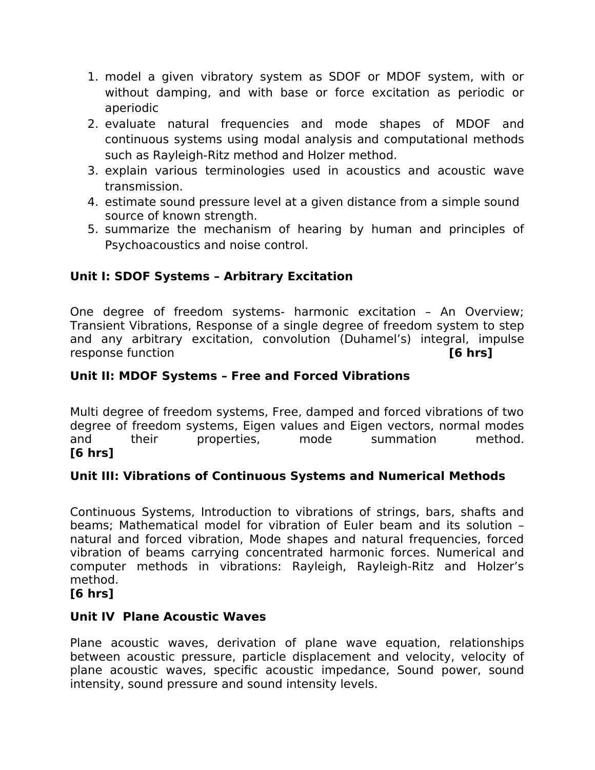- 1. model a given vibratory system as SDOF or MDOF system, with or without damping, and with base or force excitation as periodic or aperiodic
- 2. evaluate natural frequencies and mode shapes of MDOF and continuous systems using modal analysis and computational methods such as Rayleigh-Ritz method and Holzer method.
- 3. explain various terminologies used in acoustics and acoustic wave transmission.
- 4. estimate sound pressure level at a given distance from a simple sound source of known strength.
- 5. summarize the mechanism of hearing by human and principles of Psychoacoustics and noise control.

# **Unit I: SDOF Systems – Arbitrary Excitation**

One degree of freedom systems- harmonic excitation – An Overview; Transient Vibrations, Response of a single degree of freedom system to step and any arbitrary excitation, convolution (Duhamel's) integral, impulse response function **[6 hrs]**

# **Unit II: MDOF Systems – Free and Forced Vibrations**

Multi degree of freedom systems, Free, damped and forced vibrations of two degree of freedom systems, Eigen values and Eigen vectors, normal modes and their properties, mode summation method. **[6 hrs]**

# **Unit III: Vibrations of Continuous Systems and Numerical Methods**

Continuous Systems, Introduction to vibrations of strings, bars, shafts and beams; Mathematical model for vibration of Euler beam and its solution – natural and forced vibration, Mode shapes and natural frequencies, forced vibration of beams carrying concentrated harmonic forces. Numerical and computer methods in vibrations: Rayleigh, Rayleigh-Ritz and Holzer's method.

#### **[6 hrs]**

#### **Unit IV Plane Acoustic Waves**

Plane acoustic waves, derivation of plane wave equation, relationships between acoustic pressure, particle displacement and velocity, velocity of plane acoustic waves, specific acoustic impedance, Sound power, sound intensity, sound pressure and sound intensity levels.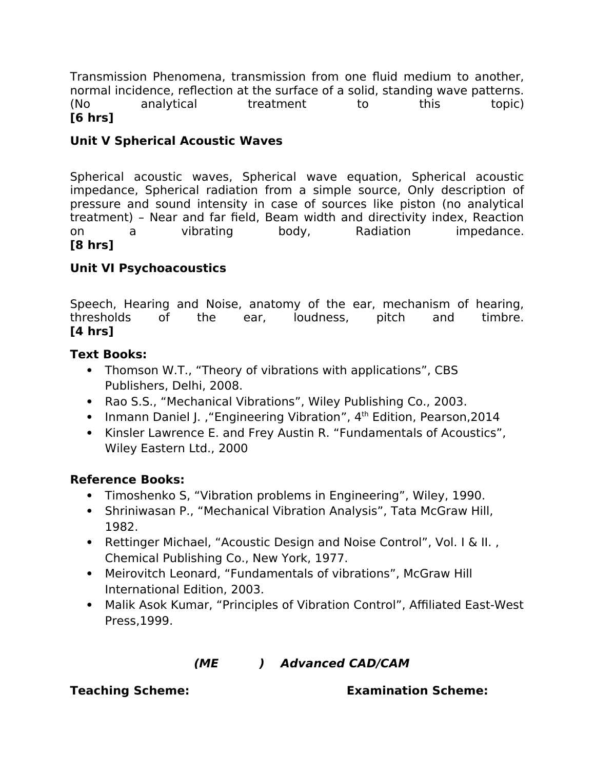Transmission Phenomena, transmission from one fuid medium to another, normal incidence, refection at the surface of a solid, standing wave patterns. (No analytical treatment to this topic) **[6 hrs]**

# **Unit V Spherical Acoustic Waves**

Spherical acoustic waves, Spherical wave equation, Spherical acoustic impedance, Spherical radiation from a simple source, Only description of pressure and sound intensity in case of sources like piston (no analytical treatment) – Near and far field, Beam width and directivity index, Reaction on a vibrating body, Radiation impedance. **[8 hrs]**

# **Unit VI Psychoacoustics**

Speech, Hearing and Noise, anatomy of the ear, mechanism of hearing, thresholds of the ear, loudness, pitch and timbre. **[4 hrs]**

#### **Text Books:**

- Thomson W.T., "Theory of vibrations with applications", CBS Publishers, Delhi, 2008.
- Rao S.S., "Mechanical Vibrations", Wiley Publishing Co., 2003.
- Inmann Daniel J., "Engineering Vibration", 4<sup>th</sup> Edition, Pearson, 2014
- Kinsler Lawrence E. and Frey Austin R. "Fundamentals of Acoustics", Wiley Eastern Ltd., 2000

#### **Reference Books:**

- Timoshenko S, "Vibration problems in Engineering", Wiley, 1990.
- Shriniwasan P., "Mechanical Vibration Analysis", Tata McGraw Hill, 1982.
- Rettinger Michael, "Acoustic Design and Noise Control", Vol. I & II., Chemical Publishing Co., New York, 1977.
- Meirovitch Leonard, "Fundamentals of vibrations", McGraw Hill International Edition, 2003.
- Malik Asok Kumar, "Principles of Vibration Control", Affiliated East-West Press,1999.

# **(ME ) Advanced CAD/CAM**

**Teaching Scheme: Examination Scheme:**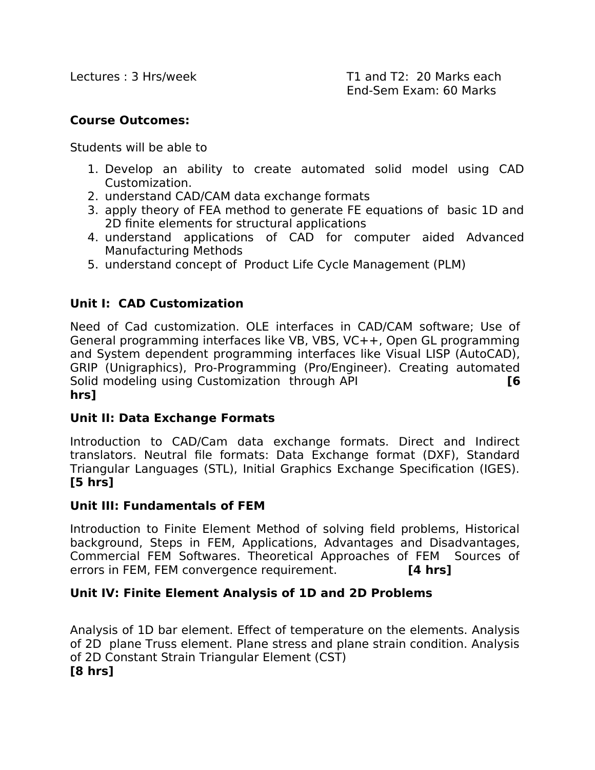## **Course Outcomes:**

Students will be able to

- 1. Develop an ability to create automated solid model using CAD Customization.
- 2. understand CAD/CAM data exchange formats
- 3. apply theory of FEA method to generate FE equations of basic 1D and 2D finite elements for structural applications
- 4. understand applications of CAD for computer aided Advanced Manufacturing Methods
- 5. understand concept of Product Life Cycle Management (PLM)

# **Unit I: CAD Customization**

Need of Cad customization. OLE interfaces in CAD/CAM software; Use of General programming interfaces like VB, VBS, VC++, Open GL programming and System dependent programming interfaces like Visual LISP (AutoCAD), GRIP (Unigraphics), Pro-Programming (Pro/Engineer). Creating automated Solid modeling using Customization through API **[6 hrs]**

# **Unit II: Data Exchange Formats**

Introduction to CAD/Cam data exchange formats. Direct and Indirect translators. Neutral file formats: Data Exchange format (DXF), Standard Triangular Languages (STL), Initial Graphics Exchange Specification (IGES). **[5 hrs]**

# **Unit III: Fundamentals of FEM**

Introduction to Finite Element Method of solving field problems, Historical background, Steps in FEM, Applications, Advantages and Disadvantages, Commercial FEM Softwares. Theoretical Approaches of FEM Sources of errors in FEM, FEM convergence requirement. **[4 hrs]**

# **Unit IV: Finite Element Analysis of 1D and 2D Problems**

Analysis of 1D bar element. Efect of temperature on the elements. Analysis of 2D plane Truss element. Plane stress and plane strain condition. Analysis of 2D Constant Strain Triangular Element (CST) **[8 hrs]**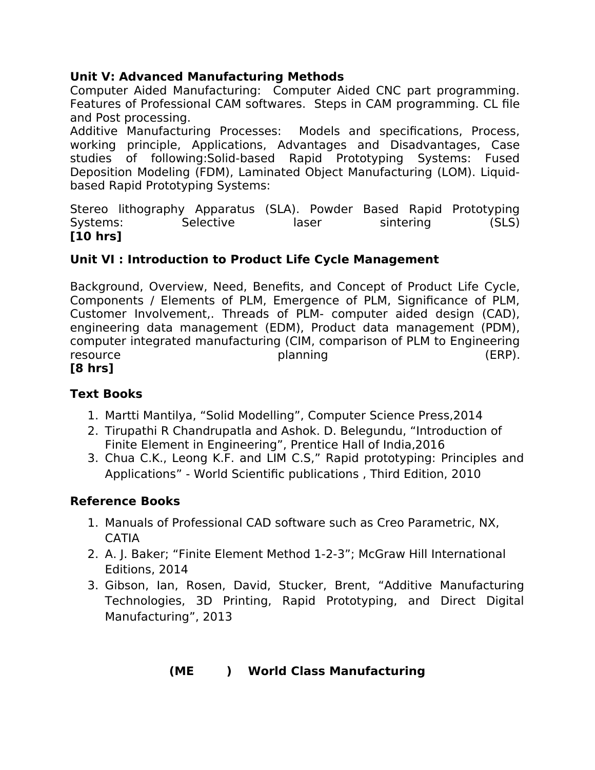# **Unit V: Advanced Manufacturing Methods**

Computer Aided Manufacturing: Computer Aided CNC part programming. Features of Professional CAM softwares. Steps in CAM programming. CL file and Post processing.

Additive Manufacturing Processes: Models and specifications, Process, working principle, Applications, Advantages and Disadvantages, Case studies of following:Solid-based Rapid Prototyping Systems: Fused Deposition Modeling (FDM), Laminated Object Manufacturing (LOM). Liquidbased Rapid Prototyping Systems:

Stereo lithography Apparatus (SLA). Powder Based Rapid Prototyping Systems: Selective laser sintering (SLS) **[10 hrs]**

# **Unit VI : Introduction to Product Life Cycle Management**

Background, Overview, Need, Benefits, and Concept of Product Life Cycle, Components / Elements of PLM, Emergence of PLM, Significance of PLM, Customer Involvement,. Threads of PLM- computer aided design (CAD), engineering data management (EDM), Product data management (PDM), computer integrated manufacturing (CIM, comparison of PLM to Engineering resource **planning** (ERP).

# **[8 hrs]**

# **Text Books**

- 1. Martti Mantilya, "Solid Modelling", Computer Science Press,2014
- 2. Tirupathi R Chandrupatla and Ashok. D. Belegundu, "Introduction of Finite Element in Engineering", Prentice Hall of India,2016
- 3. Chua C.K., Leong K.F. and LIM C.S," Rapid prototyping: Principles and Applications" - World Scientific publications , Third Edition, 2010

# **Reference Books**

- 1. Manuals of Professional CAD software such as Creo Parametric, NX, CATIA
- 2. A. J. Baker; "Finite Element Method 1-2-3"; McGraw Hill International Editions, 2014
- 3. Gibson, Ian, Rosen, David, Stucker, Brent, "Additive Manufacturing Technologies, 3D Printing, Rapid Prototyping, and Direct Digital Manufacturing", 2013

# **(ME ) World Class Manufacturing**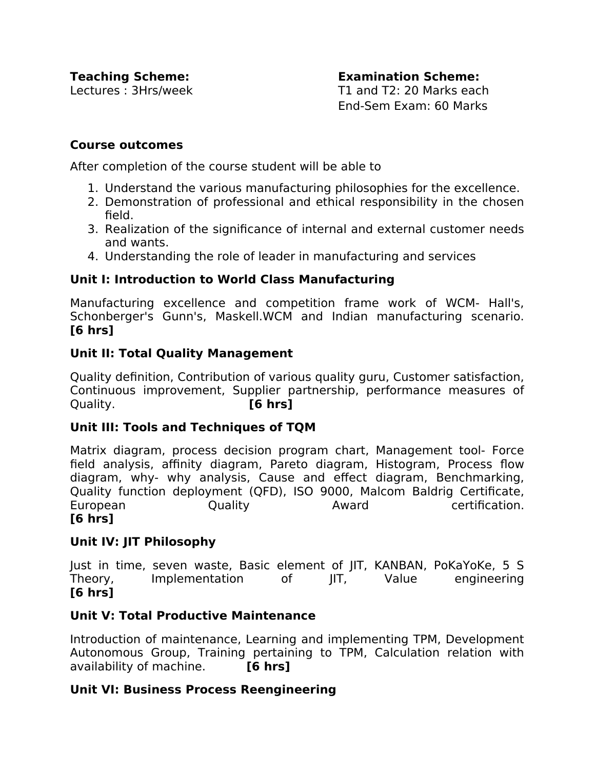**Teaching Scheme: Examination Scheme:**  Lectures : 3Hrs/week T1 and T2: 20 Marks each End-Sem Exam: 60 Marks

#### **Course outcomes**

After completion of the course student will be able to

- 1. Understand the various manufacturing philosophies for the excellence.
- 2. Demonstration of professional and ethical responsibility in the chosen field.
- 3. Realization of the significance of internal and external customer needs and wants.
- 4. Understanding the role of leader in manufacturing and services

#### **Unit I: Introduction to World Class Manufacturing**

Manufacturing excellence and competition frame work of WCM- Hall's, Schonberger's Gunn's, Maskell.WCM and Indian manufacturing scenario. **[6 hrs]**

#### **Unit II: Total Quality Management**

Quality definition, Contribution of various quality guru, Customer satisfaction, Continuous improvement, Supplier partnership, performance measures of Quality. **[6 hrs]**

#### **Unit III: Tools and Techniques of TQM**

Matrix diagram, process decision program chart, Management tool- Force field analysis, affinity diagram, Pareto diagram, Histogram, Process flow diagram, why- why analysis, Cause and efect diagram, Benchmarking, Quality function deployment (QFD), ISO 9000, Malcom Baldrig Certificate, European Quality Award certification. **[6 hrs]**

# **Unit IV: JIT Philosophy**

Just in time, seven waste, Basic element of JIT, KANBAN, PoKaYoKe, 5 S Theory, Implementation of JIT, Value engineering **[6 hrs]**

#### **Unit V: Total Productive Maintenance**

Introduction of maintenance, Learning and implementing TPM, Development Autonomous Group, Training pertaining to TPM, Calculation relation with availability of machine. **[6 hrs]**

#### **Unit VI: Business Process Reengineering**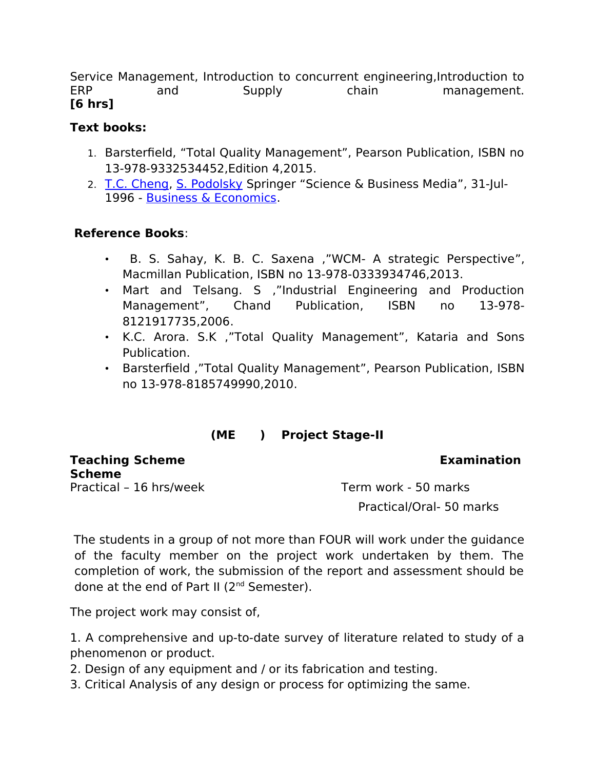Service Management, Introduction to concurrent engineering,Introduction to ERP and Supply chain management. **[6 hrs]**

# **Text books:**

- 1. Barsterfield, "Total Quality Management", Pearson Publication, ISBN no 13-978-9332534452,Edition 4,2015.
- 2. [T.C. Cheng,](https://www.google.co.in/search?tbo=p&tbm=bks&q=inauthor:%22T.C.+Cheng%22) [S. Podolsky](https://www.google.co.in/search?tbo=p&tbm=bks&q=inauthor:%22S.+Podolsky%22) Springer "Science & Business Media", 31-Jul-1996 - [Business & Economics.](https://www.google.co.in/search?tbo=p&tbm=bks&q=subject:%22Business+%26+Economics%22&source=gbs_ge_summary_r&cad=0)

# **Reference Books**:

- B. S. Sahay, K. B. C. Saxena ,"WCM- A strategic Perspective", Macmillan Publication, ISBN no 13-978-0333934746,2013.
- Mart and Telsang. S ,"Industrial Engineering and Production Management", Chand Publication, ISBN no 13-978- 8121917735,2006.
- K.C. Arora. S.K ,"Total Quality Management", Kataria and Sons Publication.
- Barsterfield ,"Total Quality Management", Pearson Publication, ISBN no 13-978-8185749990,2010.

# **(ME ) Project Stage-II**

**Teaching Scheme Examination Scheme**

Practical – 16 hrs/week Term work - 50 marks Practical/Oral- 50 marks

The students in a group of not more than FOUR will work under the guidance of the faculty member on the project work undertaken by them. The completion of work, the submission of the report and assessment should be done at the end of Part II  $(2^{nd}$  Semester).

The project work may consist of,

1. A comprehensive and up-to-date survey of literature related to study of a phenomenon or product.

- 2. Design of any equipment and / or its fabrication and testing.
- 3. Critical Analysis of any design or process for optimizing the same.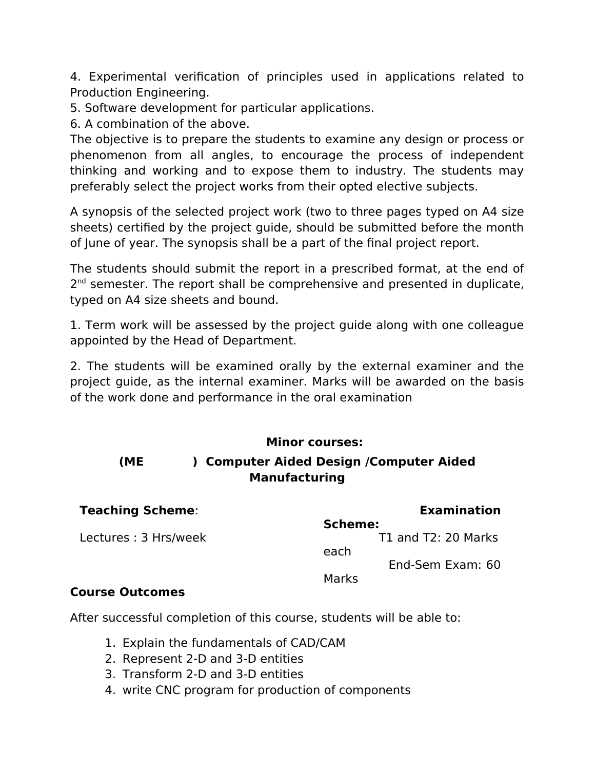4. Experimental verification of principles used in applications related to Production Engineering.

5. Software development for particular applications.

6. A combination of the above.

The objective is to prepare the students to examine any design or process or phenomenon from all angles, to encourage the process of independent thinking and working and to expose them to industry. The students may preferably select the project works from their opted elective subjects.

A synopsis of the selected project work (two to three pages typed on A4 size sheets) certified by the project guide, should be submitted before the month of June of year. The synopsis shall be a part of the final project report.

The students should submit the report in a prescribed format, at the end of 2<sup>nd</sup> semester. The report shall be comprehensive and presented in duplicate, typed on A4 size sheets and bound.

1. Term work will be assessed by the project guide along with one colleague appointed by the Head of Department.

2. The students will be examined orally by the external examiner and the project guide, as the internal examiner. Marks will be awarded on the basis of the work done and performance in the oral examination

# **Minor courses:**

# **(ME ) Computer Aided Design /Computer Aided Manufacturing**

| <b>Teaching Scheme:</b> | <b>Examination</b>          |
|-------------------------|-----------------------------|
|                         | Scheme:                     |
| Lectures: 3 Hrs/week    | T1 and T2: 20 Marks<br>each |
|                         | End-Sem Exam: 60            |
|                         | Marks                       |

# **Course Outcomes**

After successful completion of this course, students will be able to:

- 1. Explain the fundamentals of CAD/CAM
- 2. Represent 2-D and 3-D entities
- 3. Transform 2-D and 3-D entities
- 4. write CNC program for production of components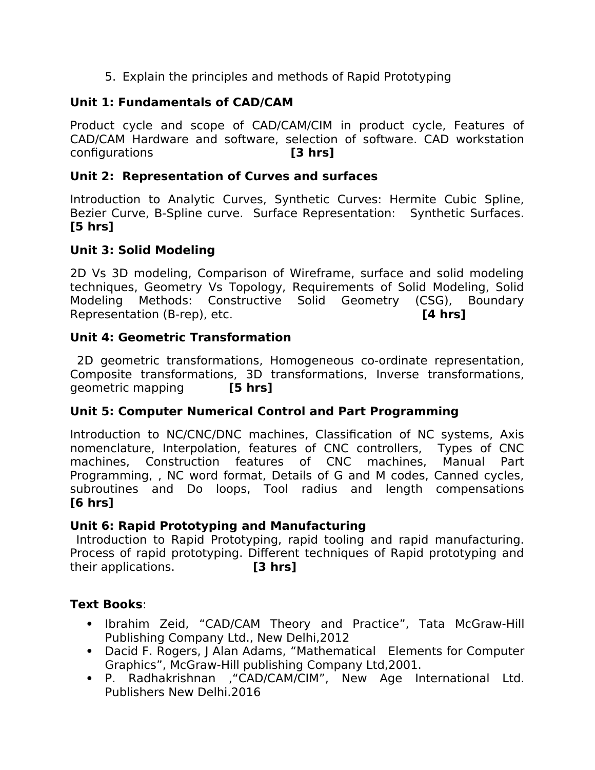5. Explain the principles and methods of Rapid Prototyping

# **Unit 1: Fundamentals of CAD/CAM**

Product cycle and scope of CAD/CAM/CIM in product cycle, Features of CAD/CAM Hardware and software, selection of software. CAD workstation configurations **[3 hrs]**

#### **Unit 2: Representation of Curves and surfaces**

Introduction to Analytic Curves, Synthetic Curves: Hermite Cubic Spline, Bezier Curve, B-Spline curve. Surface Representation: Synthetic Surfaces. **[5 hrs]**

# **Unit 3: Solid Modeling**

2D Vs 3D modeling, Comparison of Wireframe, surface and solid modeling techniques, Geometry Vs Topology, Requirements of Solid Modeling, Solid Modeling Methods: Constructive Solid Geometry (CSG), Boundary Representation (B-rep), etc. **[4 hrs]**

#### **Unit 4: Geometric Transformation**

2D geometric transformations, Homogeneous co-ordinate representation, Composite transformations, 3D transformations, Inverse transformations, geometric mapping **[5 hrs]**

# **Unit 5: Computer Numerical Control and Part Programming**

Introduction to NC/CNC/DNC machines, Classification of NC systems, Axis nomenclature, Interpolation, features of CNC controllers, Types of CNC machines, Construction features of CNC machines, Manual Part Programming, , NC word format, Details of G and M codes, Canned cycles, subroutines and Do loops, Tool radius and length compensations **[6 hrs]**

#### **Unit 6: Rapid Prototyping and Manufacturing**

Introduction to Rapid Prototyping, rapid tooling and rapid manufacturing. Process of rapid prototyping. Diferent techniques of Rapid prototyping and their applications. **[3 hrs]**

# **Text Books**:

- Ibrahim Zeid, "CAD/CAM Theory and Practice", Tata McGraw-Hill Publishing Company Ltd., New Delhi,2012
- Dacid F. Rogers, J Alan Adams, "Mathematical Elements for Computer Graphics", McGraw-Hill publishing Company Ltd,2001.
- P. Radhakrishnan ,"CAD/CAM/CIM", New Age International Ltd. Publishers New Delhi.2016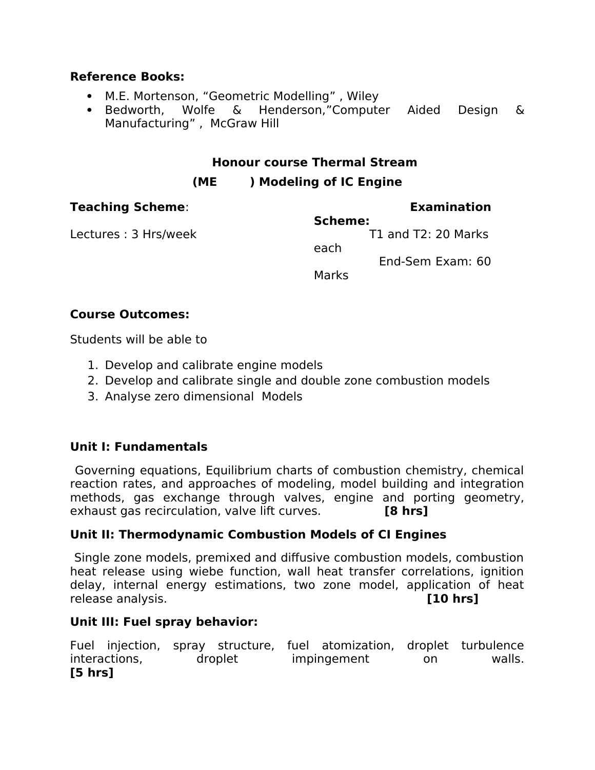#### **Reference Books:**

- M.E. Mortenson, "Geometric Modelling" , Wiley
- Bedworth, Wolfe & Henderson,"Computer Aided Design & Manufacturing" , McGraw Hill

#### **Honour course Thermal Stream**

# **(ME ) Modeling of IC Engine**

| <b>Teaching Scheme:</b> | <b>Examination</b>                                                  |
|-------------------------|---------------------------------------------------------------------|
| Lectures: 3 Hrs/week    | Scheme:<br>T1 and T2: 20 Marks<br>each<br>End-Sem Exam: 60<br>Marks |

# **Course Outcomes:**

Students will be able to

- 1. Develop and calibrate engine models
- 2. Develop and calibrate single and double zone combustion models
- 3. Analyse zero dimensional Models

# **Unit I: Fundamentals**

Governing equations, Equilibrium charts of combustion chemistry, chemical reaction rates, and approaches of modeling, model building and integration methods, gas exchange through valves, engine and porting geometry, exhaust gas recirculation, valve lift curves. **[8 hrs]**

# **Unit II: Thermodynamic Combustion Models of CI Engines**

Single zone models, premixed and difusive combustion models, combustion heat release using wiebe function, wall heat transfer correlations, ignition delay, internal energy estimations, two zone model, application of heat release analysis. **[10 hrs]**

# **Unit III: Fuel spray behavior:**

Fuel injection, spray structure, fuel atomization, droplet turbulence interactions, droplet impingement on walls. **[5 hrs]**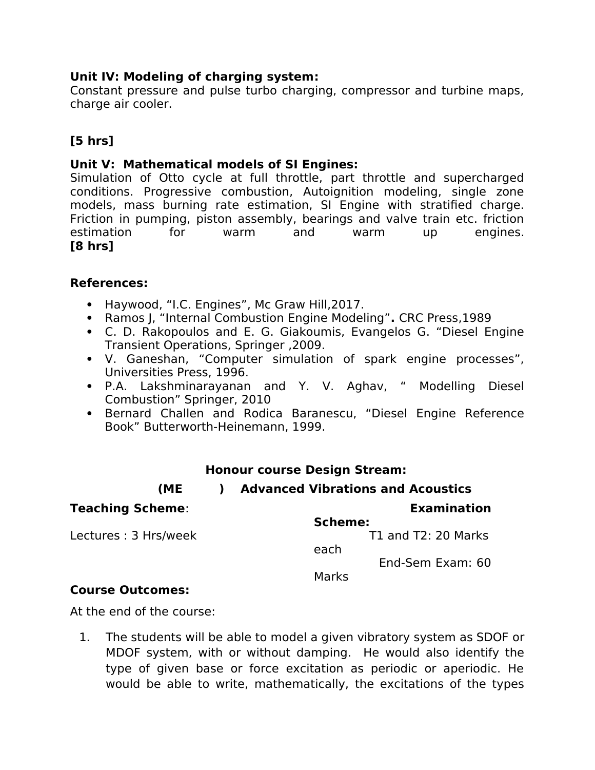## **Unit IV: Modeling of charging system:**

Constant pressure and pulse turbo charging, compressor and turbine maps, charge air cooler.

# **[5 hrs]**

#### **Unit V: Mathematical models of SI Engines:**

Simulation of Otto cycle at full throttle, part throttle and supercharged conditions. Progressive combustion, Autoignition modeling, single zone models, mass burning rate estimation, SI Engine with stratified charge. Friction in pumping, piston assembly, bearings and valve train etc. friction estimation for warm and warm up engines. **[8 hrs]**

#### **References:**

- Haywood, "I.C. Engines", Mc Graw Hill, 2017.
- Ramos J, "Internal Combustion Engine Modeling"**.** CRC Press,1989
- C. D. Rakopoulos and E. G. Giakoumis, Evangelos G. "Diesel Engine Transient Operations, Springer ,2009.
- V. Ganeshan, "Computer simulation of spark engine processes", Universities Press, 1996.
- P.A. Lakshminarayanan and Y. V. Aghav, " Modelling Diesel Combustion" Springer, 2010
- Bernard Challen and Rodica Baranescu, "Diesel Engine Reference Book" Butterworth-Heinemann, 1999.

# **Honour course Design Stream:**

#### **(ME ) Advanced Vibrations and Acoustics**

| <b>Teaching Scheme:</b>                                                             | <b>Examination</b>  |
|-------------------------------------------------------------------------------------|---------------------|
|                                                                                     | Scheme:             |
| Lectures: 3 Hrs/week                                                                | T1 and T2: 20 Marks |
|                                                                                     | each                |
|                                                                                     | End-Sem Exam: 60    |
|                                                                                     | Marks               |
| $R_{\text{2}}$ $\ldots$ $\ldots$ $R_{\text{2}}$ $\ldots$ $\ldots$ $\ldots$ $\ldots$ |                     |

#### **Course Outcomes:**

At the end of the course:

1. The students will be able to model a given vibratory system as SDOF or MDOF system, with or without damping. He would also identify the type of given base or force excitation as periodic or aperiodic. He would be able to write, mathematically, the excitations of the types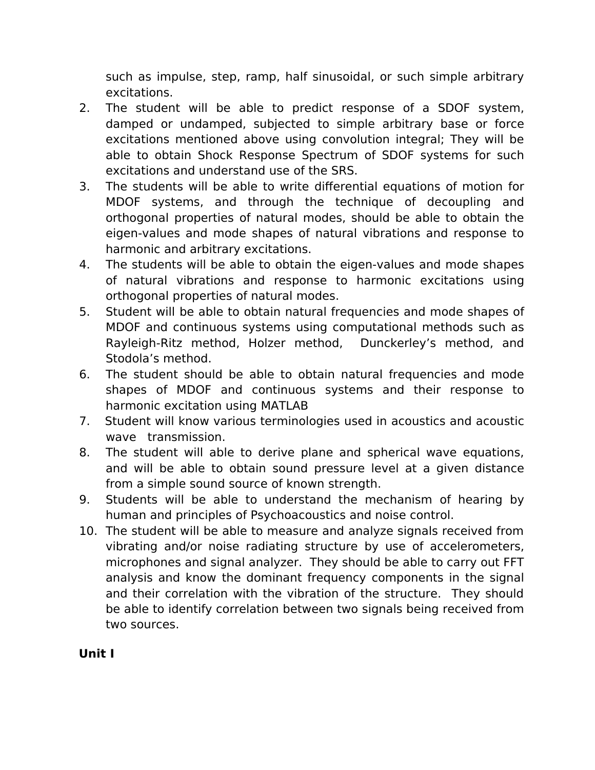such as impulse, step, ramp, half sinusoidal, or such simple arbitrary excitations.

- 2. The student will be able to predict response of a SDOF system, damped or undamped, subjected to simple arbitrary base or force excitations mentioned above using convolution integral; They will be able to obtain Shock Response Spectrum of SDOF systems for such excitations and understand use of the SRS.
- 3. The students will be able to write diferential equations of motion for MDOF systems, and through the technique of decoupling and orthogonal properties of natural modes, should be able to obtain the eigen-values and mode shapes of natural vibrations and response to harmonic and arbitrary excitations.
- 4. The students will be able to obtain the eigen-values and mode shapes of natural vibrations and response to harmonic excitations using orthogonal properties of natural modes.
- 5. Student will be able to obtain natural frequencies and mode shapes of MDOF and continuous systems using computational methods such as Rayleigh-Ritz method, Holzer method, Dunckerley's method, and Stodola's method.
- 6. The student should be able to obtain natural frequencies and mode shapes of MDOF and continuous systems and their response to harmonic excitation using MATLAB
- 7. Student will know various terminologies used in acoustics and acoustic wave transmission.
- 8. The student will able to derive plane and spherical wave equations, and will be able to obtain sound pressure level at a given distance from a simple sound source of known strength.
- 9. Students will be able to understand the mechanism of hearing by human and principles of Psychoacoustics and noise control.
- 10. The student will be able to measure and analyze signals received from vibrating and/or noise radiating structure by use of accelerometers, microphones and signal analyzer. They should be able to carry out FFT analysis and know the dominant frequency components in the signal and their correlation with the vibration of the structure. They should be able to identify correlation between two signals being received from two sources.

# **Unit I**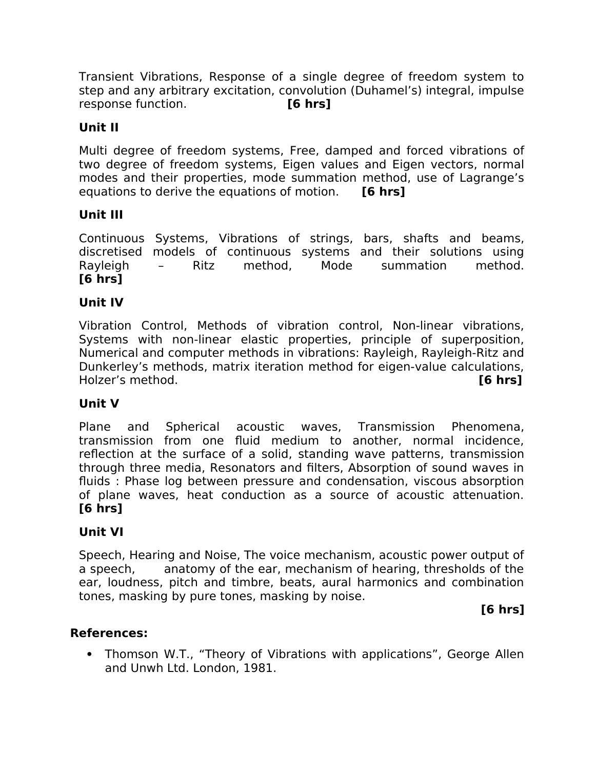Transient Vibrations, Response of a single degree of freedom system to step and any arbitrary excitation, convolution (Duhamel's) integral, impulse response function. **[6 hrs]**

# **Unit II**

Multi degree of freedom systems, Free, damped and forced vibrations of two degree of freedom systems, Eigen values and Eigen vectors, normal modes and their properties, mode summation method, use of Lagrange's equations to derive the equations of motion. **[6 hrs]**

# **Unit III**

Continuous Systems, Vibrations of strings, bars, shafts and beams, discretised models of continuous systems and their solutions using Rayleigh – Ritz method, Mode summation method. **[6 hrs]**

# **Unit IV**

Vibration Control, Methods of vibration control, Non-linear vibrations, Systems with non-linear elastic properties, principle of superposition, Numerical and computer methods in vibrations: Rayleigh, Rayleigh-Ritz and Dunkerley's methods, matrix iteration method for eigen-value calculations, Holzer's method. **[6 hrs]**

# **Unit V**

Plane and Spherical acoustic waves, Transmission Phenomena, transmission from one fuid medium to another, normal incidence, refection at the surface of a solid, standing wave patterns, transmission through three media, Resonators and filters, Absorption of sound waves in fuids : Phase log between pressure and condensation, viscous absorption of plane waves, heat conduction as a source of acoustic attenuation. **[6 hrs]**

# **Unit VI**

Speech, Hearing and Noise, The voice mechanism, acoustic power output of a speech, anatomy of the ear, mechanism of hearing, thresholds of the ear, loudness, pitch and timbre, beats, aural harmonics and combination tones, masking by pure tones, masking by noise.

# **[6 hrs]**

# **References:**

• Thomson W.T., "Theory of Vibrations with applications", George Allen and Unwh Ltd. London, 1981.